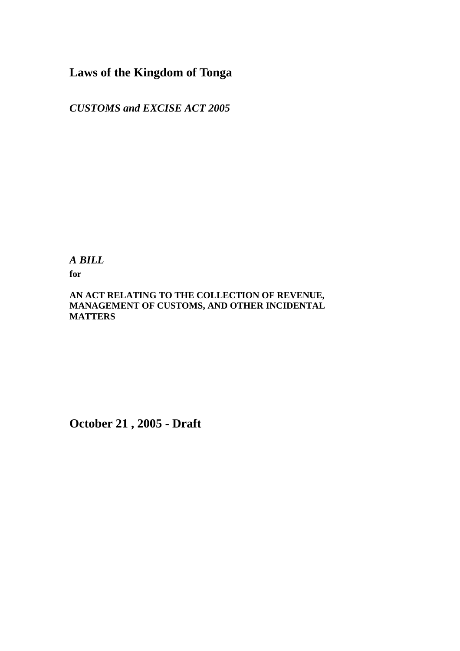## **Laws of the Kingdom of Tonga**

*CUSTOMS and EXCISE ACT 2005* 

# *A BILL*

**for** 

**AN ACT RELATING TO THE COLLECTION OF REVENUE, MANAGEMENT OF CUSTOMS, AND OTHER INCIDENTAL MATTERS** 

**October 21 , 2005 - Draft**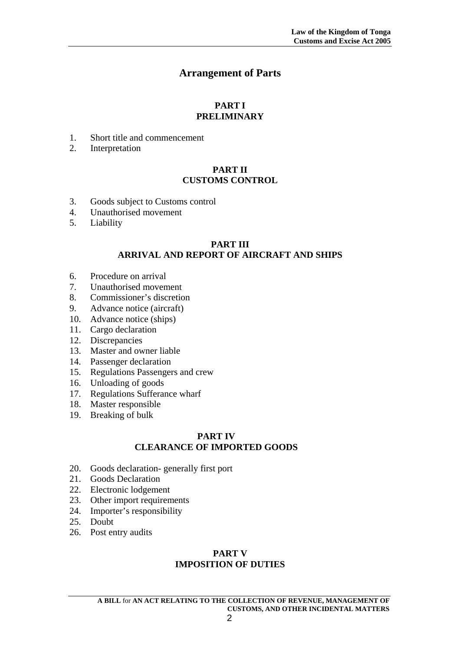### **Arrangement of Parts**

#### **PART I PRELIMINARY**

- 1. Short title and commencement
- 2. Interpretation

#### **PART II CUSTOMS CONTROL**

- 3. Goods subject to Customs control
- 4. Unauthorised movement
- 5. Liability

#### **PART III ARRIVAL AND REPORT OF AIRCRAFT AND SHIPS**

- 6. Procedure on arrival
- 7. Unauthorised movement
- 8. Commissioner's discretion
- 9. Advance notice (aircraft)
- 10. Advance notice (ships)
- 11. Cargo declaration
- 12. Discrepancies
- 13. Master and owner liable
- 14. Passenger declaration
- 15. Regulations Passengers and crew
- 16. Unloading of goods
- 17. Regulations Sufferance wharf
- 18. Master responsible
- 19. Breaking of bulk

#### **PART IV CLEARANCE OF IMPORTED GOODS**

- 20. Goods declaration- generally first port
- 21. Goods Declaration
- 22. Electronic lodgement
- 23. Other import requirements
- 24. Importer's responsibility
- 25. Doubt
- 26. Post entry audits

#### **PART V IMPOSITION OF DUTIES**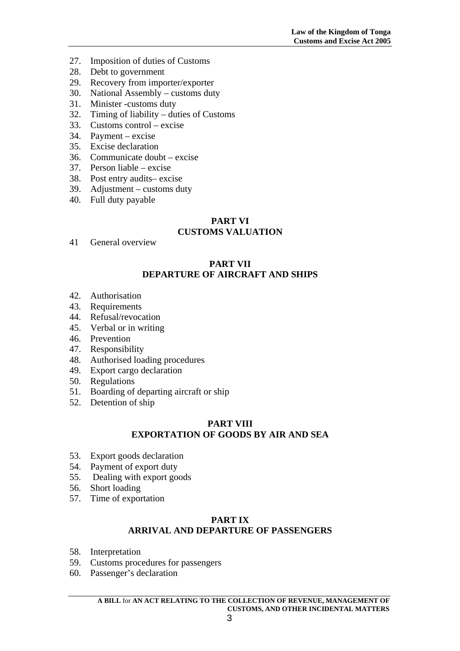- 27. Imposition of duties of Customs
- 28. Debt to government
- 29. Recovery from importer/exporter
- 30. National Assembly customs duty
- 31. Minister -customs duty
- 32. Timing of liability duties of Customs
- 33. Customs control excise
- 34. Payment excise
- 35. Excise declaration
- 36. Communicate doubt excise
- 37. Person liable excise
- 38. Post entry audits– excise
- 39. Adjustment customs duty
- 40. Full duty payable

### **PART VI**

### **CUSTOMS VALUATION**

41 General overview

#### **PART VII DEPARTURE OF AIRCRAFT AND SHIPS**

- 42. Authorisation
- 43. Requirements
- 44. Refusal/revocation
- 45. Verbal or in writing
- 46. Prevention
- 47. Responsibility
- 48. Authorised loading procedures
- 49. Export cargo declaration
- 50. Regulations
- 51. Boarding of departing aircraft or ship
- 52. Detention of ship

#### **PART VIII EXPORTATION OF GOODS BY AIR AND SEA**

- 53. Export goods declaration
- 54. Payment of export duty
- 55. Dealing with export goods
- 56. Short loading
- 57. Time of exportation

#### **PART IX ARRIVAL AND DEPARTURE OF PASSENGERS**

- 58. Interpretation
- 59. Customs procedures for passengers
- 60. Passenger's declaration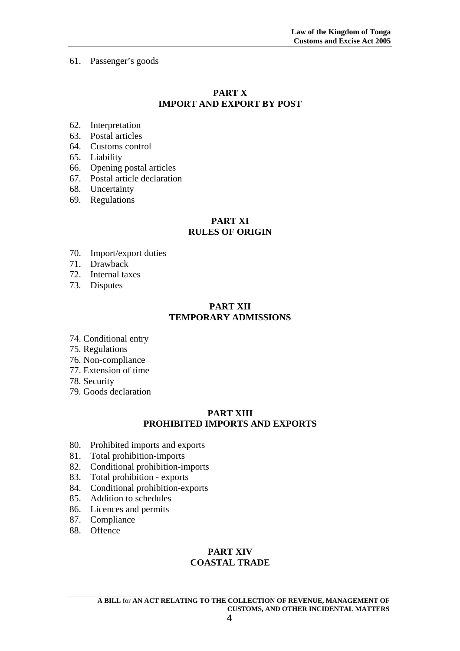61. Passenger's goods

#### **PART X IMPORT AND EXPORT BY POST**

- 62. Interpretation
- 63. Postal articles
- 64. Customs control
- 65. Liability
- 66. Opening postal articles
- 67. Postal article declaration
- 68. Uncertainty
- 69. Regulations

#### **PART XI RULES OF ORIGIN**

- 70. Import/export duties
- 71. Drawback
- 72. Internal taxes
- 73. Disputes

#### **PART XII TEMPORARY ADMISSIONS**

- 74. Conditional entry
- 75. Regulations
- 76. Non-compliance
- 77. Extension of time
- 78. Security
- 79. Goods declaration

#### **PART XIII PROHIBITED IMPORTS AND EXPORTS**

- 80. Prohibited imports and exports
- 81. Total prohibition-imports
- 82. Conditional prohibition-imports
- 83. Total prohibition exports
- 84. Conditional prohibition-exports
- 85. Addition to schedules
- 86. Licences and permits
- 87. Compliance
- 88. Offence

#### **PART XIV COASTAL TRADE**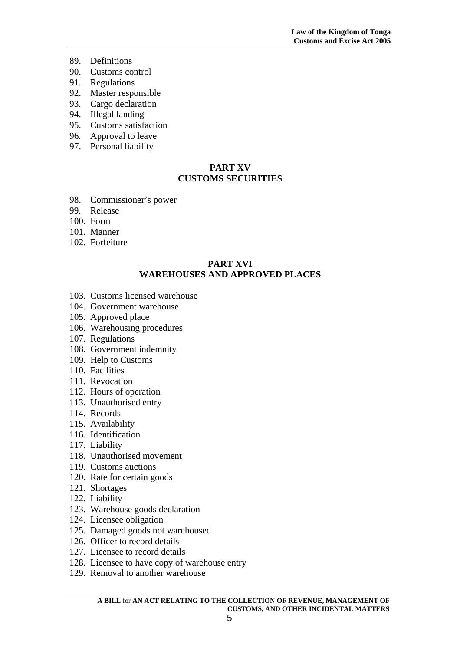- 89. Definitions
- 90. Customs control
- 91. Regulations
- 92. Master responsible
- 93. Cargo declaration
- 94. Illegal landing
- 95. Customs satisfaction
- 96. Approval to leave
- 97. Personal liability

#### **PART XV CUSTOMS SECURITIES**

- 98. Commissioner's power
- 99. Release
- 100. Form
- 101. Manner
- 102. Forfeiture

#### **PART XVI WAREHOUSES AND APPROVED PLACES**

- 103. Customs licensed warehouse
- 104. Government warehouse
- 105. Approved place
- 106. Warehousing procedures
- 107. Regulations
- 108. Government indemnity
- 109. Help to Customs
- 110. Facilities
- 111. Revocation
- 112. Hours of operation
- 113. Unauthorised entry
- 114. Records
- 115. Availability
- 116. Identification
- 117. Liability
- 118. Unauthorised movement
- 119. Customs auctions
- 120. Rate for certain goods
- 121. Shortages
- 122. Liability
- 123. Warehouse goods declaration
- 124. Licensee obligation
- 125. Damaged goods not warehoused
- 126. Officer to record details
- 127. Licensee to record details
- 128. Licensee to have copy of warehouse entry
- 129. Removal to another warehouse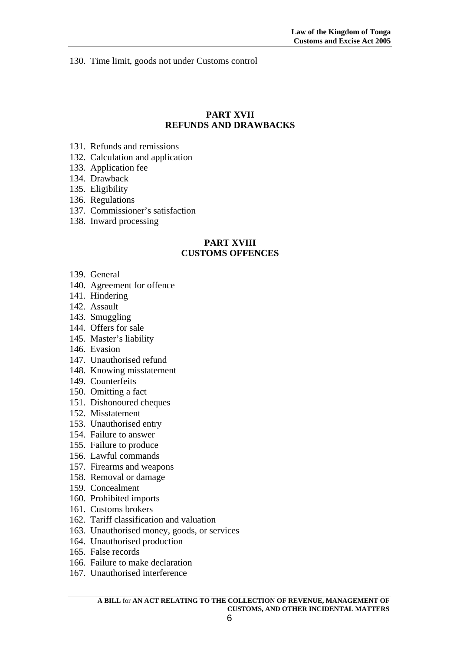130. Time limit, goods not under Customs control

#### **PART XVII REFUNDS AND DRAWBACKS**

- 131. Refunds and remissions
- 132. Calculation and application
- 133. Application fee
- 134. Drawback
- 135. Eligibility
- 136. Regulations
- 137. Commissioner's satisfaction
- 138. Inward processing

#### **PART XVIII CUSTOMS OFFENCES**

- 139. General
- 140. Agreement for offence
- 141. Hindering
- 142. Assault
- 143. Smuggling
- 144. Offers for sale
- 145. Master's liability
- 146. Evasion
- 147. Unauthorised refund
- 148. Knowing misstatement
- 149. Counterfeits
- 150. Omitting a fact
- 151. Dishonoured cheques
- 152. Misstatement
- 153. Unauthorised entry
- 154. Failure to answer
- 155. Failure to produce
- 156. Lawful commands
- 157. Firearms and weapons
- 158. Removal or damage
- 159. Concealment
- 160. Prohibited imports
- 161. Customs brokers
- 162. Tariff classification and valuation
- 163. Unauthorised money, goods, or services
- 164. Unauthorised production
- 165. False records
- 166. Failure to make declaration
- 167. Unauthorised interference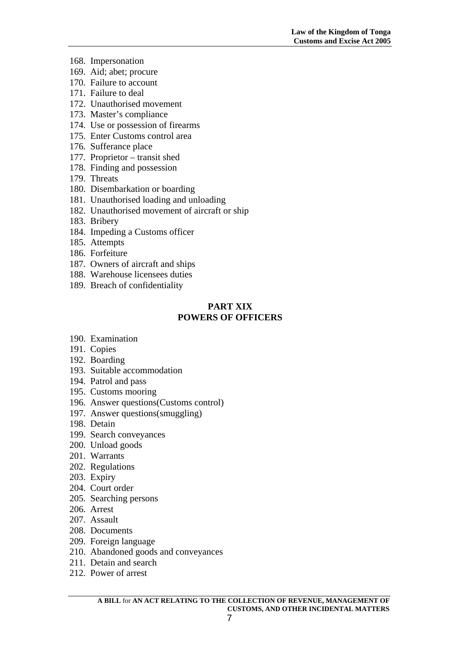- 168. Impersonation
- 169. Aid; abet; procure
- 170. Failure to account
- 171. Failure to deal
- 172. Unauthorised movement
- 173. Master's compliance
- 174. Use or possession of firearms
- 175. Enter Customs control area
- 176. Sufferance place
- 177. Proprietor transit shed
- 178. Finding and possession
- 179. Threats
- 180. Disembarkation or boarding
- 181. Unauthorised loading and unloading
- 182. Unauthorised movement of aircraft or ship
- 183. Bribery
- 184. Impeding a Customs officer
- 185. Attempts
- 186. Forfeiture
- 187. Owners of aircraft and ships
- 188. Warehouse licensees duties
- 189. Breach of confidentiality

#### **PART XIX POWERS OF OFFICERS**

- 190. Examination
- 191. Copies
- 192. Boarding
- 193. Suitable accommodation
- 194. Patrol and pass
- 195. Customs mooring
- 196. Answer questions(Customs control)
- 197. Answer questions(smuggling)
- 198. Detain
- 199. Search conveyances
- 200. Unload goods
- 201. Warrants
- 202. Regulations
- 203. Expiry
- 204. Court order
- 205. Searching persons
- 206. Arrest
- 207. Assault
- 208. Documents
- 209. Foreign language
- 210. Abandoned goods and conveyances
- 211. Detain and search
- 212. Power of arrest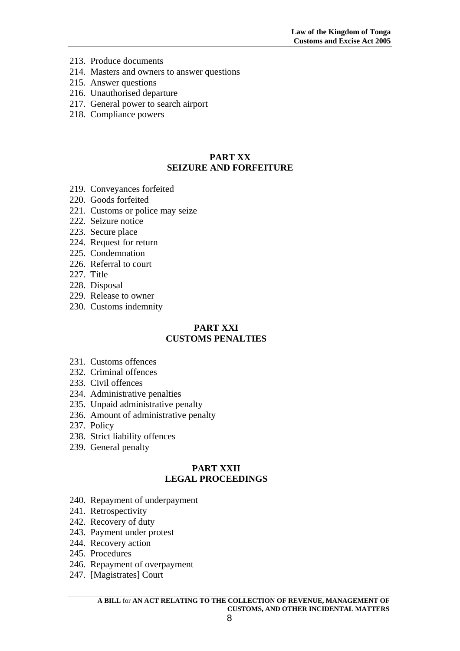- 213. Produce documents
- 214. Masters and owners to answer questions
- 215. Answer questions
- 216. Unauthorised departure
- 217. General power to search airport
- 218. Compliance powers

#### **PART XX SEIZURE AND FORFEITURE**

- 219. Conveyances forfeited
- 220. Goods forfeited
- 221. Customs or police may seize
- 222. Seizure notice
- 223. Secure place
- 224. Request for return
- 225. Condemnation
- 226. Referral to court
- 227. Title
- 228. Disposal
- 229. Release to owner
- 230. Customs indemnity

#### **PART XXI CUSTOMS PENALTIES**

- 231. Customs offences
- 232. Criminal offences
- 233. Civil offences
- 234. Administrative penalties
- 235. Unpaid administrative penalty
- 236. Amount of administrative penalty
- 237. Policy
- 238. Strict liability offences
- 239. General penalty

#### **PART XXII LEGAL PROCEEDINGS**

- 240. Repayment of underpayment
- 241. Retrospectivity
- 242. Recovery of duty
- 243. Payment under protest
- 244. Recovery action
- 245. Procedures
- 246. Repayment of overpayment
- 247. [Magistrates] Court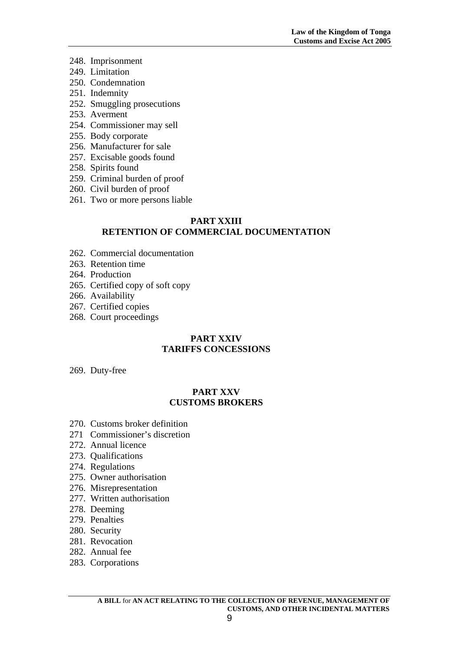- 248. Imprisonment
- 249. Limitation
- 250. Condemnation
- 251. Indemnity
- 252. Smuggling prosecutions
- 253. Averment
- 254. Commissioner may sell
- 255. Body corporate
- 256. Manufacturer for sale
- 257. Excisable goods found
- 258. Spirits found
- 259. Criminal burden of proof
- 260. Civil burden of proof
- 261. Two or more persons liable

#### **PART XXIII RETENTION OF COMMERCIAL DOCUMENTATION**

- 262. Commercial documentation
- 263. Retention time
- 264. Production
- 265. Certified copy of soft copy
- 266. Availability
- 267. Certified copies
- 268. Court proceedings

#### **PART XXIV TARIFFS CONCESSIONS**

269. Duty-free

#### **PART XXV CUSTOMS BROKERS**

- 270. Customs broker definition
- 271 Commissioner's discretion
- 272. Annual licence
- 273. Qualifications
- 274. Regulations
- 275. Owner authorisation
- 276. Misrepresentation
- 277. Written authorisation
- 278. Deeming
- 279. Penalties
- 280. Security
- 281. Revocation
- 282. Annual fee
- 283. Corporations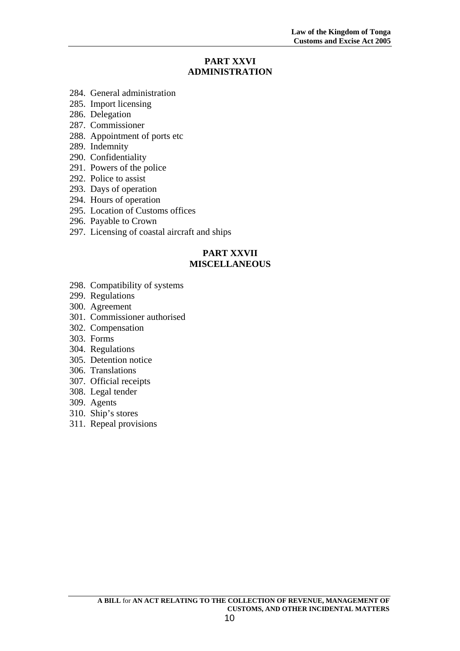#### **PART XXVI ADMINISTRATION**

- 284. General administration
- 285. Import licensing
- 286. Delegation
- 287. Commissioner
- 288. Appointment of ports etc
- 289. Indemnity
- 290. Confidentiality
- 291. Powers of the police
- 292. Police to assist
- 293. Days of operation
- 294. Hours of operation
- 295. Location of Customs offices
- 296. Payable to Crown
- 297. Licensing of coastal aircraft and ships

#### **PART XXVII MISCELLANEOUS**

- 298. Compatibility of systems
- 299. Regulations
- 300. Agreement
- 301. Commissioner authorised
- 302. Compensation
- 303. Forms
- 304. Regulations
- 305. Detention notice
- 306. Translations
- 307. Official receipts
- 308. Legal tender
- 309. Agents
- 310. Ship's stores
- 311. Repeal provisions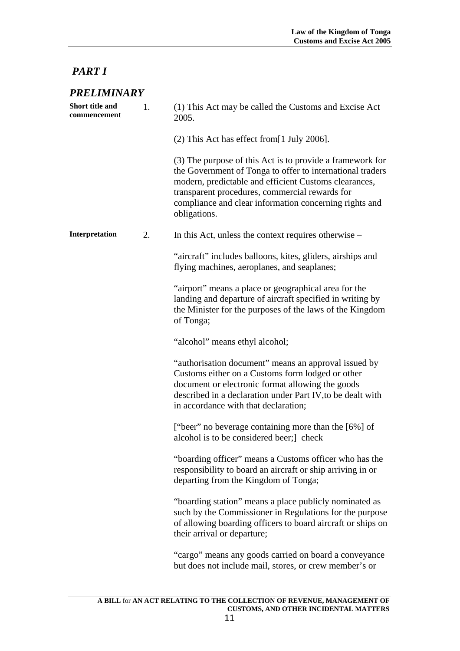## *PART I*

| <b>PRELIMINARY</b>                     |    |                                                                                                                                                                                                                                                                                                             |
|----------------------------------------|----|-------------------------------------------------------------------------------------------------------------------------------------------------------------------------------------------------------------------------------------------------------------------------------------------------------------|
| <b>Short title and</b><br>commencement | 1. | (1) This Act may be called the Customs and Excise Act<br>2005.                                                                                                                                                                                                                                              |
|                                        |    | $(2)$ This Act has effect from [1 July 2006].                                                                                                                                                                                                                                                               |
|                                        |    | (3) The purpose of this Act is to provide a framework for<br>the Government of Tonga to offer to international traders<br>modern, predictable and efficient Customs clearances,<br>transparent procedures, commercial rewards for<br>compliance and clear information concerning rights and<br>obligations. |
| Interpretation                         | 2. | In this Act, unless the context requires otherwise –                                                                                                                                                                                                                                                        |
|                                        |    | "aircraft" includes balloons, kites, gliders, airships and<br>flying machines, aeroplanes, and seaplanes;                                                                                                                                                                                                   |
|                                        |    | "airport" means a place or geographical area for the<br>landing and departure of aircraft specified in writing by<br>the Minister for the purposes of the laws of the Kingdom<br>of Tonga;                                                                                                                  |
|                                        |    | "alcohol" means ethyl alcohol;                                                                                                                                                                                                                                                                              |
|                                        |    | "authorisation document" means an approval issued by<br>Customs either on a Customs form lodged or other<br>document or electronic format allowing the goods<br>described in a declaration under Part IV, to be dealt with<br>in accordance with that declaration;                                          |
|                                        |    | ["beer" no beverage containing more than the [6%] of<br>alcohol is to be considered beer; check                                                                                                                                                                                                             |
|                                        |    | "boarding officer" means a Customs officer who has the<br>responsibility to board an aircraft or ship arriving in or<br>departing from the Kingdom of Tonga;                                                                                                                                                |
|                                        |    | "boarding station" means a place publicly nominated as<br>such by the Commissioner in Regulations for the purpose<br>of allowing boarding officers to board aircraft or ships on<br>their arrival or departure;                                                                                             |
|                                        |    | "cargo" means any goods carried on board a conveyance<br>but does not include mail, stores, or crew member's or                                                                                                                                                                                             |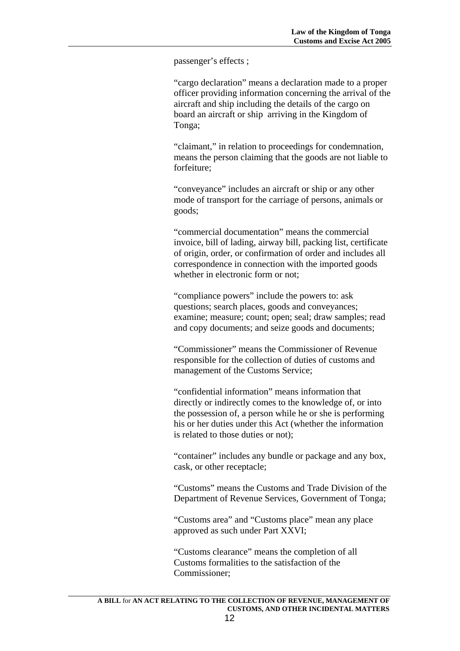passenger's effects ;

"cargo declaration" means a declaration made to a proper officer providing information concerning the arrival of the aircraft and ship including the details of the cargo on board an aircraft or ship arriving in the Kingdom of Tonga;

"claimant," in relation to proceedings for condemnation, means the person claiming that the goods are not liable to forfeiture;

"conveyance" includes an aircraft or ship or any other mode of transport for the carriage of persons, animals or goods;

"commercial documentation" means the commercial invoice, bill of lading, airway bill, packing list, certificate of origin, order, or confirmation of order and includes all correspondence in connection with the imported goods whether in electronic form or not;

"compliance powers" include the powers to: ask questions; search places, goods and conveyances; examine; measure; count; open; seal; draw samples; read and copy documents; and seize goods and documents;

"Commissioner" means the Commissioner of Revenue responsible for the collection of duties of customs and management of the Customs Service;

"confidential information" means information that directly or indirectly comes to the knowledge of, or into the possession of, a person while he or she is performing his or her duties under this Act (whether the information is related to those duties or not);

"container" includes any bundle or package and any box, cask, or other receptacle;

"Customs" means the Customs and Trade Division of the Department of Revenue Services, Government of Tonga;

"Customs area" and "Customs place" mean any place approved as such under Part XXVI;

"Customs clearance" means the completion of all Customs formalities to the satisfaction of the Commissioner;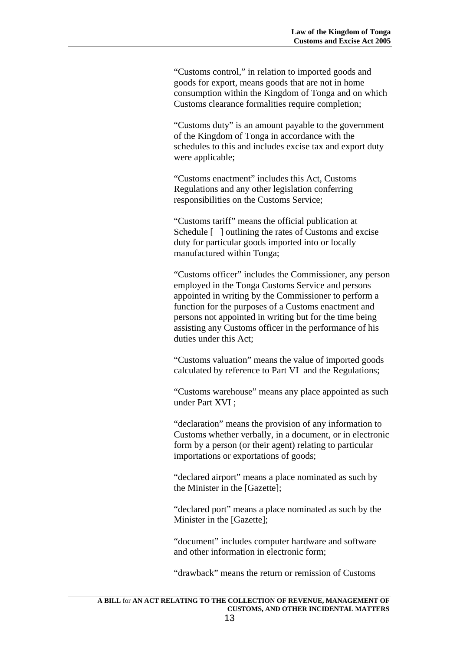"Customs control," in relation to imported goods and goods for export, means goods that are not in home consumption within the Kingdom of Tonga and on which Customs clearance formalities require completion;

"Customs duty" is an amount payable to the government of the Kingdom of Tonga in accordance with the schedules to this and includes excise tax and export duty were applicable;

"Customs enactment" includes this Act, Customs Regulations and any other legislation conferring responsibilities on the Customs Service;

"Customs tariff" means the official publication at Schedule  $\lceil \ \rceil$  outlining the rates of Customs and excise duty for particular goods imported into or locally manufactured within Tonga;

"Customs officer" includes the Commissioner, any person employed in the Tonga Customs Service and persons appointed in writing by the Commissioner to perform a function for the purposes of a Customs enactment and persons not appointed in writing but for the time being assisting any Customs officer in the performance of his duties under this Act;

"Customs valuation" means the value of imported goods calculated by reference to Part VI and the Regulations;

"Customs warehouse" means any place appointed as such under Part XVI ;

"declaration" means the provision of any information to Customs whether verbally, in a document, or in electronic form by a person (or their agent) relating to particular importations or exportations of goods;

"declared airport" means a place nominated as such by the Minister in the [Gazette];

"declared port" means a place nominated as such by the Minister in the [Gazette];

"document" includes computer hardware and software and other information in electronic form;

"drawback" means the return or remission of Customs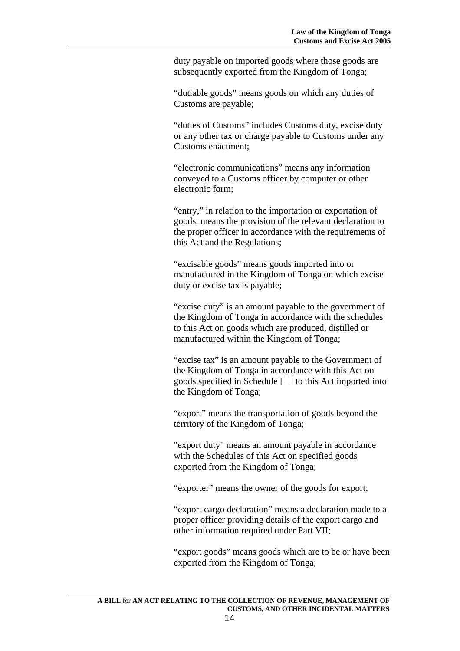duty payable on imported goods where those goods are subsequently exported from the Kingdom of Tonga;

"dutiable goods" means goods on which any duties of Customs are payable;

"duties of Customs" includes Customs duty, excise duty or any other tax or charge payable to Customs under any Customs enactment;

"electronic communications" means any information conveyed to a Customs officer by computer or other electronic form;

"entry," in relation to the importation or exportation of goods, means the provision of the relevant declaration to the proper officer in accordance with the requirements of this Act and the Regulations;

"excisable goods" means goods imported into or manufactured in the Kingdom of Tonga on which excise duty or excise tax is payable;

"excise duty" is an amount payable to the government of the Kingdom of Tonga in accordance with the schedules to this Act on goods which are produced, distilled or manufactured within the Kingdom of Tonga;

"excise tax" is an amount payable to the Government of the Kingdom of Tonga in accordance with this Act on goods specified in Schedule [ ] to this Act imported into the Kingdom of Tonga;

"export" means the transportation of goods beyond the territory of the Kingdom of Tonga;

"export duty" means an amount payable in accordance with the Schedules of this Act on specified goods exported from the Kingdom of Tonga;

"exporter" means the owner of the goods for export;

"export cargo declaration" means a declaration made to a proper officer providing details of the export cargo and other information required under Part VII;

"export goods" means goods which are to be or have been exported from the Kingdom of Tonga;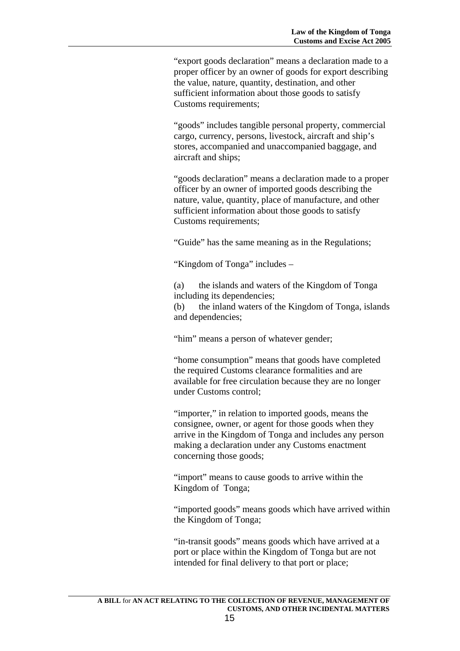"export goods declaration" means a declaration made to a proper officer by an owner of goods for export describing the value, nature, quantity, destination, and other sufficient information about those goods to satisfy Customs requirements;

"goods" includes tangible personal property, commercial cargo, currency, persons, livestock, aircraft and ship's stores, accompanied and unaccompanied baggage, and aircraft and ships;

"goods declaration" means a declaration made to a proper officer by an owner of imported goods describing the nature, value, quantity, place of manufacture, and other sufficient information about those goods to satisfy Customs requirements;

"Guide" has the same meaning as in the Regulations;

"Kingdom of Tonga" includes –

(a) the islands and waters of the Kingdom of Tonga including its dependencies;

(b) the inland waters of the Kingdom of Tonga, islands and dependencies;

"him" means a person of whatever gender;

"home consumption" means that goods have completed the required Customs clearance formalities and are available for free circulation because they are no longer under Customs control;

"importer," in relation to imported goods, means the consignee, owner, or agent for those goods when they arrive in the Kingdom of Tonga and includes any person making a declaration under any Customs enactment concerning those goods;

"import" means to cause goods to arrive within the Kingdom of Tonga;

"imported goods" means goods which have arrived within the Kingdom of Tonga;

"in-transit goods" means goods which have arrived at a port or place within the Kingdom of Tonga but are not intended for final delivery to that port or place;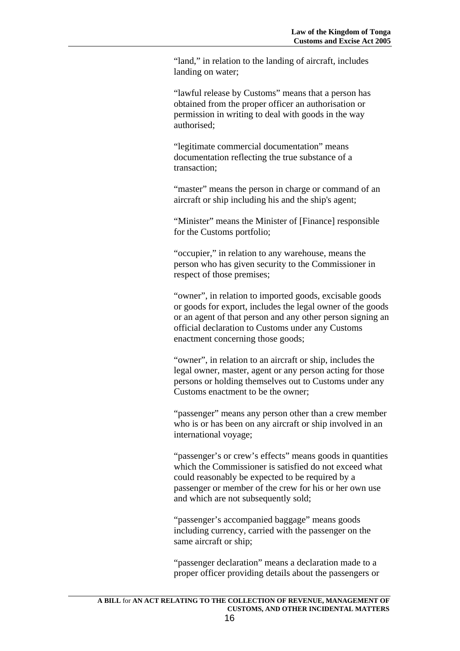"land," in relation to the landing of aircraft, includes landing on water;

"lawful release by Customs" means that a person has obtained from the proper officer an authorisation or permission in writing to deal with goods in the way authorised;

"legitimate commercial documentation" means documentation reflecting the true substance of a transaction;

"master" means the person in charge or command of an aircraft or ship including his and the ship's agent;

"Minister" means the Minister of [Finance] responsible for the Customs portfolio;

"occupier," in relation to any warehouse, means the person who has given security to the Commissioner in respect of those premises;

"owner", in relation to imported goods, excisable goods or goods for export, includes the legal owner of the goods or an agent of that person and any other person signing an official declaration to Customs under any Customs enactment concerning those goods;

"owner", in relation to an aircraft or ship, includes the legal owner, master, agent or any person acting for those persons or holding themselves out to Customs under any Customs enactment to be the owner;

"passenger" means any person other than a crew member who is or has been on any aircraft or ship involved in an international voyage;

"passenger's or crew's effects" means goods in quantities which the Commissioner is satisfied do not exceed what could reasonably be expected to be required by a passenger or member of the crew for his or her own use and which are not subsequently sold;

"passenger's accompanied baggage" means goods including currency, carried with the passenger on the same aircraft or ship;

"passenger declaration" means a declaration made to a proper officer providing details about the passengers or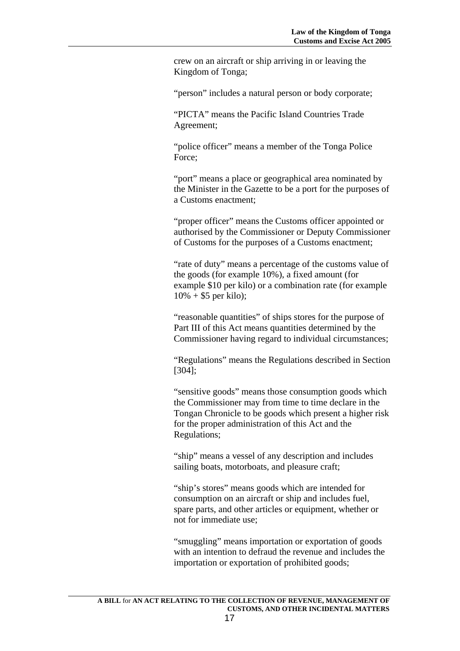crew on an aircraft or ship arriving in or leaving the Kingdom of Tonga;

"person" includes a natural person or body corporate;

"PICTA" means the Pacific Island Countries Trade Agreement;

"police officer" means a member of the Tonga Police Force;

"port" means a place or geographical area nominated by the Minister in the Gazette to be a port for the purposes of a Customs enactment;

"proper officer" means the Customs officer appointed or authorised by the Commissioner or Deputy Commissioner of Customs for the purposes of a Customs enactment;

"rate of duty" means a percentage of the customs value of the goods (for example 10%), a fixed amount (for example \$10 per kilo) or a combination rate (for example 10% + \$5 per kilo);

"reasonable quantities" of ships stores for the purpose of Part III of this Act means quantities determined by the Commissioner having regard to individual circumstances;

"Regulations" means the Regulations described in Section [304];

"sensitive goods" means those consumption goods which the Commissioner may from time to time declare in the Tongan Chronicle to be goods which present a higher risk for the proper administration of this Act and the Regulations;

"ship" means a vessel of any description and includes sailing boats, motorboats, and pleasure craft;

"ship's stores" means goods which are intended for consumption on an aircraft or ship and includes fuel, spare parts, and other articles or equipment, whether or not for immediate use;

"smuggling" means importation or exportation of goods with an intention to defraud the revenue and includes the importation or exportation of prohibited goods;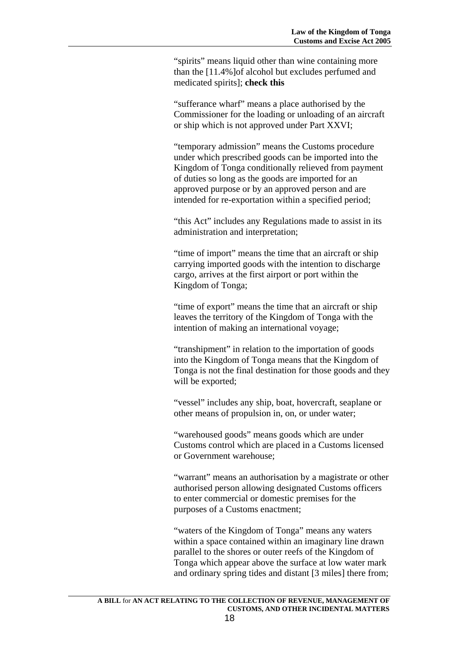"spirits" means liquid other than wine containing more than the [11.4%]of alcohol but excludes perfumed and medicated spirits]; **check this**

"sufferance wharf" means a place authorised by the Commissioner for the loading or unloading of an aircraft or ship which is not approved under Part XXVI;

"temporary admission" means the Customs procedure under which prescribed goods can be imported into the Kingdom of Tonga conditionally relieved from payment of duties so long as the goods are imported for an approved purpose or by an approved person and are intended for re-exportation within a specified period;

"this Act" includes any Regulations made to assist in its administration and interpretation;

"time of import" means the time that an aircraft or ship carrying imported goods with the intention to discharge cargo, arrives at the first airport or port within the Kingdom of Tonga;

"time of export" means the time that an aircraft or ship leaves the territory of the Kingdom of Tonga with the intention of making an international voyage;

"transhipment" in relation to the importation of goods into the Kingdom of Tonga means that the Kingdom of Tonga is not the final destination for those goods and they will be exported;

"vessel" includes any ship, boat, hovercraft, seaplane or other means of propulsion in, on, or under water;

"warehoused goods" means goods which are under Customs control which are placed in a Customs licensed or Government warehouse;

"warrant" means an authorisation by a magistrate or other authorised person allowing designated Customs officers to enter commercial or domestic premises for the purposes of a Customs enactment;

"waters of the Kingdom of Tonga" means any waters within a space contained within an imaginary line drawn parallel to the shores or outer reefs of the Kingdom of Tonga which appear above the surface at low water mark and ordinary spring tides and distant [3 miles] there from;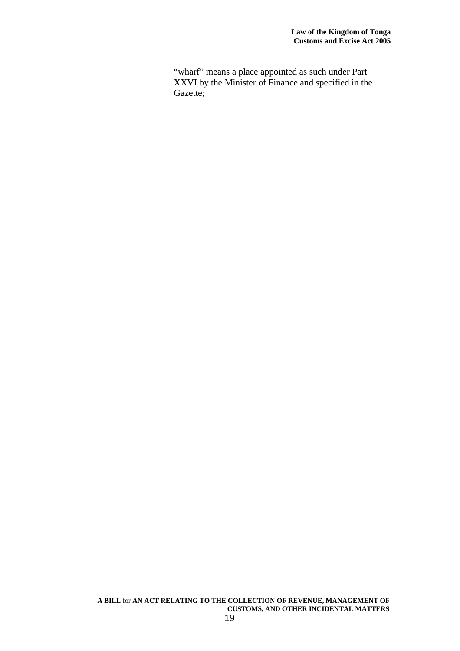"wharf" means a place appointed as such under Part XXVI by the Minister of Finance and specified in the Gazette;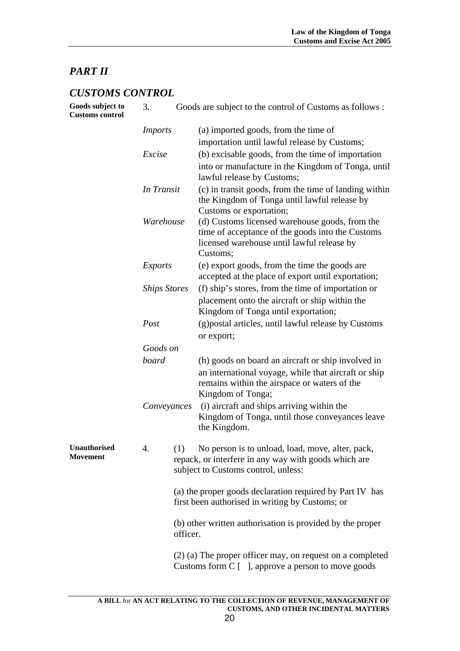## *PART II*

## *CUSTOMS CONTROL*

| Goods subject to<br><b>Customs control</b> | 3.                  |          | Goods are subject to the control of Customs as follows :                                                                                                     |
|--------------------------------------------|---------------------|----------|--------------------------------------------------------------------------------------------------------------------------------------------------------------|
|                                            | <i>Imports</i>      |          | (a) imported goods, from the time of                                                                                                                         |
|                                            |                     |          | importation until lawful release by Customs;                                                                                                                 |
|                                            | Excise              |          | (b) excisable goods, from the time of importation                                                                                                            |
|                                            |                     |          | into or manufacture in the Kingdom of Tonga, until<br>lawful release by Customs;                                                                             |
|                                            | In Transit          |          | (c) in transit goods, from the time of landing within<br>the Kingdom of Tonga until lawful release by<br>Customs or exportation;                             |
|                                            | Warehouse           |          | (d) Customs licensed warehouse goods, from the<br>time of acceptance of the goods into the Customs<br>licensed warehouse until lawful release by<br>Customs; |
|                                            | <i>Exports</i>      |          | (e) export goods, from the time the goods are<br>accepted at the place of export until exportation;                                                          |
|                                            | <b>Ships Stores</b> |          | (f) ship's stores, from the time of importation or                                                                                                           |
|                                            |                     |          | placement onto the aircraft or ship within the<br>Kingdom of Tonga until exportation;                                                                        |
|                                            | Post                |          | (g) postal articles, until lawful release by Customs                                                                                                         |
|                                            |                     |          | or export;                                                                                                                                                   |
|                                            | Goods on            |          |                                                                                                                                                              |
|                                            | board               |          | (h) goods on board an aircraft or ship involved in                                                                                                           |
|                                            |                     |          | an international voyage, while that aircraft or ship<br>remains within the airspace or waters of the<br>Kingdom of Tonga;                                    |
|                                            | Conveyances         |          | (i) aircraft and ships arriving within the<br>Kingdom of Tonga, until those conveyances leave<br>the Kingdom.                                                |
| <b>Unauthorised</b><br>Movement            | 4.                  | (1)      | No person is to unload, load, move, alter, pack,<br>repack, or interfere in any way with goods which are<br>subject to Customs control, unless:              |
|                                            |                     |          | (a) the proper goods declaration required by Part IV has<br>first been authorised in writing by Customs; or                                                  |
|                                            |                     | officer. | (b) other written authorisation is provided by the proper                                                                                                    |
|                                            |                     |          | $(2)$ (a) The proper officer may, on request on a completed<br>Customs form $C$ [ ], approve a person to move goods                                          |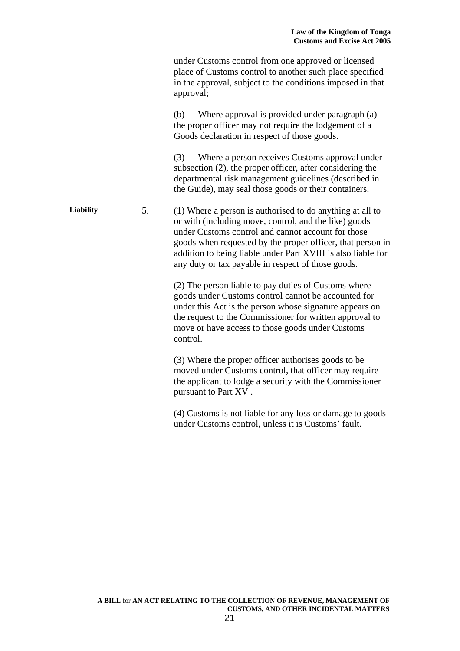under Customs control from one approved or licensed place of Customs control to another such place specified in the approval, subject to the conditions imposed in that approval;

(b) Where approval is provided under paragraph (a) the proper officer may not require the lodgement of a Goods declaration in respect of those goods.

(3) Where a person receives Customs approval under subsection (2), the proper officer, after considering the departmental risk management guidelines (described in the Guide), may seal those goods or their containers.

Liability 5. (1) Where a person is authorised to do anything at all to or with (including move, control, and the like) goods under Customs control and cannot account for those goods when requested by the proper officer, that person in addition to being liable under Part XVIII is also liable for any duty or tax payable in respect of those goods.

> (2) The person liable to pay duties of Customs where goods under Customs control cannot be accounted for under this Act is the person whose signature appears on the request to the Commissioner for written approval to move or have access to those goods under Customs control.

> (3) Where the proper officer authorises goods to be moved under Customs control, that officer may require the applicant to lodge a security with the Commissioner pursuant to Part XV .

(4) Customs is not liable for any loss or damage to goods under Customs control, unless it is Customs' fault.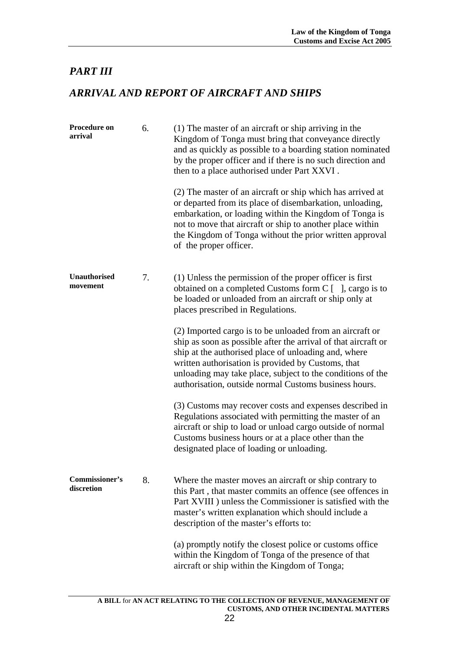### *PART III*

## *ARRIVAL AND REPORT OF AIRCRAFT AND SHIPS*

| Procedure on<br>arrival         | 6. | (1) The master of an aircraft or ship arriving in the<br>Kingdom of Tonga must bring that conveyance directly<br>and as quickly as possible to a boarding station nominated<br>by the proper officer and if there is no such direction and<br>then to a place authorised under Part XXVI.<br>(2) The master of an aircraft or ship which has arrived at<br>or departed from its place of disembarkation, unloading,<br>embarkation, or loading within the Kingdom of Tonga is<br>not to move that aircraft or ship to another place within<br>the Kingdom of Tonga without the prior written approval<br>of the proper officer. |
|---------------------------------|----|---------------------------------------------------------------------------------------------------------------------------------------------------------------------------------------------------------------------------------------------------------------------------------------------------------------------------------------------------------------------------------------------------------------------------------------------------------------------------------------------------------------------------------------------------------------------------------------------------------------------------------|
| <b>Unauthorised</b><br>movement | 7. | (1) Unless the permission of the proper officer is first<br>obtained on a completed Customs form $C$ [ ], cargo is to<br>be loaded or unloaded from an aircraft or ship only at<br>places prescribed in Regulations.                                                                                                                                                                                                                                                                                                                                                                                                            |
|                                 |    | (2) Imported cargo is to be unloaded from an aircraft or<br>ship as soon as possible after the arrival of that aircraft or<br>ship at the authorised place of unloading and, where<br>written authorisation is provided by Customs, that<br>unloading may take place, subject to the conditions of the<br>authorisation, outside normal Customs business hours.                                                                                                                                                                                                                                                                 |
|                                 |    | (3) Customs may recover costs and expenses described in<br>Regulations associated with permitting the master of an<br>aircraft or ship to load or unload cargo outside of normal<br>Customs business hours or at a place other than the<br>designated place of loading or unloading.                                                                                                                                                                                                                                                                                                                                            |
| Commissioner's<br>discretion    | 8. | Where the master moves an aircraft or ship contrary to<br>this Part, that master commits an offence (see offences in<br>Part XVIII) unless the Commissioner is satisfied with the<br>master's written explanation which should include a<br>description of the master's efforts to:                                                                                                                                                                                                                                                                                                                                             |
|                                 |    | (a) promptly notify the closest police or customs office<br>within the Kingdom of Tonga of the presence of that<br>aircraft or ship within the Kingdom of Tonga;                                                                                                                                                                                                                                                                                                                                                                                                                                                                |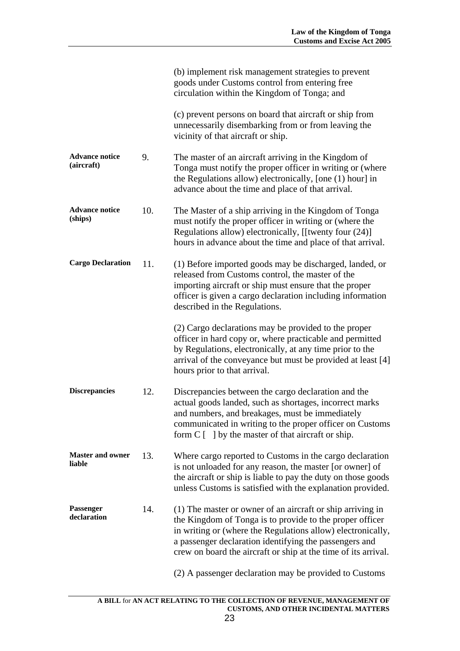|                                     |     | (b) implement risk management strategies to prevent<br>goods under Customs control from entering free<br>circulation within the Kingdom of Tonga; and                                                                                                                                                                           |
|-------------------------------------|-----|---------------------------------------------------------------------------------------------------------------------------------------------------------------------------------------------------------------------------------------------------------------------------------------------------------------------------------|
|                                     |     | (c) prevent persons on board that aircraft or ship from<br>unnecessarily disembarking from or from leaving the<br>vicinity of that aircraft or ship.                                                                                                                                                                            |
| <b>Advance notice</b><br>(aircraft) | 9.  | The master of an aircraft arriving in the Kingdom of<br>Tonga must notify the proper officer in writing or (where<br>the Regulations allow) electronically, [one (1) hour] in<br>advance about the time and place of that arrival.                                                                                              |
| <b>Advance notice</b><br>(ships)    | 10. | The Master of a ship arriving in the Kingdom of Tonga<br>must notify the proper officer in writing or (where the<br>Regulations allow) electronically, [[twenty four (24)]<br>hours in advance about the time and place of that arrival.                                                                                        |
| <b>Cargo Declaration</b>            | 11. | (1) Before imported goods may be discharged, landed, or<br>released from Customs control, the master of the<br>importing aircraft or ship must ensure that the proper<br>officer is given a cargo declaration including information<br>described in the Regulations.                                                            |
|                                     |     | (2) Cargo declarations may be provided to the proper<br>officer in hard copy or, where practicable and permitted<br>by Regulations, electronically, at any time prior to the<br>arrival of the conveyance but must be provided at least [4]<br>hours prior to that arrival.                                                     |
| <b>Discrepancies</b>                | 12. | Discrepancies between the cargo declaration and the<br>actual goods landed, such as shortages, incorrect marks<br>and numbers, and breakages, must be immediately<br>communicated in writing to the proper officer on Customs<br>form $C$ $\left[ \begin{array}{c} \end{array} \right]$ by the master of that aircraft or ship. |
| <b>Master and owner</b><br>liable   | 13. | Where cargo reported to Customs in the cargo declaration<br>is not unloaded for any reason, the master [or owner] of<br>the aircraft or ship is liable to pay the duty on those goods<br>unless Customs is satisfied with the explanation provided.                                                                             |
| Passenger<br>declaration            | 14. | (1) The master or owner of an aircraft or ship arriving in<br>the Kingdom of Tonga is to provide to the proper officer<br>in writing or (where the Regulations allow) electronically,<br>a passenger declaration identifying the passengers and<br>crew on board the aircraft or ship at the time of its arrival.               |
|                                     |     | (2) A passenger declaration may be provided to Customs                                                                                                                                                                                                                                                                          |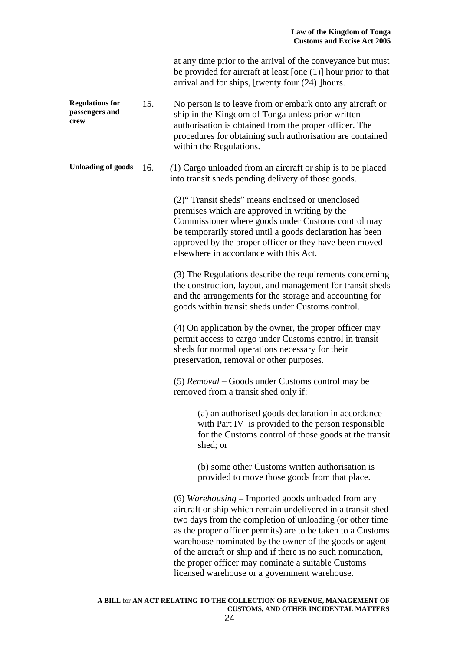at any time prior to the arrival of the conveyance but must be provided for aircraft at least [one (1)] hour prior to that arrival and for ships, [twenty four (24) ]hours.

- **Regulations for passengers and crew**  15. No person is to leave from or embark onto any aircraft or ship in the Kingdom of Tonga unless prior written authorisation is obtained from the proper officer. The procedures for obtaining such authorisation are contained within the Regulations.
- **Unloading of goods** 16. *(*1) Cargo unloaded from an aircraft or ship is to be placed into transit sheds pending delivery of those goods.

(2)" Transit sheds" means enclosed or unenclosed premises which are approved in writing by the Commissioner where goods under Customs control may be temporarily stored until a goods declaration has been approved by the proper officer or they have been moved elsewhere in accordance with this Act.

(3) The Regulations describe the requirements concerning the construction, layout, and management for transit sheds and the arrangements for the storage and accounting for goods within transit sheds under Customs control.

(4) On application by the owner, the proper officer may permit access to cargo under Customs control in transit sheds for normal operations necessary for their preservation, removal or other purposes.

(5) *Removal –* Goods under Customs control may be removed from a transit shed only if:

> (a) an authorised goods declaration in accordance with Part IV is provided to the person responsible for the Customs control of those goods at the transit shed; or

(b) some other Customs written authorisation is provided to move those goods from that place.

(6) *Warehousing* – Imported goods unloaded from any aircraft or ship which remain undelivered in a transit shed two days from the completion of unloading (or other time as the proper officer permits) are to be taken to a Customs warehouse nominated by the owner of the goods or agent of the aircraft or ship and if there is no such nomination, the proper officer may nominate a suitable Customs licensed warehouse or a government warehouse.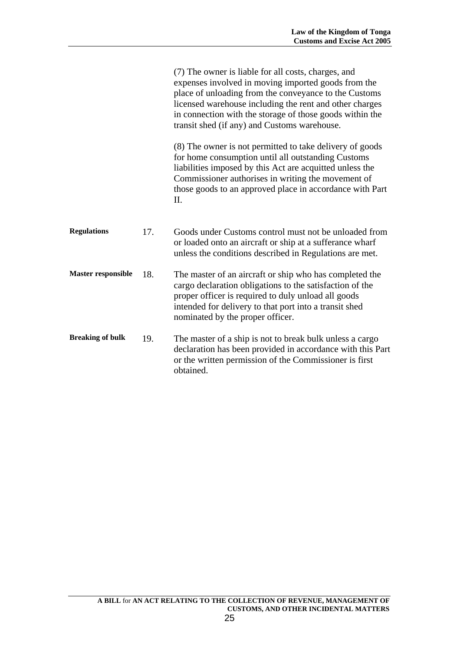|                           |     | (7) The owner is liable for all costs, charges, and<br>expenses involved in moving imported goods from the<br>place of unloading from the conveyance to the Customs<br>licensed warehouse including the rent and other charges<br>in connection with the storage of those goods within the<br>transit shed (if any) and Customs warehouse.<br>(8) The owner is not permitted to take delivery of goods<br>for home consumption until all outstanding Customs<br>liabilities imposed by this Act are acquitted unless the |
|---------------------------|-----|--------------------------------------------------------------------------------------------------------------------------------------------------------------------------------------------------------------------------------------------------------------------------------------------------------------------------------------------------------------------------------------------------------------------------------------------------------------------------------------------------------------------------|
|                           |     | Commissioner authorises in writing the movement of<br>those goods to an approved place in accordance with Part<br>II.                                                                                                                                                                                                                                                                                                                                                                                                    |
| <b>Regulations</b>        | 17. | Goods under Customs control must not be unloaded from<br>or loaded onto an aircraft or ship at a sufferance wharf<br>unless the conditions described in Regulations are met.                                                                                                                                                                                                                                                                                                                                             |
| <b>Master responsible</b> | 18. | The master of an aircraft or ship who has completed the<br>cargo declaration obligations to the satisfaction of the<br>proper officer is required to duly unload all goods<br>intended for delivery to that port into a transit shed<br>nominated by the proper officer.                                                                                                                                                                                                                                                 |
| <b>Breaking of bulk</b>   | 19. | The master of a ship is not to break bulk unless a cargo<br>declaration has been provided in accordance with this Part<br>or the written permission of the Commissioner is first<br>obtained.                                                                                                                                                                                                                                                                                                                            |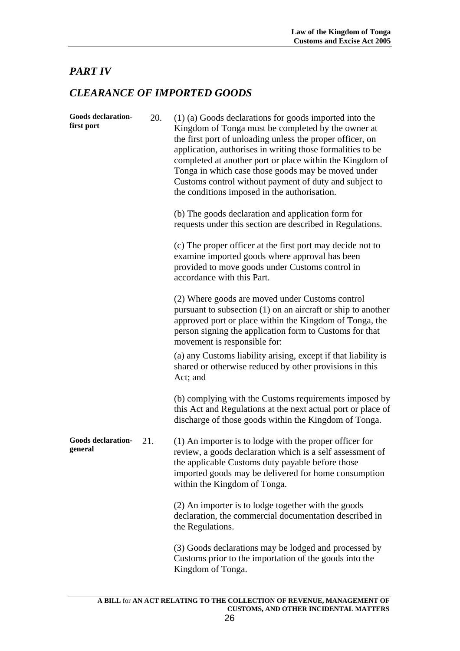### *PART IV*

## *CLEARANCE OF IMPORTED GOODS*

| <b>Goods declaration-</b><br>first port | 20. | (1) (a) Goods declarations for goods imported into the<br>Kingdom of Tonga must be completed by the owner at<br>the first port of unloading unless the proper officer, on<br>application, authorises in writing those formalities to be<br>completed at another port or place within the Kingdom of<br>Tonga in which case those goods may be moved under<br>Customs control without payment of duty and subject to<br>the conditions imposed in the authorisation. |
|-----------------------------------------|-----|---------------------------------------------------------------------------------------------------------------------------------------------------------------------------------------------------------------------------------------------------------------------------------------------------------------------------------------------------------------------------------------------------------------------------------------------------------------------|
|                                         |     | (b) The goods declaration and application form for<br>requests under this section are described in Regulations.                                                                                                                                                                                                                                                                                                                                                     |
|                                         |     | (c) The proper officer at the first port may decide not to<br>examine imported goods where approval has been<br>provided to move goods under Customs control in<br>accordance with this Part.                                                                                                                                                                                                                                                                       |
|                                         |     | (2) Where goods are moved under Customs control<br>pursuant to subsection $(1)$ on an aircraft or ship to another<br>approved port or place within the Kingdom of Tonga, the<br>person signing the application form to Customs for that<br>movement is responsible for:                                                                                                                                                                                             |
|                                         |     | (a) any Customs liability arising, except if that liability is<br>shared or otherwise reduced by other provisions in this<br>Act; and                                                                                                                                                                                                                                                                                                                               |
|                                         |     | (b) complying with the Customs requirements imposed by<br>this Act and Regulations at the next actual port or place of<br>discharge of those goods within the Kingdom of Tonga.                                                                                                                                                                                                                                                                                     |
| <b>Goods declaration-</b><br>general    | 21. | (1) An importer is to lodge with the proper officer for<br>review, a goods declaration which is a self assessment of<br>the applicable Customs duty payable before those<br>imported goods may be delivered for home consumption<br>within the Kingdom of Tonga.                                                                                                                                                                                                    |
|                                         |     | (2) An importer is to lodge together with the goods<br>declaration, the commercial documentation described in<br>the Regulations.                                                                                                                                                                                                                                                                                                                                   |
|                                         |     | (3) Goods declarations may be lodged and processed by<br>Customs prior to the importation of the goods into the<br>Kingdom of Tonga.                                                                                                                                                                                                                                                                                                                                |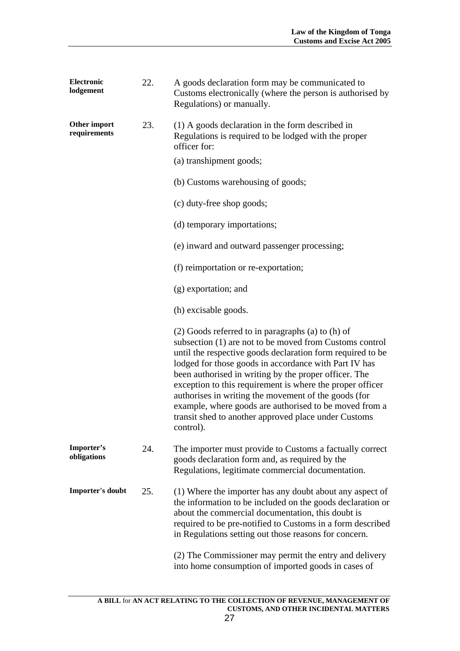| Electronic<br>lodgement             | 22. | A goods declaration form may be communicated to<br>Customs electronically (where the person is authorised by<br>Regulations) or manually.                                                                                                                                                                                                                                                                                                                                                                                                              |
|-------------------------------------|-----|--------------------------------------------------------------------------------------------------------------------------------------------------------------------------------------------------------------------------------------------------------------------------------------------------------------------------------------------------------------------------------------------------------------------------------------------------------------------------------------------------------------------------------------------------------|
| <b>Other import</b><br>requirements | 23. | (1) A goods declaration in the form described in<br>Regulations is required to be lodged with the proper<br>officer for:                                                                                                                                                                                                                                                                                                                                                                                                                               |
|                                     |     | (a) transhipment goods;                                                                                                                                                                                                                                                                                                                                                                                                                                                                                                                                |
|                                     |     | (b) Customs warehousing of goods;                                                                                                                                                                                                                                                                                                                                                                                                                                                                                                                      |
|                                     |     | (c) duty-free shop goods;                                                                                                                                                                                                                                                                                                                                                                                                                                                                                                                              |
|                                     |     | (d) temporary importations;                                                                                                                                                                                                                                                                                                                                                                                                                                                                                                                            |
|                                     |     | (e) inward and outward passenger processing;                                                                                                                                                                                                                                                                                                                                                                                                                                                                                                           |
|                                     |     | (f) reimportation or re-exportation;                                                                                                                                                                                                                                                                                                                                                                                                                                                                                                                   |
|                                     |     | (g) exportation; and                                                                                                                                                                                                                                                                                                                                                                                                                                                                                                                                   |
|                                     |     | (h) excisable goods.                                                                                                                                                                                                                                                                                                                                                                                                                                                                                                                                   |
|                                     |     | $(2)$ Goods referred to in paragraphs $(a)$ to $(h)$ of<br>subsection (1) are not to be moved from Customs control<br>until the respective goods declaration form required to be<br>lodged for those goods in accordance with Part IV has<br>been authorised in writing by the proper officer. The<br>exception to this requirement is where the proper officer<br>authorises in writing the movement of the goods (for<br>example, where goods are authorised to be moved from a<br>transit shed to another approved place under Customs<br>control). |
| Importer's<br>obligations           | 24. | The importer must provide to Customs a factually correct<br>goods declaration form and, as required by the<br>Regulations, legitimate commercial documentation.                                                                                                                                                                                                                                                                                                                                                                                        |
| Importer's doubt                    | 25. | (1) Where the importer has any doubt about any aspect of<br>the information to be included on the goods declaration or<br>about the commercial documentation, this doubt is<br>required to be pre-notified to Customs in a form described<br>in Regulations setting out those reasons for concern.                                                                                                                                                                                                                                                     |
|                                     |     | (2) The Commissioner may permit the entry and delivery<br>into home consumption of imported goods in cases of                                                                                                                                                                                                                                                                                                                                                                                                                                          |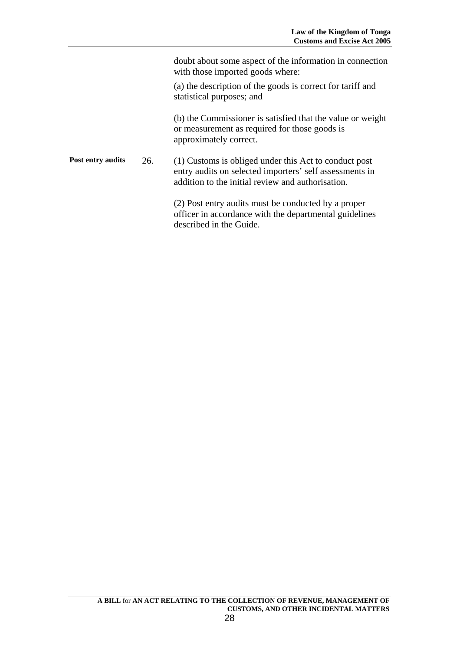doubt about some aspect of the information in connection with those imported goods where:

(a) the description of the goods is correct for tariff and statistical purposes; and

(b) the Commissioner is satisfied that the value or weight or measurement as required for those goods is approximately correct.

Post entry audits 26. (1) Customs is obliged under this Act to conduct post entry audits on selected importers' self assessments in addition to the initial review and authorisation.

> (2) Post entry audits must be conducted by a proper officer in accordance with the departmental guidelines described in the Guide.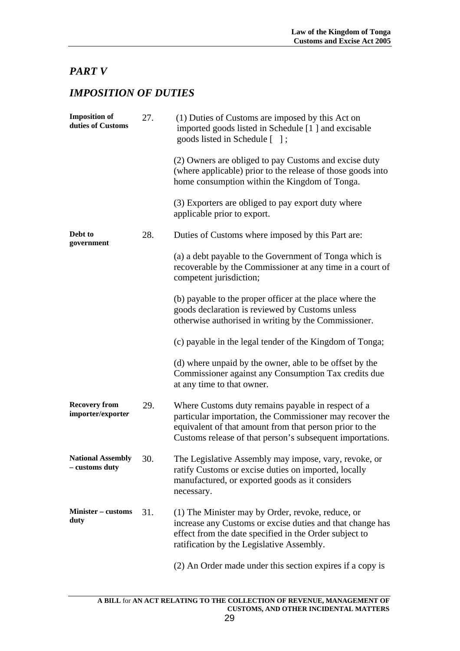### *PART V*

## *IMPOSITION OF DUTIES*

| <b>Imposition of</b><br>duties of Customs  | 27. | (1) Duties of Customs are imposed by this Act on<br>imported goods listed in Schedule [1] and excisable<br>goods listed in Schedule [ ];                                                                                               |
|--------------------------------------------|-----|----------------------------------------------------------------------------------------------------------------------------------------------------------------------------------------------------------------------------------------|
|                                            |     | (2) Owners are obliged to pay Customs and excise duty<br>(where applicable) prior to the release of those goods into<br>home consumption within the Kingdom of Tonga.                                                                  |
|                                            |     | (3) Exporters are obliged to pay export duty where<br>applicable prior to export.                                                                                                                                                      |
| Debt to<br>government                      | 28. | Duties of Customs where imposed by this Part are:                                                                                                                                                                                      |
|                                            |     | (a) a debt payable to the Government of Tonga which is<br>recoverable by the Commissioner at any time in a court of<br>competent jurisdiction;                                                                                         |
|                                            |     | (b) payable to the proper officer at the place where the<br>goods declaration is reviewed by Customs unless<br>otherwise authorised in writing by the Commissioner.                                                                    |
|                                            |     | (c) payable in the legal tender of the Kingdom of Tonga;                                                                                                                                                                               |
|                                            |     | (d) where unpaid by the owner, able to be offset by the<br>Commissioner against any Consumption Tax credits due<br>at any time to that owner.                                                                                          |
| <b>Recovery from</b><br>importer/exporter  | 29. | Where Customs duty remains payable in respect of a<br>particular importation, the Commissioner may recover the<br>equivalent of that amount from that person prior to the<br>Customs release of that person's subsequent importations. |
| <b>National Assembly</b><br>- customs duty | 30  | The Legislative Assembly may impose, vary, revoke, or<br>ratify Customs or excise duties on imported, locally<br>manufactured, or exported goods as it considers<br>necessary.                                                         |
| <b>Minister</b> – customs<br>duty          | 31. | (1) The Minister may by Order, revoke, reduce, or<br>increase any Customs or excise duties and that change has<br>effect from the date specified in the Order subject to<br>ratification by the Legislative Assembly.                  |
|                                            |     | (2) An Order made under this section expires if a copy is                                                                                                                                                                              |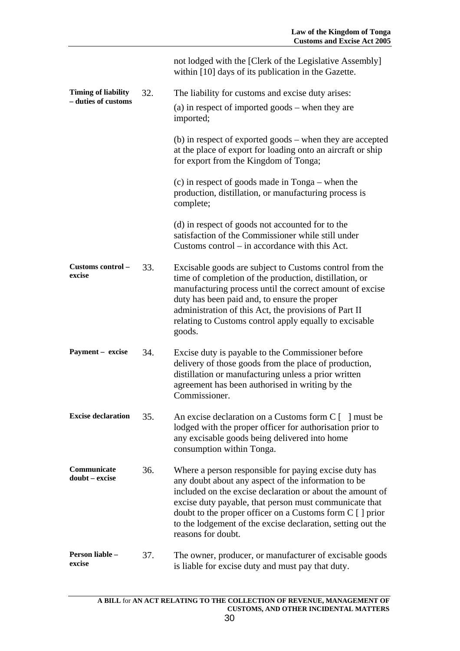|                                                   |     | not lodged with the [Clerk of the Legislative Assembly]<br>within [10] days of its publication in the Gazette.                                                                                                                                                                                                                                                                          |
|---------------------------------------------------|-----|-----------------------------------------------------------------------------------------------------------------------------------------------------------------------------------------------------------------------------------------------------------------------------------------------------------------------------------------------------------------------------------------|
| <b>Timing of liability</b><br>- duties of customs | 32. | The liability for customs and excise duty arises:<br>(a) in respect of imported goods – when they are<br>imported;                                                                                                                                                                                                                                                                      |
|                                                   |     | (b) in respect of exported goods – when they are accepted<br>at the place of export for loading onto an aircraft or ship<br>for export from the Kingdom of Tonga;                                                                                                                                                                                                                       |
|                                                   |     | (c) in respect of goods made in Tonga – when the<br>production, distillation, or manufacturing process is<br>complete;                                                                                                                                                                                                                                                                  |
|                                                   |     | (d) in respect of goods not accounted for to the<br>satisfaction of the Commissioner while still under<br>Customs control – in accordance with this Act.                                                                                                                                                                                                                                |
| Customs control –<br>excise                       | 33. | Excisable goods are subject to Customs control from the<br>time of completion of the production, distillation, or<br>manufacturing process until the correct amount of excise<br>duty has been paid and, to ensure the proper<br>administration of this Act, the provisions of Part II<br>relating to Customs control apply equally to excisable<br>goods.                              |
| Payment - excise                                  | 34. | Excise duty is payable to the Commissioner before<br>delivery of those goods from the place of production,<br>distillation or manufacturing unless a prior written<br>agreement has been authorised in writing by the<br>Commissioner.                                                                                                                                                  |
| <b>Excise declaration</b>                         | 35. | An excise declaration on a Customs form $C[\ ]$ must be<br>lodged with the proper officer for authorisation prior to<br>any excisable goods being delivered into home<br>consumption within Tonga.                                                                                                                                                                                      |
| Communicate<br>doubt – excise                     | 36. | Where a person responsible for paying excise duty has<br>any doubt about any aspect of the information to be<br>included on the excise declaration or about the amount of<br>excise duty payable, that person must communicate that<br>doubt to the proper officer on a Customs form $C[\ ]$ prior<br>to the lodgement of the excise declaration, setting out the<br>reasons for doubt. |
| Person liable -<br>excise                         | 37. | The owner, producer, or manufacturer of excisable goods<br>is liable for excise duty and must pay that duty.                                                                                                                                                                                                                                                                            |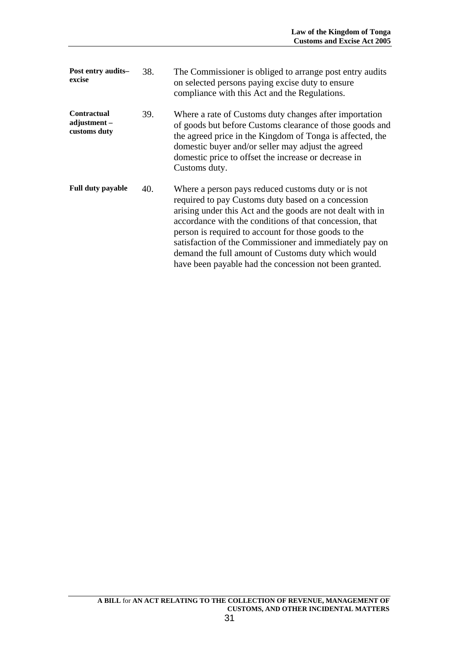| Post entry audits-<br>excise                      | 38. | The Commissioner is obliged to arrange post entry audits<br>on selected persons paying excise duty to ensure<br>compliance with this Act and the Regulations.                                                                                                                                                                                                                                                                                                        |
|---------------------------------------------------|-----|----------------------------------------------------------------------------------------------------------------------------------------------------------------------------------------------------------------------------------------------------------------------------------------------------------------------------------------------------------------------------------------------------------------------------------------------------------------------|
| <b>Contractual</b><br>adjustment-<br>customs duty | 39. | Where a rate of Customs duty changes after importation<br>of goods but before Customs clearance of those goods and<br>the agreed price in the Kingdom of Tonga is affected, the<br>domestic buyer and/or seller may adjust the agreed<br>domestic price to offset the increase or decrease in<br>Customs duty.                                                                                                                                                       |
| <b>Full duty payable</b>                          | 40. | Where a person pays reduced customs duty or is not<br>required to pay Customs duty based on a concession<br>arising under this Act and the goods are not dealt with in<br>accordance with the conditions of that concession, that<br>person is required to account for those goods to the<br>satisfaction of the Commissioner and immediately pay on<br>demand the full amount of Customs duty which would<br>have been payable had the concession not been granted. |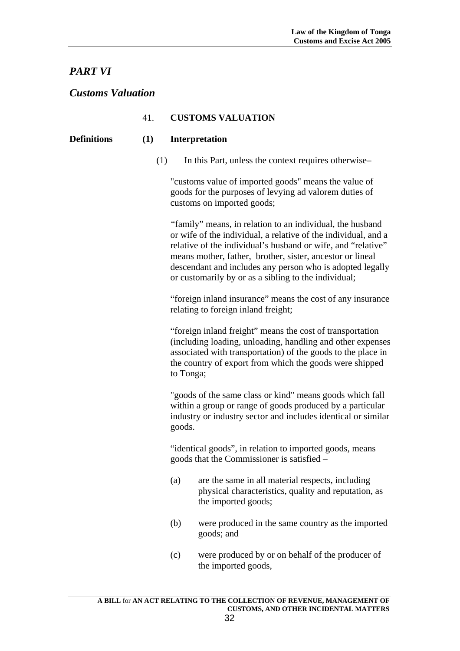### *PART VI*

#### *Customs Valuation*

#### 41. **CUSTOMS VALUATION**

#### **Definitions (1) Interpretation**

(1) In this Part, unless the context requires otherwise–

 "customs value of imported goods" means the value of goods for the purposes of levying ad valorem duties of customs on imported goods;

"family" means, in relation to an individual, the husband or wife of the individual, a relative of the individual, and a relative of the individual's husband or wife, and "relative" means mother, father, brother, sister, ancestor or lineal descendant and includes any person who is adopted legally or customarily by or as a sibling to the individual;

"foreign inland insurance" means the cost of any insurance relating to foreign inland freight;

"foreign inland freight" means the cost of transportation (including loading, unloading, handling and other expenses associated with transportation) of the goods to the place in the country of export from which the goods were shipped to Tonga;

"goods of the same class or kind" means goods which fall within a group or range of goods produced by a particular industry or industry sector and includes identical or similar goods.

"identical goods", in relation to imported goods, means goods that the Commissioner is satisfied –

- (a) are the same in all material respects, including physical characteristics, quality and reputation, as the imported goods;
- (b) were produced in the same country as the imported goods; and
- (c) were produced by or on behalf of the producer of the imported goods,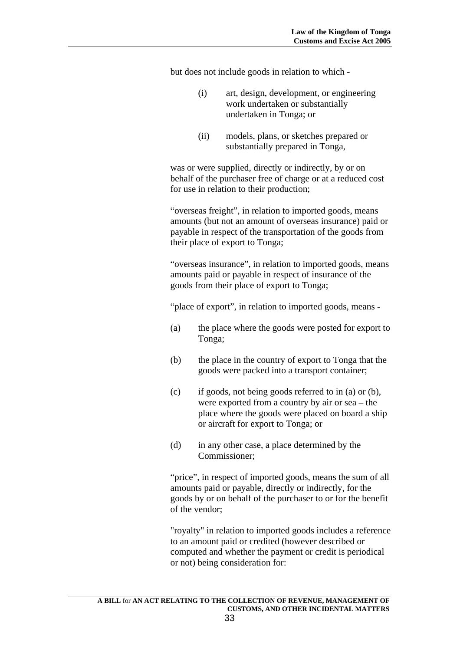but does not include goods in relation to which -

- (i) art, design, development, or engineering work undertaken or substantially undertaken in Tonga; or
- (ii) models, plans, or sketches prepared or substantially prepared in Tonga,

was or were supplied, directly or indirectly, by or on behalf of the purchaser free of charge or at a reduced cost for use in relation to their production;

"overseas freight", in relation to imported goods, means amounts (but not an amount of overseas insurance) paid or payable in respect of the transportation of the goods from their place of export to Tonga;

"overseas insurance", in relation to imported goods, means amounts paid or payable in respect of insurance of the goods from their place of export to Tonga;

"place of export", in relation to imported goods, means -

- (a) the place where the goods were posted for export to Tonga;
- (b) the place in the country of export to Tonga that the goods were packed into a transport container;
- (c) if goods, not being goods referred to in (a) or (b), were exported from a country by air or sea – the place where the goods were placed on board a ship or aircraft for export to Tonga; or
- (d) in any other case, a place determined by the Commissioner;

"price", in respect of imported goods, means the sum of all amounts paid or payable, directly or indirectly, for the goods by or on behalf of the purchaser to or for the benefit of the vendor;

"royalty" in relation to imported goods includes a reference to an amount paid or credited (however described or computed and whether the payment or credit is periodical or not) being consideration for: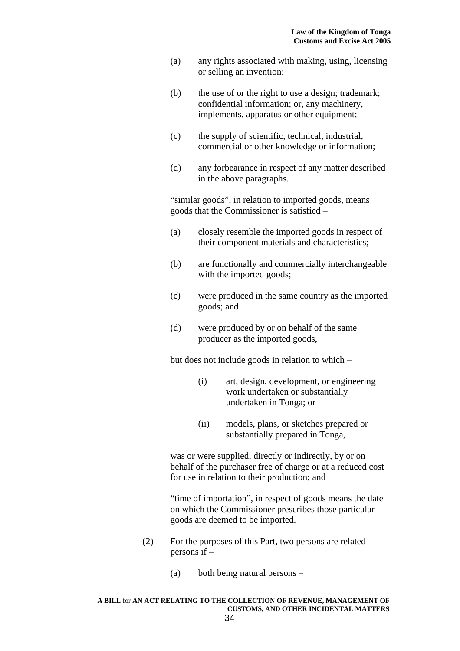- (a) any rights associated with making, using, licensing or selling an invention;
- (b) the use of or the right to use a design; trademark; confidential information; or, any machinery, implements, apparatus or other equipment;
- (c) the supply of scientific, technical, industrial, commercial or other knowledge or information;
- (d) any forbearance in respect of any matter described in the above paragraphs.

"similar goods", in relation to imported goods, means goods that the Commissioner is satisfied –

- (a) closely resemble the imported goods in respect of their component materials and characteristics;
- (b) are functionally and commercially interchangeable with the imported goods;
- (c) were produced in the same country as the imported goods; and
- (d) were produced by or on behalf of the same producer as the imported goods,

but does not include goods in relation to which –

- (i) art, design, development, or engineering work undertaken or substantially undertaken in Tonga; or
- (ii) models, plans, or sketches prepared or substantially prepared in Tonga,

was or were supplied, directly or indirectly, by or on behalf of the purchaser free of charge or at a reduced cost for use in relation to their production; and

"time of importation", in respect of goods means the date on which the Commissioner prescribes those particular goods are deemed to be imported.

- (2) For the purposes of this Part, two persons are related persons if –
	- (a) both being natural persons –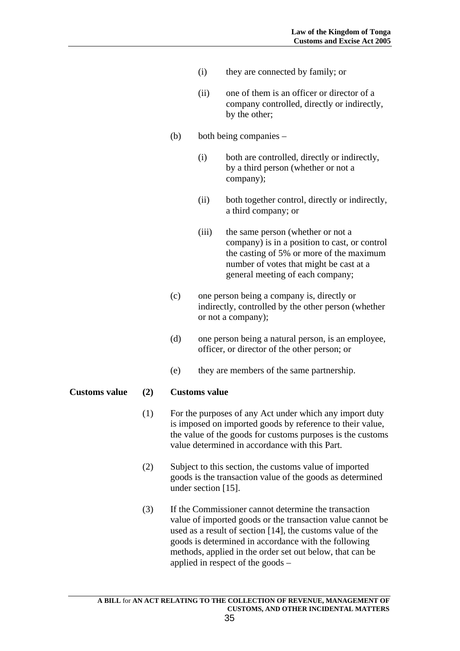- (i) they are connected by family; or
- (ii) one of them is an officer or director of a company controlled, directly or indirectly, by the other;
- (b) both being companies
	- (i) both are controlled, directly or indirectly, by a third person (whether or not a company);
	- (ii) both together control, directly or indirectly, a third company; or
	- (iii) the same person (whether or not a company) is in a position to cast, or control the casting of 5% or more of the maximum number of votes that might be cast at a general meeting of each company;
- (c) one person being a company is, directly or indirectly, controlled by the other person (whether or not a company);
- (d) one person being a natural person, is an employee, officer, or director of the other person; or
- (e) they are members of the same partnership.

#### **Customs value (2) Customs value**

- (1) For the purposes of any Act under which any import duty is imposed on imported goods by reference to their value, the value of the goods for customs purposes is the customs value determined in accordance with this Part.
- (2) Subject to this section, the customs value of imported goods is the transaction value of the goods as determined under section [15].
- (3) If the Commissioner cannot determine the transaction value of imported goods or the transaction value cannot be used as a result of section [14], the customs value of the goods is determined in accordance with the following methods, applied in the order set out below, that can be applied in respect of the goods –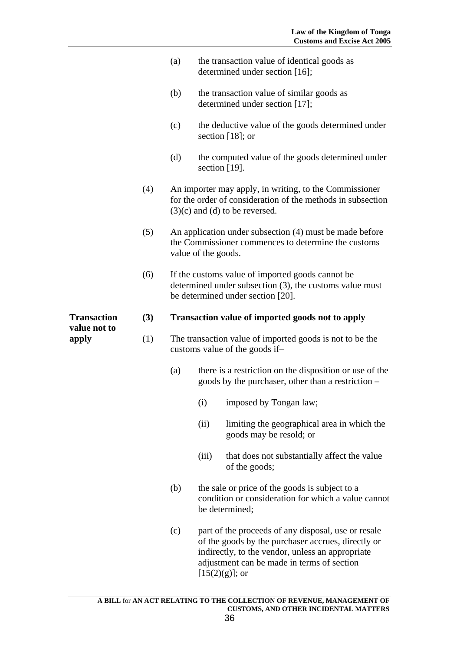- (a) the transaction value of identical goods as determined under section [16];
- (b) the transaction value of similar goods as determined under section [17];
- (c) the deductive value of the goods determined under section [18]; or
- (d) the computed value of the goods determined under section [19].
- (4) An importer may apply, in writing, to the Commissioner for the order of consideration of the methods in subsection (3)(c) and (d) to be reversed.
- (5) An application under subsection (4) must be made before the Commissioner commences to determine the customs value of the goods.
- (6) If the customs value of imported goods cannot be determined under subsection (3), the customs value must be determined under section [20].

**(3) Transaction value of imported goods not to apply** 

- (1) The transaction value of imported goods is not to be the customs value of the goods if–
	- (a) there is a restriction on the disposition or use of the goods by the purchaser, other than a restriction –
		- (i) imposed by Tongan law;
		- (ii) limiting the geographical area in which the goods may be resold; or
		- (iii) that does not substantially affect the value of the goods;
	- (b) the sale or price of the goods is subject to a condition or consideration for which a value cannot be determined;
	- (c) part of the proceeds of any disposal, use or resale of the goods by the purchaser accrues, directly or indirectly, to the vendor, unless an appropriate adjustment can be made in terms of section  $[15(2)(g)];$  or

**Transaction value not to apply**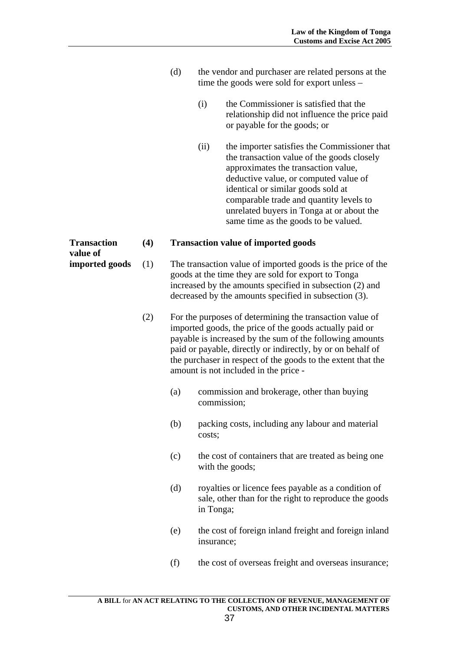- (d) the vendor and purchaser are related persons at the time the goods were sold for export unless –
	- (i) the Commissioner is satisfied that the relationship did not influence the price paid or payable for the goods; or
	- (ii) the importer satisfies the Commissioner that the transaction value of the goods closely approximates the transaction value, deductive value, or computed value of identical or similar goods sold at comparable trade and quantity levels to unrelated buyers in Tonga at or about the same time as the goods to be valued.

#### **(4) Transaction value of imported goods**

**Transaction value of** 

- **imported goods** 
	- (1) The transaction value of imported goods is the price of the goods at the time they are sold for export to Tonga increased by the amounts specified in subsection (2) and decreased by the amounts specified in subsection (3).
		- (2) For the purposes of determining the transaction value of imported goods, the price of the goods actually paid or payable is increased by the sum of the following amounts paid or payable, directly or indirectly, by or on behalf of the purchaser in respect of the goods to the extent that the amount is not included in the price -
			- (a) commission and brokerage, other than buying commission;
			- (b) packing costs, including any labour and material costs;
			- (c) the cost of containers that are treated as being one with the goods;
			- (d) royalties or licence fees payable as a condition of sale, other than for the right to reproduce the goods in Tonga;
			- (e) the cost of foreign inland freight and foreign inland insurance;
			- (f) the cost of overseas freight and overseas insurance;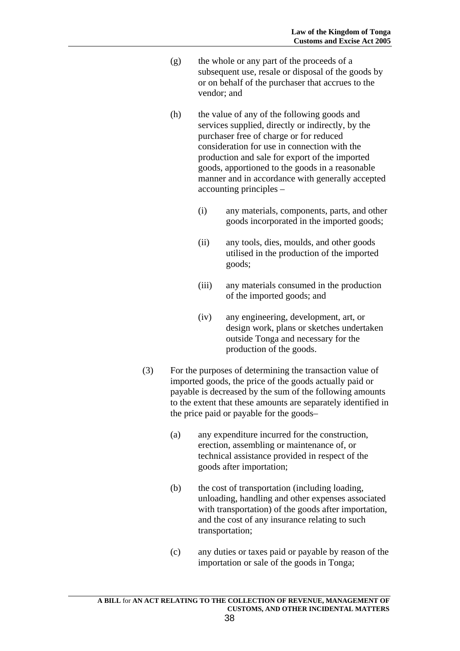- (g) the whole or any part of the proceeds of a subsequent use, resale or disposal of the goods by or on behalf of the purchaser that accrues to the vendor; and
- (h) the value of any of the following goods and services supplied, directly or indirectly, by the purchaser free of charge or for reduced consideration for use in connection with the production and sale for export of the imported goods, apportioned to the goods in a reasonable manner and in accordance with generally accepted accounting principles –
	- (i) any materials, components, parts, and other goods incorporated in the imported goods;
	- (ii) any tools, dies, moulds, and other goods utilised in the production of the imported goods;
	- (iii) any materials consumed in the production of the imported goods; and
	- (iv) any engineering, development, art, or design work, plans or sketches undertaken outside Tonga and necessary for the production of the goods.
- (3) For the purposes of determining the transaction value of imported goods, the price of the goods actually paid or payable is decreased by the sum of the following amounts to the extent that these amounts are separately identified in the price paid or payable for the goods–
	- (a) any expenditure incurred for the construction, erection, assembling or maintenance of, or technical assistance provided in respect of the goods after importation;
	- (b) the cost of transportation (including loading, unloading, handling and other expenses associated with transportation) of the goods after importation, and the cost of any insurance relating to such transportation;
	- (c) any duties or taxes paid or payable by reason of the importation or sale of the goods in Tonga;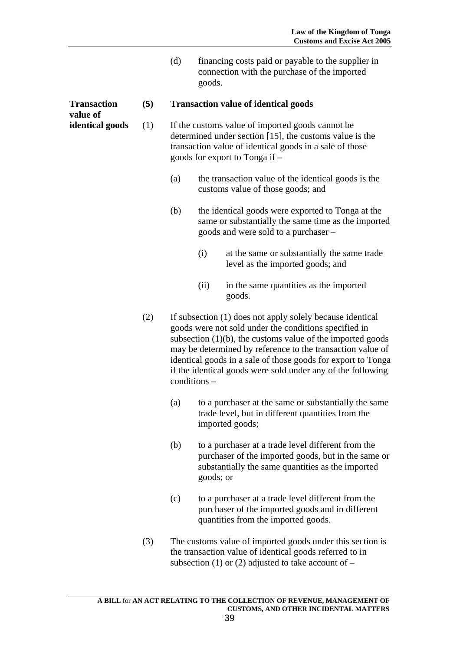(d) financing costs paid or payable to the supplier in connection with the purchase of the imported goods.

#### **(5) Transaction value of identical goods**

**Transaction value of** 

- **identical goods**  (1) If the customs value of imported goods cannot be determined under section [15], the customs value is the transaction value of identical goods in a sale of those goods for export to Tonga if –
	- (a) the transaction value of the identical goods is the customs value of those goods; and
	- (b) the identical goods were exported to Tonga at the same or substantially the same time as the imported goods and were sold to a purchaser –
		- (i) at the same or substantially the same trade level as the imported goods; and
		- (ii) in the same quantities as the imported goods.
	- (2) If subsection (1) does not apply solely because identical goods were not sold under the conditions specified in subsection  $(1)(b)$ , the customs value of the imported goods may be determined by reference to the transaction value of identical goods in a sale of those goods for export to Tonga if the identical goods were sold under any of the following conditions –
		- (a) to a purchaser at the same or substantially the same trade level, but in different quantities from the imported goods;
		- (b) to a purchaser at a trade level different from the purchaser of the imported goods, but in the same or substantially the same quantities as the imported goods; or
		- (c) to a purchaser at a trade level different from the purchaser of the imported goods and in different quantities from the imported goods.
	- (3) The customs value of imported goods under this section is the transaction value of identical goods referred to in subsection (1) or (2) adjusted to take account of  $-$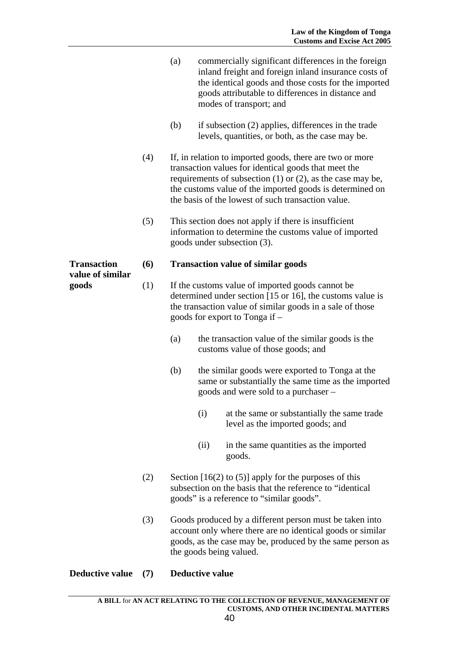- (a) commercially significant differences in the foreign inland freight and foreign inland insurance costs of the identical goods and those costs for the imported goods attributable to differences in distance and modes of transport; and
- (b) if subsection (2) applies, differences in the trade levels, quantities, or both, as the case may be.
- (4) If, in relation to imported goods, there are two or more transaction values for identical goods that meet the requirements of subsection (1) or (2), as the case may be, the customs value of the imported goods is determined on the basis of the lowest of such transaction value.
- (5) This section does not apply if there is insufficient information to determine the customs value of imported goods under subsection (3).

#### **(6) Transaction value of similar goods**

- (1) If the customs value of imported goods cannot be determined under section [15 or 16], the customs value is the transaction value of similar goods in a sale of those goods for export to Tonga if –
	- (a) the transaction value of the similar goods is the customs value of those goods; and
	- (b) the similar goods were exported to Tonga at the same or substantially the same time as the imported goods and were sold to a purchaser –
		- (i) at the same or substantially the same trade level as the imported goods; and
		- (ii) in the same quantities as the imported goods.
- (2) Section  $[16(2)$  to  $(5)]$  apply for the purposes of this subsection on the basis that the reference to "identical goods" is a reference to "similar goods".
- (3) Goods produced by a different person must be taken into account only where there are no identical goods or similar goods, as the case may be, produced by the same person as the goods being valued.

#### **Deductive value (7) Deductive value**

**Transaction value of similar goods**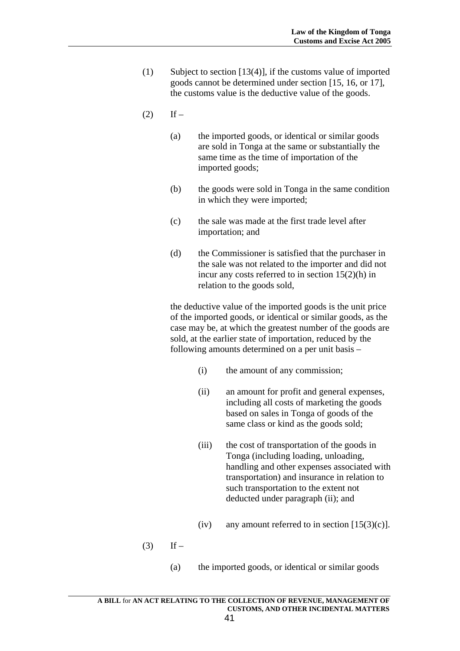- (1) Subject to section [13(4)], if the customs value of imported goods cannot be determined under section [15, 16, or 17], the customs value is the deductive value of the goods.
- $(2)$  If
	- (a) the imported goods, or identical or similar goods are sold in Tonga at the same or substantially the same time as the time of importation of the imported goods;
	- (b) the goods were sold in Tonga in the same condition in which they were imported;
	- (c) the sale was made at the first trade level after importation; and
	- (d) the Commissioner is satisfied that the purchaser in the sale was not related to the importer and did not incur any costs referred to in section 15(2)(h) in relation to the goods sold,

the deductive value of the imported goods is the unit price of the imported goods, or identical or similar goods, as the case may be, at which the greatest number of the goods are sold, at the earlier state of importation, reduced by the following amounts determined on a per unit basis –

- (i) the amount of any commission;
- (ii) an amount for profit and general expenses, including all costs of marketing the goods based on sales in Tonga of goods of the same class or kind as the goods sold;
- (iii) the cost of transportation of the goods in Tonga (including loading, unloading, handling and other expenses associated with transportation) and insurance in relation to such transportation to the extent not deducted under paragraph (ii); and
- (iv) any amount referred to in section  $[15(3)(c)]$ .
- $(3)$  If
	- (a) the imported goods, or identical or similar goods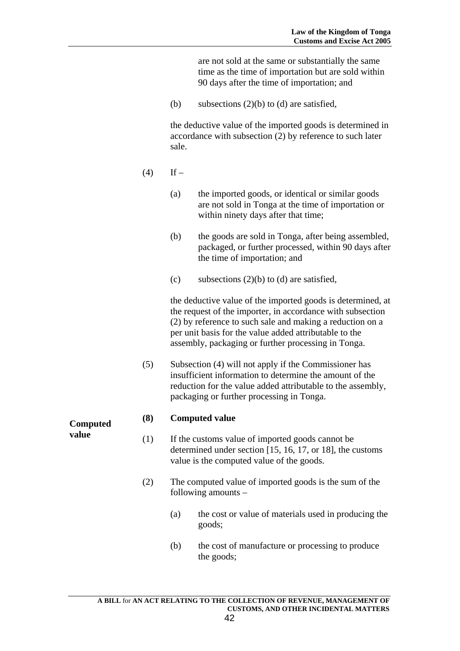are not sold at the same or substantially the same time as the time of importation but are sold within 90 days after the time of importation; and

(b) subsections  $(2)(b)$  to (d) are satisfied,

the deductive value of the imported goods is determined in accordance with subsection (2) by reference to such later sale.

- $(4)$  If
	- (a) the imported goods, or identical or similar goods are not sold in Tonga at the time of importation or within ninety days after that time;
	- (b) the goods are sold in Tonga, after being assembled, packaged, or further processed, within 90 days after the time of importation; and
	- (c) subsections  $(2)(b)$  to (d) are satisfied,

the deductive value of the imported goods is determined, at the request of the importer, in accordance with subsection (2) by reference to such sale and making a reduction on a per unit basis for the value added attributable to the assembly, packaging or further processing in Tonga.

(5) Subsection (4) will not apply if the Commissioner has insufficient information to determine the amount of the reduction for the value added attributable to the assembly, packaging or further processing in Tonga.

#### **(8) Computed value**

- (1) If the customs value of imported goods cannot be determined under section [15, 16, 17, or 18], the customs value is the computed value of the goods.
- (2) The computed value of imported goods is the sum of the following amounts –
	- (a) the cost or value of materials used in producing the goods;
	- (b) the cost of manufacture or processing to produce the goods;

**Computed value**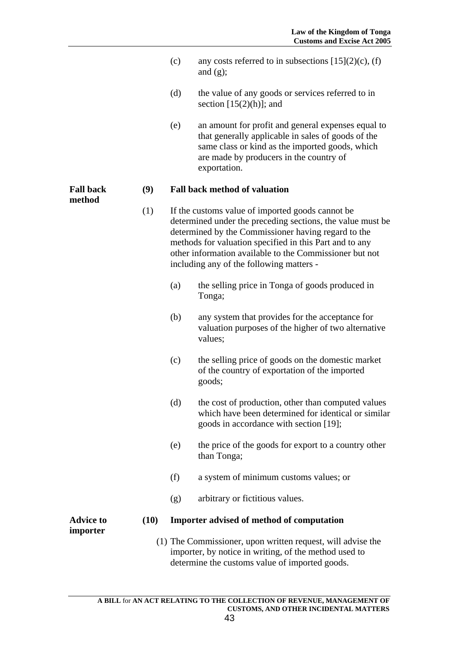- (c) any costs referred to in subsections  $[15](2)(c)$ , (f) and  $(g)$ ;
- (d) the value of any goods or services referred to in section  $[15(2)(h)]$ ; and
- (e) an amount for profit and general expenses equal to that generally applicable in sales of goods of the same class or kind as the imported goods, which are made by producers in the country of exportation.

#### **(9) Fall back method of valuation**

(1) If the customs value of imported goods cannot be determined under the preceding sections, the value must be determined by the Commissioner having regard to the methods for valuation specified in this Part and to any other information available to the Commissioner but not including any of the following matters -

- (a) the selling price in Tonga of goods produced in Tonga;
- (b) any system that provides for the acceptance for valuation purposes of the higher of two alternative values;
- (c) the selling price of goods on the domestic market of the country of exportation of the imported goods;
- (d) the cost of production, other than computed values which have been determined for identical or similar goods in accordance with section [19];
- (e) the price of the goods for export to a country other than Tonga;
- (f) a system of minimum customs values; or
- (g) arbitrary or fictitious values.

**Advice to importer** 

**Fall back method** 

#### **(10) Importer advised of method of computation**

(1) The Commissioner, upon written request, will advise the importer, by notice in writing, of the method used to determine the customs value of imported goods.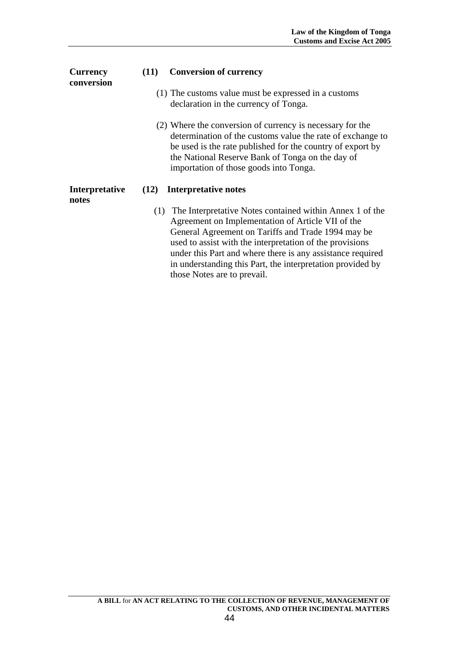#### **(11) Conversion of currency**

**Currency conversion** 

**Interpretative** 

**notes** 

- (1) The customs value must be expressed in a customs declaration in the currency of Tonga.
- (2) Where the conversion of currency is necessary for the determination of the customs value the rate of exchange to be used is the rate published for the country of export by the National Reserve Bank of Tonga on the day of importation of those goods into Tonga.

#### **(12) Interpretative notes**

 (1) The Interpretative Notes contained within Annex 1 of the Agreement on Implementation of Article VII of the General Agreement on Tariffs and Trade 1994 may be used to assist with the interpretation of the provisions under this Part and where there is any assistance required in understanding this Part, the interpretation provided by those Notes are to prevail.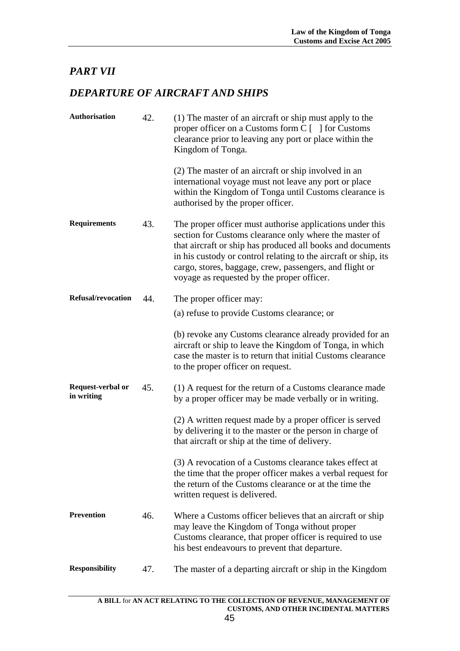#### *PART VII*

## *DEPARTURE OF AIRCRAFT AND SHIPS*

| <b>Authorisation</b>            | 42. | (1) The master of an aircraft or ship must apply to the<br>proper officer on a Customs form $C \begin{bmatrix} 1 \\ 1 \end{bmatrix}$ for Customs<br>clearance prior to leaving any port or place within the<br>Kingdom of Tonga.                                                                                                                              |
|---------------------------------|-----|---------------------------------------------------------------------------------------------------------------------------------------------------------------------------------------------------------------------------------------------------------------------------------------------------------------------------------------------------------------|
|                                 |     | (2) The master of an aircraft or ship involved in an<br>international voyage must not leave any port or place<br>within the Kingdom of Tonga until Customs clearance is<br>authorised by the proper officer.                                                                                                                                                  |
| <b>Requirements</b>             | 43. | The proper officer must authorise applications under this<br>section for Customs clearance only where the master of<br>that aircraft or ship has produced all books and documents<br>in his custody or control relating to the aircraft or ship, its<br>cargo, stores, baggage, crew, passengers, and flight or<br>voyage as requested by the proper officer. |
| <b>Refusal/revocation</b>       | 44. | The proper officer may:                                                                                                                                                                                                                                                                                                                                       |
|                                 |     | (a) refuse to provide Customs clearance; or                                                                                                                                                                                                                                                                                                                   |
|                                 |     | (b) revoke any Customs clearance already provided for an<br>aircraft or ship to leave the Kingdom of Tonga, in which<br>case the master is to return that initial Customs clearance<br>to the proper officer on request.                                                                                                                                      |
| Request-verbal or<br>in writing | 45. | (1) A request for the return of a Customs clearance made<br>by a proper officer may be made verbally or in writing.                                                                                                                                                                                                                                           |
|                                 |     | (2) A written request made by a proper officer is served<br>by delivering it to the master or the person in charge of<br>that aircraft or ship at the time of delivery.                                                                                                                                                                                       |
|                                 |     | (3) A revocation of a Customs clearance takes effect at<br>the time that the proper officer makes a verbal request for<br>the return of the Customs clearance or at the time the<br>written request is delivered.                                                                                                                                             |
| <b>Prevention</b>               | 46. | Where a Customs officer believes that an aircraft or ship<br>may leave the Kingdom of Tonga without proper<br>Customs clearance, that proper officer is required to use<br>his best endeavours to prevent that departure.                                                                                                                                     |
| <b>Responsibility</b>           | 47. | The master of a departing aircraft or ship in the Kingdom                                                                                                                                                                                                                                                                                                     |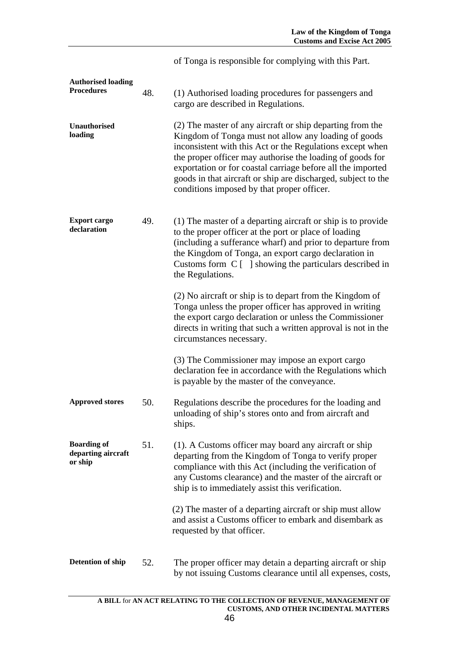|                                                     |     | of Tonga is responsible for complying with this Part.                                                                                                                                                                                                                                                                                                                                                                     |
|-----------------------------------------------------|-----|---------------------------------------------------------------------------------------------------------------------------------------------------------------------------------------------------------------------------------------------------------------------------------------------------------------------------------------------------------------------------------------------------------------------------|
| <b>Authorised loading</b><br><b>Procedures</b>      | 48. | (1) Authorised loading procedures for passengers and<br>cargo are described in Regulations.                                                                                                                                                                                                                                                                                                                               |
| Unauthorised<br>loading                             |     | (2) The master of any aircraft or ship departing from the<br>Kingdom of Tonga must not allow any loading of goods<br>inconsistent with this Act or the Regulations except when<br>the proper officer may authorise the loading of goods for<br>exportation or for coastal carriage before all the imported<br>goods in that aircraft or ship are discharged, subject to the<br>conditions imposed by that proper officer. |
| <b>Export cargo</b><br>declaration                  | 49. | (1) The master of a departing aircraft or ship is to provide<br>to the proper officer at the port or place of loading<br>(including a sufferance wharf) and prior to departure from<br>the Kingdom of Tonga, an export cargo declaration in<br>Customs form $C$ [ ] showing the particulars described in<br>the Regulations.                                                                                              |
|                                                     |     | (2) No aircraft or ship is to depart from the Kingdom of<br>Tonga unless the proper officer has approved in writing<br>the export cargo declaration or unless the Commissioner<br>directs in writing that such a written approval is not in the<br>circumstances necessary.                                                                                                                                               |
|                                                     |     | (3) The Commissioner may impose an export cargo<br>declaration fee in accordance with the Regulations which<br>is payable by the master of the conveyance.                                                                                                                                                                                                                                                                |
| <b>Approved stores</b>                              | 50. | Regulations describe the procedures for the loading and<br>unloading of ship's stores onto and from aircraft and<br>ships.                                                                                                                                                                                                                                                                                                |
| <b>Boarding of</b><br>departing aircraft<br>or ship | 51. | (1). A Customs officer may board any aircraft or ship<br>departing from the Kingdom of Tonga to verify proper<br>compliance with this Act (including the verification of<br>any Customs clearance) and the master of the aircraft or<br>ship is to immediately assist this verification.                                                                                                                                  |
|                                                     |     | (2) The master of a departing aircraft or ship must allow<br>and assist a Customs officer to embark and disembark as<br>requested by that officer.                                                                                                                                                                                                                                                                        |
| <b>Detention of ship</b>                            | 52. | The proper officer may detain a departing aircraft or ship<br>by not issuing Customs clearance until all expenses, costs,                                                                                                                                                                                                                                                                                                 |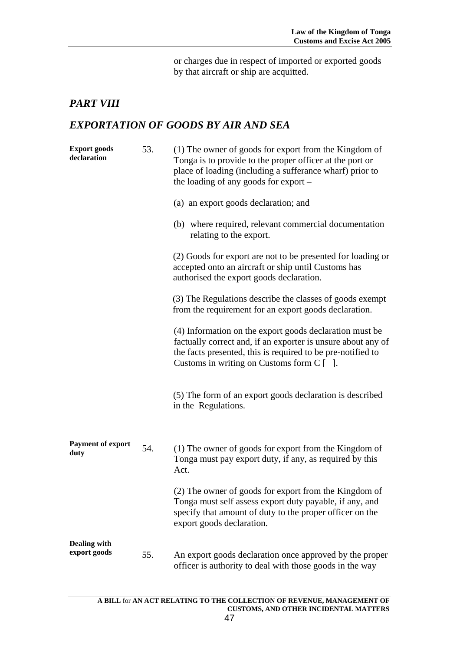or charges due in respect of imported or exported goods by that aircraft or ship are acquitted.

#### *PART VIII*

#### *EXPORTATION OF GOODS BY AIR AND SEA*

| <b>Export</b> goods<br>declaration  | 53. | (1) The owner of goods for export from the Kingdom of<br>Tonga is to provide to the proper officer at the port or<br>place of loading (including a sufferance wharf) prior to<br>the loading of any goods for export –                |
|-------------------------------------|-----|---------------------------------------------------------------------------------------------------------------------------------------------------------------------------------------------------------------------------------------|
|                                     |     | (a) an export goods declaration; and                                                                                                                                                                                                  |
|                                     |     | (b) where required, relevant commercial documentation<br>relating to the export.                                                                                                                                                      |
|                                     |     | (2) Goods for export are not to be presented for loading or<br>accepted onto an aircraft or ship until Customs has<br>authorised the export goods declaration.                                                                        |
|                                     |     | (3) The Regulations describe the classes of goods exempt<br>from the requirement for an export goods declaration.                                                                                                                     |
|                                     |     | (4) Information on the export goods declaration must be<br>factually correct and, if an exporter is unsure about any of<br>the facts presented, this is required to be pre-notified to<br>Customs in writing on Customs form $C$ [ ]. |
|                                     |     | (5) The form of an export goods declaration is described<br>in the Regulations.                                                                                                                                                       |
| <b>Payment of export</b><br>duty    | 54. | (1) The owner of goods for export from the Kingdom of<br>Tonga must pay export duty, if any, as required by this<br>Act.                                                                                                              |
|                                     |     | (2) The owner of goods for export from the Kingdom of<br>Tonga must self assess export duty payable, if any, and<br>specify that amount of duty to the proper officer on the<br>export goods declaration.                             |
| <b>Dealing with</b><br>export goods | 55. | An export goods declaration once approved by the proper<br>officer is authority to deal with those goods in the way                                                                                                                   |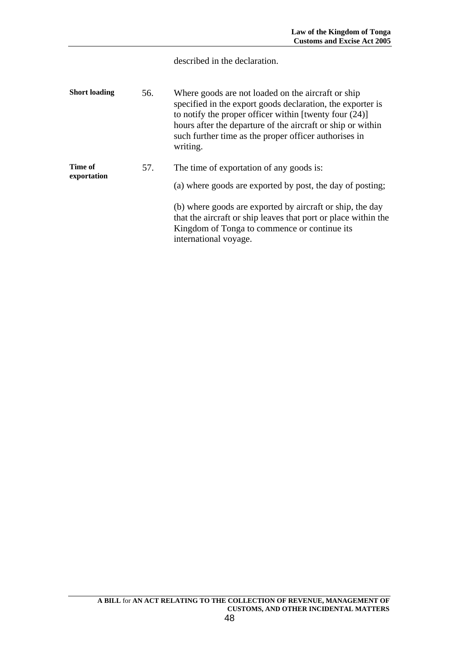described in the declaration.

| <b>Short loading</b>   | 56. | Where goods are not loaded on the aircraft or ship<br>specified in the export goods declaration, the exporter is<br>to notify the proper officer within [twenty four $(24)$ ]<br>hours after the departure of the aircraft or ship or within<br>such further time as the proper officer authorises in<br>writing.    |
|------------------------|-----|----------------------------------------------------------------------------------------------------------------------------------------------------------------------------------------------------------------------------------------------------------------------------------------------------------------------|
| Time of<br>exportation | 57. | The time of exportation of any goods is:<br>(a) where goods are exported by post, the day of posting;                                                                                                                                                                                                                |
|                        |     | (b) where goods are exported by aircraft or ship, the day<br>$A = 1$ , $A = 1$ , $A = 1$ , $A = 1$ , $A = 1$ , $A = 1$ , $A = 1$ , $A = 1$ , $A = 1$ , $A = 1$ , $A = 1$ , $A = 1$ , $A = 1$ , $A = 1$ , $A = 1$ , $A = 1$ , $A = 1$ , $A = 1$ , $A = 1$ , $A = 1$ , $A = 1$ , $A = 1$ , $A = 1$ , $A = 1$ , $A = 1$ |

that the aircraft or ship leaves that port or place within the Kingdom of Tonga to commence or continue its international voyage.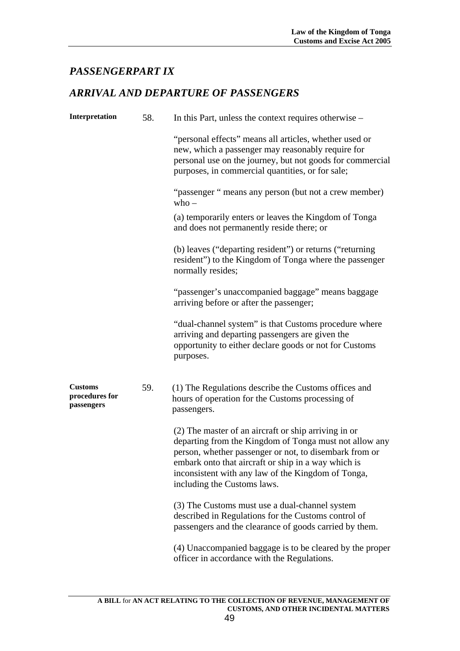#### *PASSENGERPART IX*

## *ARRIVAL AND DEPARTURE OF PASSENGERS*

| Interpretation                                 | 58. | In this Part, unless the context requires otherwise –                                                                                                                                                                                                                                                                |
|------------------------------------------------|-----|----------------------------------------------------------------------------------------------------------------------------------------------------------------------------------------------------------------------------------------------------------------------------------------------------------------------|
|                                                |     | "personal effects" means all articles, whether used or<br>new, which a passenger may reasonably require for<br>personal use on the journey, but not goods for commercial<br>purposes, in commercial quantities, or for sale;                                                                                         |
|                                                |     | "passenger " means any person (but not a crew member)<br>$who -$                                                                                                                                                                                                                                                     |
|                                                |     | (a) temporarily enters or leaves the Kingdom of Tonga<br>and does not permanently reside there; or                                                                                                                                                                                                                   |
|                                                |     | (b) leaves ("departing resident") or returns ("returning")<br>resident") to the Kingdom of Tonga where the passenger<br>normally resides;                                                                                                                                                                            |
|                                                |     | "passenger's unaccompanied baggage" means baggage<br>arriving before or after the passenger;                                                                                                                                                                                                                         |
|                                                |     | "dual-channel system" is that Customs procedure where<br>arriving and departing passengers are given the<br>opportunity to either declare goods or not for Customs<br>purposes.                                                                                                                                      |
| <b>Customs</b><br>procedures for<br>passengers | 59. | (1) The Regulations describe the Customs offices and<br>hours of operation for the Customs processing of<br>passengers.                                                                                                                                                                                              |
|                                                |     | (2) The master of an aircraft or ship arriving in or<br>departing from the Kingdom of Tonga must not allow any<br>person, whether passenger or not, to disembark from or<br>embark onto that aircraft or ship in a way which is<br>inconsistent with any law of the Kingdom of Tonga,<br>including the Customs laws. |
|                                                |     | (3) The Customs must use a dual-channel system<br>described in Regulations for the Customs control of<br>passengers and the clearance of goods carried by them.                                                                                                                                                      |
|                                                |     | (4) Unaccompanied baggage is to be cleared by the proper<br>officer in accordance with the Regulations.                                                                                                                                                                                                              |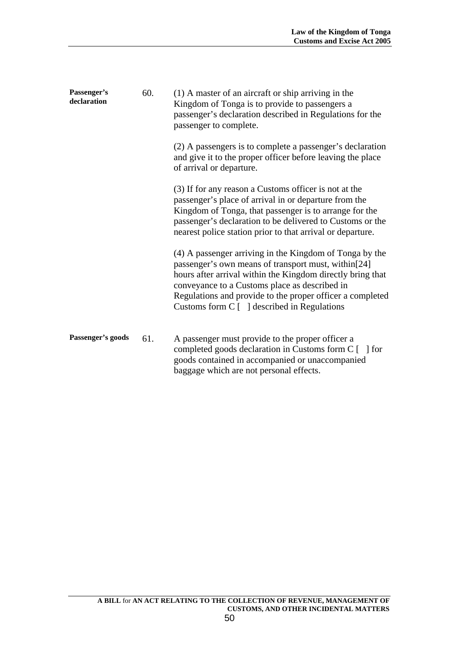| Passenger's<br>declaration | 60. | (1) A master of an aircraft or ship arriving in the<br>Kingdom of Tonga is to provide to passengers a<br>passenger's declaration described in Regulations for the<br>passenger to complete.                                                                                                                                                                                         |
|----------------------------|-----|-------------------------------------------------------------------------------------------------------------------------------------------------------------------------------------------------------------------------------------------------------------------------------------------------------------------------------------------------------------------------------------|
|                            |     | (2) A passengers is to complete a passenger's declaration<br>and give it to the proper officer before leaving the place<br>of arrival or departure.                                                                                                                                                                                                                                 |
|                            |     | (3) If for any reason a Customs officer is not at the<br>passenger's place of arrival in or departure from the<br>Kingdom of Tonga, that passenger is to arrange for the<br>passenger's declaration to be delivered to Customs or the<br>nearest police station prior to that arrival or departure.                                                                                 |
|                            |     | (4) A passenger arriving in the Kingdom of Tonga by the<br>passenger's own means of transport must, within[24]<br>hours after arrival within the Kingdom directly bring that<br>conveyance to a Customs place as described in<br>Regulations and provide to the proper officer a completed<br>Customs form $C \left[ \begin{array}{c} \end{array} \right]$ described in Regulations |
| Passenger's goods          | 61. | A passenger must provide to the proper officer a<br>completed goods declaration in Customs form $C$ [ ] for<br>goods contained in accompanied or unaccompanied                                                                                                                                                                                                                      |

baggage which are not personal effects.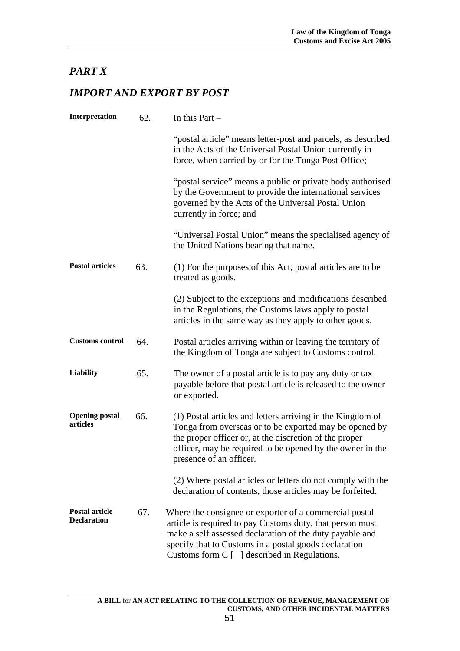# *PART X*

## *IMPORT AND EXPORT BY POST*

| Interpretation                              | 62. | In this Part $-$                                                                                                                                                                                                                                                                         |
|---------------------------------------------|-----|------------------------------------------------------------------------------------------------------------------------------------------------------------------------------------------------------------------------------------------------------------------------------------------|
|                                             |     | "postal article" means letter-post and parcels, as described<br>in the Acts of the Universal Postal Union currently in<br>force, when carried by or for the Tonga Post Office;                                                                                                           |
|                                             |     | "postal service" means a public or private body authorised<br>by the Government to provide the international services<br>governed by the Acts of the Universal Postal Union<br>currently in force; and                                                                                   |
|                                             |     | "Universal Postal Union" means the specialised agency of<br>the United Nations bearing that name.                                                                                                                                                                                        |
| <b>Postal articles</b>                      | 63. | (1) For the purposes of this Act, postal articles are to be<br>treated as goods.                                                                                                                                                                                                         |
|                                             |     | (2) Subject to the exceptions and modifications described<br>in the Regulations, the Customs laws apply to postal<br>articles in the same way as they apply to other goods.                                                                                                              |
| <b>Customs control</b>                      | 64. | Postal articles arriving within or leaving the territory of<br>the Kingdom of Tonga are subject to Customs control.                                                                                                                                                                      |
| <b>Liability</b>                            | 65. | The owner of a postal article is to pay any duty or tax<br>payable before that postal article is released to the owner<br>or exported.                                                                                                                                                   |
| <b>Opening postal</b><br>articles           | 66. | (1) Postal articles and letters arriving in the Kingdom of<br>Tonga from overseas or to be exported may be opened by<br>the proper officer or, at the discretion of the proper<br>officer, may be required to be opened by the owner in the<br>presence of an officer.                   |
|                                             |     | (2) Where postal articles or letters do not comply with the<br>declaration of contents, those articles may be forfeited.                                                                                                                                                                 |
| <b>Postal article</b><br><b>Declaration</b> | 67. | Where the consignee or exporter of a commercial postal<br>article is required to pay Customs duty, that person must<br>make a self assessed declaration of the duty payable and<br>specify that to Customs in a postal goods declaration<br>Customs form C [ ] described in Regulations. |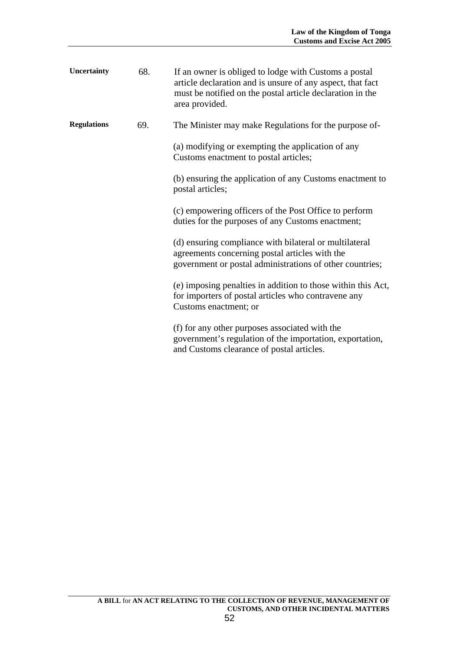| Uncertainty        | 68. | If an owner is obliged to lodge with Customs a postal<br>article declaration and is unsure of any aspect, that fact<br>must be notified on the postal article declaration in the<br>area provided. |
|--------------------|-----|----------------------------------------------------------------------------------------------------------------------------------------------------------------------------------------------------|
| <b>Regulations</b> | 69. | The Minister may make Regulations for the purpose of-                                                                                                                                              |
|                    |     | (a) modifying or exempting the application of any<br>Customs enactment to postal articles;                                                                                                         |
|                    |     | (b) ensuring the application of any Customs enactment to<br>postal articles;                                                                                                                       |
|                    |     | (c) empowering officers of the Post Office to perform<br>duties for the purposes of any Customs enactment;                                                                                         |
|                    |     | (d) ensuring compliance with bilateral or multilateral<br>agreements concerning postal articles with the<br>government or postal administrations of other countries;                               |
|                    |     | (e) imposing penalties in addition to those within this Act,<br>for importers of postal articles who contravene any<br>Customs enactment; or                                                       |
|                    |     | (f) for any other purposes associated with the<br>government's regulation of the importation, exportation,<br>and Customs clearance of postal articles.                                            |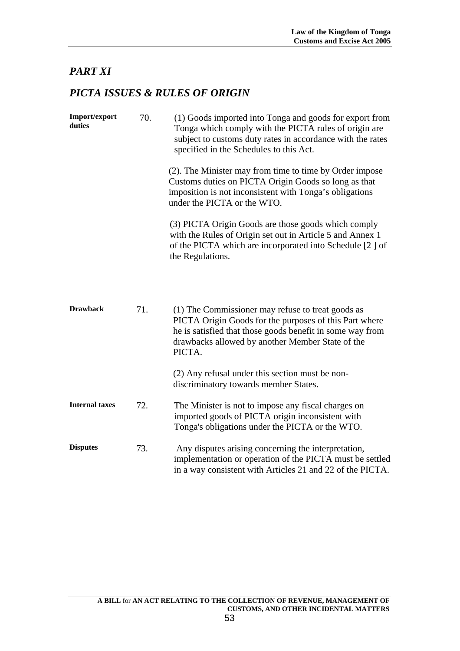#### *PART XI*

#### *PICTA ISSUES & RULES OF ORIGIN*

| Import/export<br>duties | 70. | (1) Goods imported into Tonga and goods for export from<br>Tonga which comply with the PICTA rules of origin are<br>subject to customs duty rates in accordance with the rates<br>specified in the Schedules to this Act.              |
|-------------------------|-----|----------------------------------------------------------------------------------------------------------------------------------------------------------------------------------------------------------------------------------------|
|                         |     | (2). The Minister may from time to time by Order impose<br>Customs duties on PICTA Origin Goods so long as that<br>imposition is not inconsistent with Tonga's obligations<br>under the PICTA or the WTO.                              |
|                         |     | (3) PICTA Origin Goods are those goods which comply<br>with the Rules of Origin set out in Article 5 and Annex 1<br>of the PICTA which are incorporated into Schedule [2] of<br>the Regulations.                                       |
| <b>Drawback</b>         | 71. | (1) The Commissioner may refuse to treat goods as<br>PICTA Origin Goods for the purposes of this Part where<br>he is satisfied that those goods benefit in some way from<br>drawbacks allowed by another Member State of the<br>PICTA. |
|                         |     | (2) Any refusal under this section must be non-<br>discriminatory towards member States.                                                                                                                                               |
| <b>Internal taxes</b>   | 72. | The Minister is not to impose any fiscal charges on<br>imported goods of PICTA origin inconsistent with<br>Tonga's obligations under the PICTA or the WTO.                                                                             |
| <b>Disputes</b>         | 73. | Any disputes arising concerning the interpretation,<br>implementation or operation of the PICTA must be settled<br>in a way consistent with Articles 21 and 22 of the PICTA.                                                           |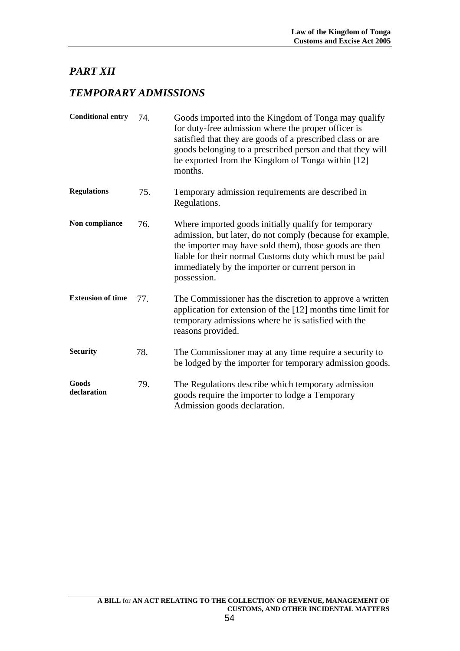## *PART XII*

## *TEMPORARY ADMISSIONS*

| <b>Conditional entry</b> | 74. | Goods imported into the Kingdom of Tonga may qualify<br>for duty-free admission where the proper officer is<br>satisfied that they are goods of a prescribed class or are<br>goods belonging to a prescribed person and that they will<br>be exported from the Kingdom of Tonga within [12]<br>months.    |
|--------------------------|-----|-----------------------------------------------------------------------------------------------------------------------------------------------------------------------------------------------------------------------------------------------------------------------------------------------------------|
| <b>Regulations</b>       | 75. | Temporary admission requirements are described in<br>Regulations.                                                                                                                                                                                                                                         |
| Non compliance           | 76. | Where imported goods initially qualify for temporary<br>admission, but later, do not comply (because for example,<br>the importer may have sold them), those goods are then<br>liable for their normal Customs duty which must be paid<br>immediately by the importer or current person in<br>possession. |
| <b>Extension of time</b> | 77. | The Commissioner has the discretion to approve a written<br>application for extension of the [12] months time limit for<br>temporary admissions where he is satisfied with the<br>reasons provided.                                                                                                       |
| <b>Security</b>          | 78. | The Commissioner may at any time require a security to<br>be lodged by the importer for temporary admission goods.                                                                                                                                                                                        |
| Goods<br>declaration     | 79. | The Regulations describe which temporary admission<br>goods require the importer to lodge a Temporary<br>Admission goods declaration.                                                                                                                                                                     |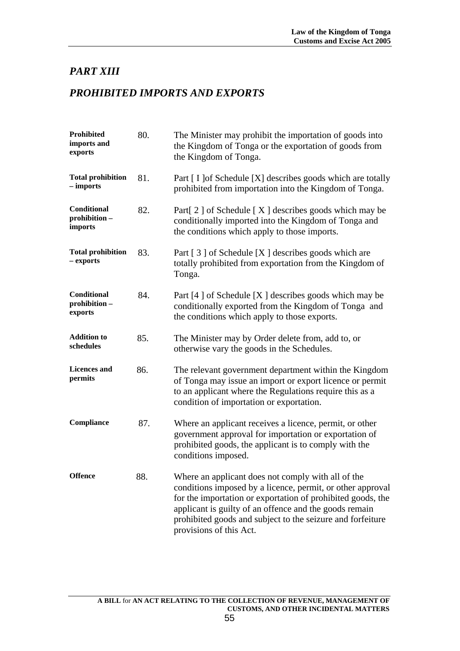#### *PART XIII*

#### *PROHIBITED IMPORTS AND EXPORTS*

| <b>Prohibited</b><br>imports and<br>exports   | 80. | The Minister may prohibit the importation of goods into<br>the Kingdom of Tonga or the exportation of goods from<br>the Kingdom of Tonga.                                                                                                                                                                                          |
|-----------------------------------------------|-----|------------------------------------------------------------------------------------------------------------------------------------------------------------------------------------------------------------------------------------------------------------------------------------------------------------------------------------|
| <b>Total prohibition</b><br>- imports         | 81. | Part [ I ] of Schedule [X] describes goods which are totally<br>prohibited from importation into the Kingdom of Tonga.                                                                                                                                                                                                             |
| Conditional<br>prohibition-<br>imports        | 82. | Part[2] of Schedule [X] describes goods which may be<br>conditionally imported into the Kingdom of Tonga and<br>the conditions which apply to those imports.                                                                                                                                                                       |
| <b>Total prohibition</b><br>- exports         | 83. | Part [3] of Schedule [X] describes goods which are<br>totally prohibited from exportation from the Kingdom of<br>Tonga.                                                                                                                                                                                                            |
| <b>Conditional</b><br>prohibition-<br>exports | 84. | Part [4] of Schedule [X] describes goods which may be<br>conditionally exported from the Kingdom of Tonga and<br>the conditions which apply to those exports.                                                                                                                                                                      |
| <b>Addition to</b><br>schedules               | 85. | The Minister may by Order delete from, add to, or<br>otherwise vary the goods in the Schedules.                                                                                                                                                                                                                                    |
| <b>Licences</b> and<br>permits                | 86. | The relevant government department within the Kingdom<br>of Tonga may issue an import or export licence or permit<br>to an applicant where the Regulations require this as a<br>condition of importation or exportation.                                                                                                           |
| Compliance                                    | 87. | Where an applicant receives a licence, permit, or other<br>government approval for importation or exportation of<br>prohibited goods, the applicant is to comply with the<br>conditions imposed.                                                                                                                                   |
| <b>Offence</b>                                | 88. | Where an applicant does not comply with all of the<br>conditions imposed by a licence, permit, or other approval<br>for the importation or exportation of prohibited goods, the<br>applicant is guilty of an offence and the goods remain<br>prohibited goods and subject to the seizure and forfeiture<br>provisions of this Act. |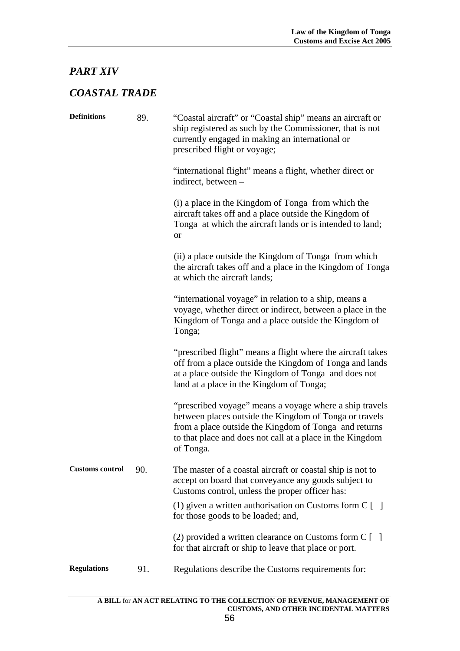#### *PART XIV*

## *COASTAL TRADE*

| <b>Definitions</b>     | 89. | "Coastal aircraft" or "Coastal ship" means an aircraft or<br>ship registered as such by the Commissioner, that is not<br>currently engaged in making an international or<br>prescribed flight or voyage;                                             |
|------------------------|-----|------------------------------------------------------------------------------------------------------------------------------------------------------------------------------------------------------------------------------------------------------|
|                        |     | "international flight" means a flight, whether direct or<br>indirect, between -                                                                                                                                                                      |
|                        |     | (i) a place in the Kingdom of Tonga from which the<br>aircraft takes off and a place outside the Kingdom of<br>Tonga at which the aircraft lands or is intended to land;<br><b>or</b>                                                                |
|                        |     | (ii) a place outside the Kingdom of Tonga from which<br>the aircraft takes off and a place in the Kingdom of Tonga<br>at which the aircraft lands;                                                                                                   |
|                        |     | "international voyage" in relation to a ship, means a<br>voyage, whether direct or indirect, between a place in the<br>Kingdom of Tonga and a place outside the Kingdom of<br>Tonga;                                                                 |
|                        |     | "prescribed flight" means a flight where the aircraft takes<br>off from a place outside the Kingdom of Tonga and lands<br>at a place outside the Kingdom of Tonga and does not<br>land at a place in the Kingdom of Tonga;                           |
|                        |     | "prescribed voyage" means a voyage where a ship travels<br>between places outside the Kingdom of Tonga or travels<br>from a place outside the Kingdom of Tonga and returns<br>to that place and does not call at a place in the Kingdom<br>of Tonga. |
| <b>Customs control</b> | 90. | The master of a coastal aircraft or coastal ship is not to<br>accept on board that conveyance any goods subject to<br>Customs control, unless the proper officer has:                                                                                |
|                        |     | (1) given a written authorisation on Customs form $C[\ ]$<br>for those goods to be loaded; and,                                                                                                                                                      |
|                        |     | (2) provided a written clearance on Customs form $C[\ ]$<br>for that aircraft or ship to leave that place or port.                                                                                                                                   |
| <b>Regulations</b>     | 91. | Regulations describe the Customs requirements for:                                                                                                                                                                                                   |
|                        |     |                                                                                                                                                                                                                                                      |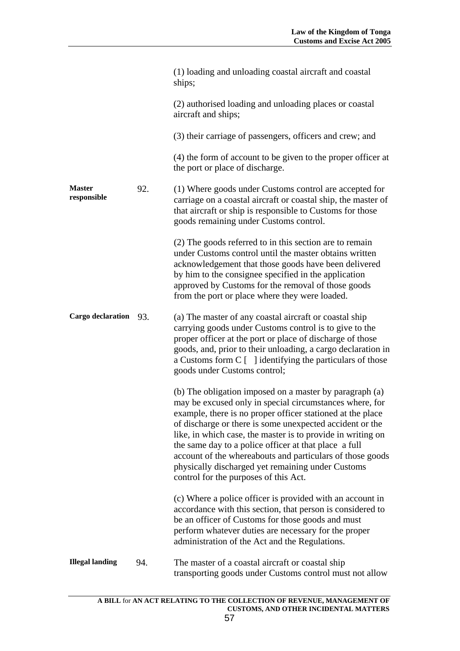|                              |     | (1) loading and unloading coastal aircraft and coastal<br>ships;                                                                                                                                                                                                                                                                                                                                                                                                                                                                |
|------------------------------|-----|---------------------------------------------------------------------------------------------------------------------------------------------------------------------------------------------------------------------------------------------------------------------------------------------------------------------------------------------------------------------------------------------------------------------------------------------------------------------------------------------------------------------------------|
|                              |     | (2) authorised loading and unloading places or coastal<br>aircraft and ships;                                                                                                                                                                                                                                                                                                                                                                                                                                                   |
|                              |     | (3) their carriage of passengers, officers and crew; and                                                                                                                                                                                                                                                                                                                                                                                                                                                                        |
|                              |     | (4) the form of account to be given to the proper officer at<br>the port or place of discharge.                                                                                                                                                                                                                                                                                                                                                                                                                                 |
| <b>Master</b><br>responsible | 92. | (1) Where goods under Customs control are accepted for<br>carriage on a coastal aircraft or coastal ship, the master of<br>that aircraft or ship is responsible to Customs for those<br>goods remaining under Customs control.                                                                                                                                                                                                                                                                                                  |
|                              |     | (2) The goods referred to in this section are to remain<br>under Customs control until the master obtains written<br>acknowledgement that those goods have been delivered<br>by him to the consignee specified in the application<br>approved by Customs for the removal of those goods<br>from the port or place where they were loaded.                                                                                                                                                                                       |
| <b>Cargo declaration</b>     | 93. | (a) The master of any coastal aircraft or coastal ship<br>carrying goods under Customs control is to give to the<br>proper officer at the port or place of discharge of those<br>goods, and, prior to their unloading, a cargo declaration in<br>a Customs form $C$ [ ] identifying the particulars of those<br>goods under Customs control;                                                                                                                                                                                    |
|                              |     | (b) The obligation imposed on a master by paragraph (a)<br>may be excused only in special circumstances where, for<br>example, there is no proper officer stationed at the place<br>of discharge or there is some unexpected accident or the<br>like, in which case, the master is to provide in writing on<br>the same day to a police officer at that place a full<br>account of the whereabouts and particulars of those goods<br>physically discharged yet remaining under Customs<br>control for the purposes of this Act. |
|                              |     | (c) Where a police officer is provided with an account in<br>accordance with this section, that person is considered to<br>be an officer of Customs for those goods and must<br>perform whatever duties are necessary for the proper<br>administration of the Act and the Regulations.                                                                                                                                                                                                                                          |
| <b>Illegal landing</b>       | 94. | The master of a coastal aircraft or coastal ship<br>transporting goods under Customs control must not allow                                                                                                                                                                                                                                                                                                                                                                                                                     |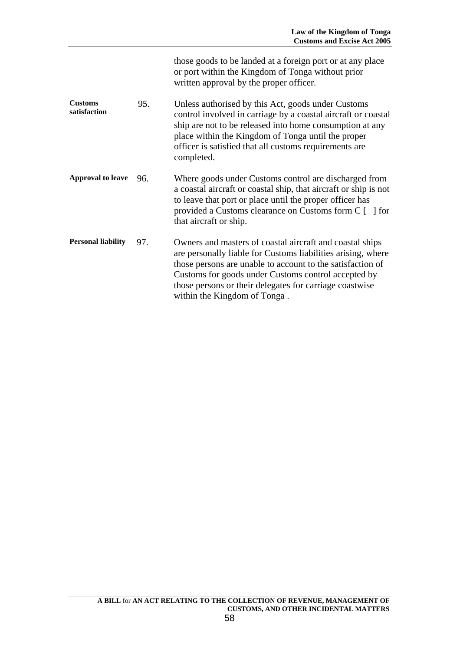|                                |     | those goods to be landed at a foreign port or at any place<br>or port within the Kingdom of Tonga without prior<br>written approval by the proper officer.                                                                                                                                                                               |
|--------------------------------|-----|------------------------------------------------------------------------------------------------------------------------------------------------------------------------------------------------------------------------------------------------------------------------------------------------------------------------------------------|
| <b>Customs</b><br>satisfaction | 95. | Unless authorised by this Act, goods under Customs<br>control involved in carriage by a coastal aircraft or coastal<br>ship are not to be released into home consumption at any<br>place within the Kingdom of Tonga until the proper<br>officer is satisfied that all customs requirements are<br>completed.                            |
| <b>Approval to leave</b>       | 96. | Where goods under Customs control are discharged from<br>a coastal aircraft or coastal ship, that aircraft or ship is not<br>to leave that port or place until the proper officer has<br>provided a Customs clearance on Customs form C [ ] for<br>that aircraft or ship.                                                                |
| <b>Personal liability</b>      | 97. | Owners and masters of coastal aircraft and coastal ships<br>are personally liable for Customs liabilities arising, where<br>those persons are unable to account to the satisfaction of<br>Customs for goods under Customs control accepted by<br>those persons or their delegates for carriage coastwise<br>within the Kingdom of Tonga. |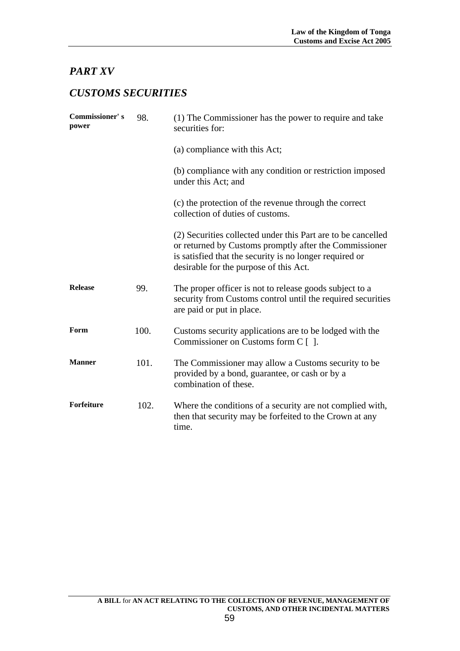#### *PART XV*

## *CUSTOMS SECURITIES*

| <b>Commissioner's</b><br>power | 98.  | (1) The Commissioner has the power to require and take<br>securities for:                                                                                                                                                   |
|--------------------------------|------|-----------------------------------------------------------------------------------------------------------------------------------------------------------------------------------------------------------------------------|
|                                |      | (a) compliance with this Act;                                                                                                                                                                                               |
|                                |      | (b) compliance with any condition or restriction imposed<br>under this Act; and                                                                                                                                             |
|                                |      | (c) the protection of the revenue through the correct<br>collection of duties of customs.                                                                                                                                   |
|                                |      | (2) Securities collected under this Part are to be cancelled<br>or returned by Customs promptly after the Commissioner<br>is satisfied that the security is no longer required or<br>desirable for the purpose of this Act. |
| <b>Release</b>                 | 99.  | The proper officer is not to release goods subject to a<br>security from Customs control until the required securities<br>are paid or put in place.                                                                         |
| Form                           | 100. | Customs security applications are to be lodged with the<br>Commissioner on Customs form $C[\ ]$ .                                                                                                                           |
| <b>Manner</b>                  | 101. | The Commissioner may allow a Customs security to be<br>provided by a bond, guarantee, or cash or by a<br>combination of these.                                                                                              |
| Forfeiture                     | 102. | Where the conditions of a security are not complied with,<br>then that security may be forfeited to the Crown at any<br>time.                                                                                               |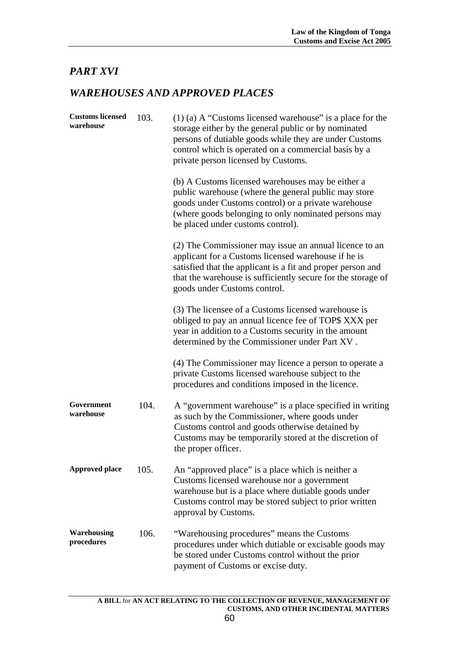#### *PART XVI*

#### *WAREHOUSES AND APPROVED PLACES*

| <b>Customs licensed</b><br>warehouse | 103. | $(1)$ (a) A "Customs licensed warehouse" is a place for the<br>storage either by the general public or by nominated<br>persons of dutiable goods while they are under Customs<br>control which is operated on a commercial basis by a<br>private person licensed by Customs. |
|--------------------------------------|------|------------------------------------------------------------------------------------------------------------------------------------------------------------------------------------------------------------------------------------------------------------------------------|
|                                      |      | (b) A Customs licensed warehouses may be either a<br>public warehouse (where the general public may store<br>goods under Customs control) or a private warehouse<br>(where goods belonging to only nominated persons may<br>be placed under customs control).                |
|                                      |      | (2) The Commissioner may issue an annual licence to an<br>applicant for a Customs licensed warehouse if he is<br>satisfied that the applicant is a fit and proper person and<br>that the warehouse is sufficiently secure for the storage of<br>goods under Customs control. |
|                                      |      | (3) The licensee of a Customs licensed warehouse is<br>obliged to pay an annual licence fee of TOP\$ XXX per<br>year in addition to a Customs security in the amount<br>determined by the Commissioner under Part XV.                                                        |
|                                      |      | (4) The Commissioner may licence a person to operate a<br>private Customs licensed warehouse subject to the<br>procedures and conditions imposed in the licence.                                                                                                             |
| Government<br>warehouse              | 104. | A "government warehouse" is a place specified in writing<br>as such by the Commissioner, where goods under<br>Customs control and goods otherwise detained by<br>Customs may be temporarily stored at the discretion of<br>the proper officer.                               |
| <b>Approved place</b>                | 105. | An "approved place" is a place which is neither a<br>Customs licensed warehouse nor a government<br>warehouse but is a place where dutiable goods under<br>Customs control may be stored subject to prior written<br>approval by Customs.                                    |
| Warehousing<br>procedures            | 106. | "Warehousing procedures" means the Customs<br>procedures under which dutiable or excisable goods may<br>be stored under Customs control without the prior<br>payment of Customs or excise duty.                                                                              |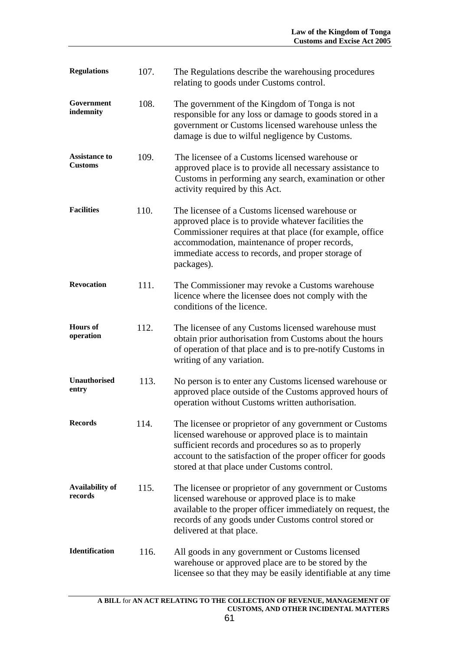| <b>Regulations</b>                     | 107. | The Regulations describe the warehousing procedures<br>relating to goods under Customs control.                                                                                                                                                                                          |
|----------------------------------------|------|------------------------------------------------------------------------------------------------------------------------------------------------------------------------------------------------------------------------------------------------------------------------------------------|
| Government<br>indemnity                | 108. | The government of the Kingdom of Tonga is not<br>responsible for any loss or damage to goods stored in a<br>government or Customs licensed warehouse unless the<br>damage is due to wilful negligence by Customs.                                                                        |
| <b>Assistance to</b><br><b>Customs</b> | 109. | The licensee of a Customs licensed warehouse or<br>approved place is to provide all necessary assistance to<br>Customs in performing any search, examination or other<br>activity required by this Act.                                                                                  |
| <b>Facilities</b>                      | 110. | The licensee of a Customs licensed warehouse or<br>approved place is to provide whatever facilities the<br>Commissioner requires at that place (for example, office<br>accommodation, maintenance of proper records,<br>immediate access to records, and proper storage of<br>packages). |
| <b>Revocation</b>                      | 111. | The Commissioner may revoke a Customs warehouse<br>licence where the licensee does not comply with the<br>conditions of the licence.                                                                                                                                                     |
| <b>Hours</b> of<br>operation           | 112. | The licensee of any Customs licensed warehouse must<br>obtain prior authorisation from Customs about the hours<br>of operation of that place and is to pre-notify Customs in<br>writing of any variation.                                                                                |
| <b>Unauthorised</b><br>entry           | 113. | No person is to enter any Customs licensed warehouse or<br>approved place outside of the Customs approved hours of<br>operation without Customs written authorisation.                                                                                                                   |
| <b>Records</b>                         | 114. | The licensee or proprietor of any government or Customs<br>licensed warehouse or approved place is to maintain<br>sufficient records and procedures so as to properly<br>account to the satisfaction of the proper officer for goods<br>stored at that place under Customs control.      |
| <b>Availability of</b><br>records      | 115. | The licensee or proprietor of any government or Customs<br>licensed warehouse or approved place is to make<br>available to the proper officer immediately on request, the<br>records of any goods under Customs control stored or<br>delivered at that place.                            |
| Identification                         | 116. | All goods in any government or Customs licensed<br>warehouse or approved place are to be stored by the<br>licensee so that they may be easily identifiable at any time                                                                                                                   |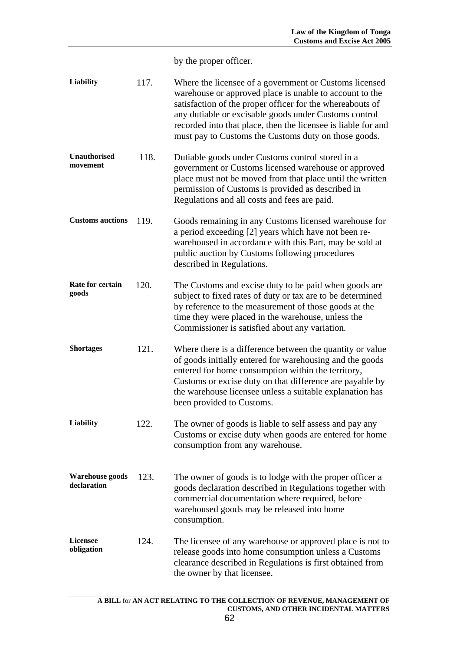|                                       |      | by the proper officer.                                                                                                                                                                                                                                                                                                                                           |
|---------------------------------------|------|------------------------------------------------------------------------------------------------------------------------------------------------------------------------------------------------------------------------------------------------------------------------------------------------------------------------------------------------------------------|
| <b>Liability</b>                      | 117. | Where the licensee of a government or Customs licensed<br>warehouse or approved place is unable to account to the<br>satisfaction of the proper officer for the whereabouts of<br>any dutiable or excisable goods under Customs control<br>recorded into that place, then the licensee is liable for and<br>must pay to Customs the Customs duty on those goods. |
| <b>Unauthorised</b><br>movement       | 118. | Dutiable goods under Customs control stored in a<br>government or Customs licensed warehouse or approved<br>place must not be moved from that place until the written<br>permission of Customs is provided as described in<br>Regulations and all costs and fees are paid.                                                                                       |
| <b>Customs auctions</b>               | 119. | Goods remaining in any Customs licensed warehouse for<br>a period exceeding [2] years which have not been re-<br>warehoused in accordance with this Part, may be sold at<br>public auction by Customs following procedures<br>described in Regulations.                                                                                                          |
| Rate for certain<br>goods             | 120. | The Customs and excise duty to be paid when goods are<br>subject to fixed rates of duty or tax are to be determined<br>by reference to the measurement of those goods at the<br>time they were placed in the warehouse, unless the<br>Commissioner is satisfied about any variation.                                                                             |
| <b>Shortages</b>                      | 121. | Where there is a difference between the quantity or value<br>of goods initially entered for warehousing and the goods<br>entered for home consumption within the territory,<br>Customs or excise duty on that difference are payable by<br>the warehouse licensee unless a suitable explanation has<br>been provided to Customs.                                 |
| Liability                             | 122. | The owner of goods is liable to self assess and pay any<br>Customs or excise duty when goods are entered for home<br>consumption from any warehouse.                                                                                                                                                                                                             |
| <b>Warehouse goods</b><br>declaration | 123. | The owner of goods is to lodge with the proper officer a<br>goods declaration described in Regulations together with<br>commercial documentation where required, before<br>warehoused goods may be released into home<br>consumption.                                                                                                                            |
| <b>Licensee</b><br>obligation         | 124. | The licensee of any warehouse or approved place is not to<br>release goods into home consumption unless a Customs<br>clearance described in Regulations is first obtained from<br>the owner by that licensee.                                                                                                                                                    |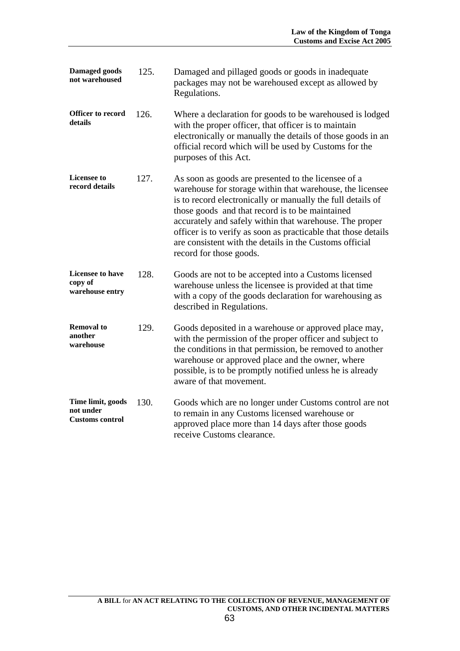| <b>Damaged goods</b><br>not warehoused                   | 125. | Damaged and pillaged goods or goods in inadequate<br>packages may not be warehoused except as allowed by<br>Regulations.                                                                                                                                                                                                                                                                                                                              |
|----------------------------------------------------------|------|-------------------------------------------------------------------------------------------------------------------------------------------------------------------------------------------------------------------------------------------------------------------------------------------------------------------------------------------------------------------------------------------------------------------------------------------------------|
| <b>Officer to record</b><br>details                      | 126. | Where a declaration for goods to be warehoused is lodged<br>with the proper officer, that officer is to maintain<br>electronically or manually the details of those goods in an<br>official record which will be used by Customs for the<br>purposes of this Act.                                                                                                                                                                                     |
| <b>Licensee to</b><br>record details                     | 127. | As soon as goods are presented to the licensee of a<br>warehouse for storage within that warehouse, the licensee<br>is to record electronically or manually the full details of<br>those goods and that record is to be maintained<br>accurately and safely within that warehouse. The proper<br>officer is to verify as soon as practicable that those details<br>are consistent with the details in the Customs official<br>record for those goods. |
| <b>Licensee to have</b><br>copy of<br>warehouse entry    | 128. | Goods are not to be accepted into a Customs licensed<br>warehouse unless the licensee is provided at that time<br>with a copy of the goods declaration for warehousing as<br>described in Regulations.                                                                                                                                                                                                                                                |
| <b>Removal to</b><br>another<br>warehouse                | 129. | Goods deposited in a warehouse or approved place may,<br>with the permission of the proper officer and subject to<br>the conditions in that permission, be removed to another<br>warehouse or approved place and the owner, where<br>possible, is to be promptly notified unless he is already<br>aware of that movement.                                                                                                                             |
| Time limit, goods<br>not under<br><b>Customs control</b> | 130. | Goods which are no longer under Customs control are not<br>to remain in any Customs licensed warehouse or<br>approved place more than 14 days after those goods<br>receive Customs clearance.                                                                                                                                                                                                                                                         |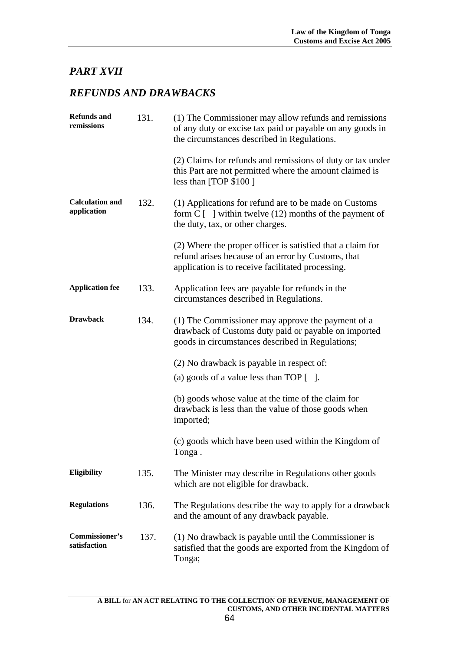#### *PART XVII*

## *REFUNDS AND DRAWBACKS*

| <b>Refunds and</b><br>remissions      | 131. | (1) The Commissioner may allow refunds and remissions<br>of any duty or excise tax paid or payable on any goods in<br>the circumstances described in Regulations.     |
|---------------------------------------|------|-----------------------------------------------------------------------------------------------------------------------------------------------------------------------|
|                                       |      | (2) Claims for refunds and remissions of duty or tax under<br>this Part are not permitted where the amount claimed is<br>less than $[TOP $100]$                       |
| <b>Calculation and</b><br>application | 132. | (1) Applications for refund are to be made on Customs<br>form $C$ [ ] within twelve (12) months of the payment of<br>the duty, tax, or other charges.                 |
|                                       |      | (2) Where the proper officer is satisfied that a claim for<br>refund arises because of an error by Customs, that<br>application is to receive facilitated processing. |
| <b>Application fee</b>                | 133. | Application fees are payable for refunds in the<br>circumstances described in Regulations.                                                                            |
| <b>Drawback</b>                       | 134. | (1) The Commissioner may approve the payment of a<br>drawback of Customs duty paid or payable on imported<br>goods in circumstances described in Regulations;         |
|                                       |      | (2) No drawback is payable in respect of:                                                                                                                             |
|                                       |      | (a) goods of a value less than $TOP \lbrack \rbrack$ .                                                                                                                |
|                                       |      | (b) goods whose value at the time of the claim for<br>drawback is less than the value of those goods when<br>imported;                                                |
|                                       |      | (c) goods which have been used within the Kingdom of<br>Tonga.                                                                                                        |
| Eligibility                           | 135. | The Minister may describe in Regulations other goods<br>which are not eligible for drawback.                                                                          |
| <b>Regulations</b>                    | 136. | The Regulations describe the way to apply for a drawback<br>and the amount of any drawback payable.                                                                   |
| Commissioner's<br>satisfaction        | 137. | (1) No drawback is payable until the Commissioner is<br>satisfied that the goods are exported from the Kingdom of<br>Tonga;                                           |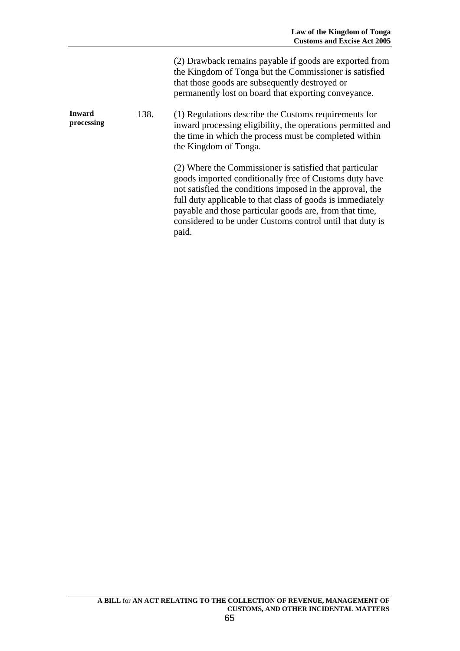|                             |      | (2) Drawback remains payable if goods are exported from<br>the Kingdom of Tonga but the Commissioner is satisfied<br>that those goods are subsequently destroyed or<br>permanently lost on board that exporting conveyance.                                                                                                                                                   |
|-----------------------------|------|-------------------------------------------------------------------------------------------------------------------------------------------------------------------------------------------------------------------------------------------------------------------------------------------------------------------------------------------------------------------------------|
| <b>Inward</b><br>processing | 138. | (1) Regulations describe the Customs requirements for<br>inward processing eligibility, the operations permitted and<br>the time in which the process must be completed within<br>the Kingdom of Tonga.                                                                                                                                                                       |
|                             |      | (2) Where the Commissioner is satisfied that particular<br>goods imported conditionally free of Customs duty have<br>not satisfied the conditions imposed in the approval, the<br>full duty applicable to that class of goods is immediately<br>payable and those particular goods are, from that time,<br>considered to be under Customs control until that duty is<br>paid. |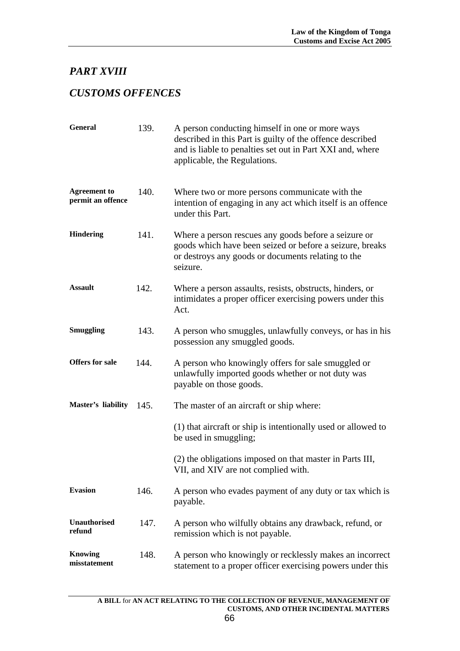## *PART XVIII*

## *CUSTOMS OFFENCES*

| <b>General</b>                           | 139. | A person conducting himself in one or more ways<br>described in this Part is guilty of the offence described<br>and is liable to penalties set out in Part XXI and, where<br>applicable, the Regulations. |
|------------------------------------------|------|-----------------------------------------------------------------------------------------------------------------------------------------------------------------------------------------------------------|
| <b>Agreement</b> to<br>permit an offence | 140. | Where two or more persons communicate with the<br>intention of engaging in any act which itself is an offence<br>under this Part.                                                                         |
| <b>Hindering</b>                         | 141. | Where a person rescues any goods before a seizure or<br>goods which have been seized or before a seizure, breaks<br>or destroys any goods or documents relating to the<br>seizure.                        |
| <b>Assault</b>                           | 142. | Where a person assaults, resists, obstructs, hinders, or<br>intimidates a proper officer exercising powers under this<br>Act.                                                                             |
| <b>Smuggling</b>                         | 143. | A person who smuggles, unlawfully conveys, or has in his<br>possession any smuggled goods.                                                                                                                |
| <b>Offers</b> for sale                   | 144. | A person who knowingly offers for sale smuggled or<br>unlawfully imported goods whether or not duty was<br>payable on those goods.                                                                        |
| Master's liability                       | 145. | The master of an aircraft or ship where:                                                                                                                                                                  |
|                                          |      | (1) that aircraft or ship is intentionally used or allowed to<br>be used in smuggling;                                                                                                                    |
|                                          |      | (2) the obligations imposed on that master in Parts III,<br>VII, and XIV are not complied with.                                                                                                           |
| <b>Evasion</b>                           | 146. | A person who evades payment of any duty or tax which is<br>payable.                                                                                                                                       |
| <b>Unauthorised</b><br>refund            | 147. | A person who wilfully obtains any drawback, refund, or<br>remission which is not payable.                                                                                                                 |
| <b>Knowing</b><br>misstatement           | 148. | A person who knowingly or recklessly makes an incorrect<br>statement to a proper officer exercising powers under this                                                                                     |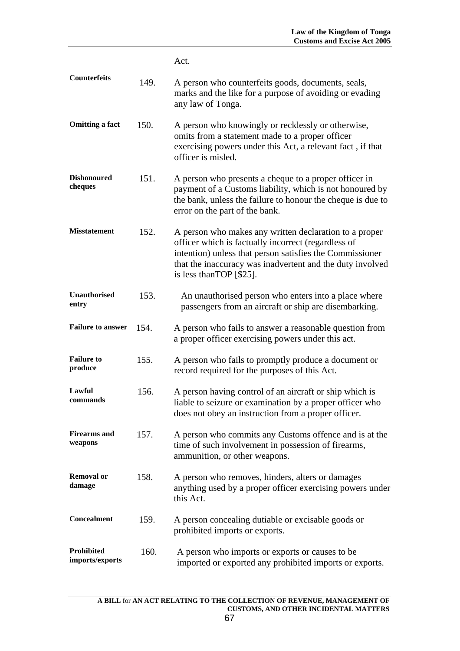|                                      |      | Act.                                                                                                                                                                                                                                                                 |
|--------------------------------------|------|----------------------------------------------------------------------------------------------------------------------------------------------------------------------------------------------------------------------------------------------------------------------|
| Counterfeits                         | 149. | A person who counterfeits goods, documents, seals,<br>marks and the like for a purpose of avoiding or evading<br>any law of Tonga.                                                                                                                                   |
| <b>Omitting a fact</b>               | 150. | A person who knowingly or recklessly or otherwise,<br>omits from a statement made to a proper officer<br>exercising powers under this Act, a relevant fact, if that<br>officer is misled.                                                                            |
| <b>Dishonoured</b><br>cheques        | 151. | A person who presents a cheque to a proper officer in<br>payment of a Customs liability, which is not honoured by<br>the bank, unless the failure to honour the cheque is due to<br>error on the part of the bank.                                                   |
| <b>Misstatement</b>                  | 152. | A person who makes any written declaration to a proper<br>officer which is factually incorrect (regardless of<br>intention) unless that person satisfies the Commissioner<br>that the inaccuracy was inadvertent and the duty involved<br>is less than TOP $[$25]$ . |
| Unauthorised<br>entry                | 153. | An unauthorised person who enters into a place where<br>passengers from an aircraft or ship are disembarking.                                                                                                                                                        |
| <b>Failure to answer</b>             | 154. | A person who fails to answer a reasonable question from<br>a proper officer exercising powers under this act.                                                                                                                                                        |
| <b>Failure to</b><br>produce         | 155. | A person who fails to promptly produce a document or<br>record required for the purposes of this Act.                                                                                                                                                                |
| Lawful<br>commands                   | 156. | A person having control of an aircraft or ship which is<br>liable to seizure or examination by a proper officer who<br>does not obey an instruction from a proper officer.                                                                                           |
| <b>Firearms</b> and<br>weapons       | 157. | A person who commits any Customs offence and is at the<br>time of such involvement in possession of firearms,<br>ammunition, or other weapons.                                                                                                                       |
| <b>Removal or</b><br>damage          | 158. | A person who removes, hinders, alters or damages<br>anything used by a proper officer exercising powers under<br>this Act.                                                                                                                                           |
| <b>Concealment</b>                   | 159. | A person concealing dutiable or excisable goods or<br>prohibited imports or exports.                                                                                                                                                                                 |
| <b>Prohibited</b><br>imports/exports | 160. | A person who imports or exports or causes to be<br>imported or exported any prohibited imports or exports.                                                                                                                                                           |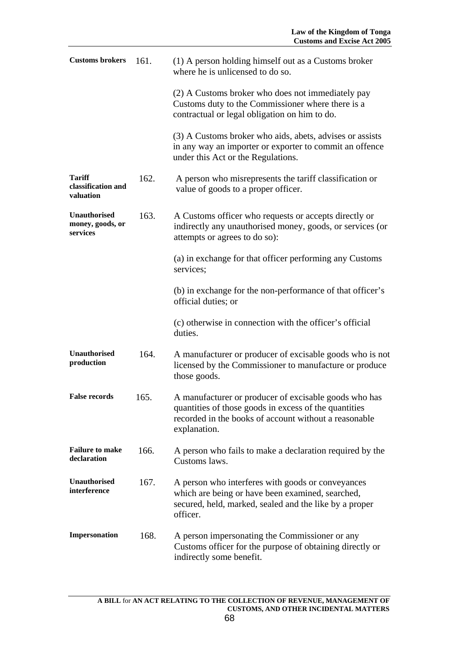| <b>Customs brokers</b>                              | 161. | (1) A person holding himself out as a Customs broker<br>where he is unlicensed to do so.                                                                                                |
|-----------------------------------------------------|------|-----------------------------------------------------------------------------------------------------------------------------------------------------------------------------------------|
|                                                     |      | (2) A Customs broker who does not immediately pay<br>Customs duty to the Commissioner where there is a<br>contractual or legal obligation on him to do.                                 |
|                                                     |      | (3) A Customs broker who aids, abets, advises or assists<br>in any way an importer or exporter to commit an offence<br>under this Act or the Regulations.                               |
| <b>Tariff</b><br>classification and<br>valuation    | 162. | A person who misrepresents the tariff classification or<br>value of goods to a proper officer.                                                                                          |
| <b>Unauthorised</b><br>money, goods, or<br>services | 163. | A Customs officer who requests or accepts directly or<br>indirectly any unauthorised money, goods, or services (or<br>attempts or agrees to do so):                                     |
|                                                     |      | (a) in exchange for that officer performing any Customs<br>services;                                                                                                                    |
|                                                     |      | (b) in exchange for the non-performance of that officer's<br>official duties; or                                                                                                        |
|                                                     |      | (c) otherwise in connection with the officer's official<br>duties.                                                                                                                      |
| Unauthorised<br>production                          | 164. | A manufacturer or producer of excisable goods who is not<br>licensed by the Commissioner to manufacture or produce<br>those goods.                                                      |
| <b>False records</b>                                | 165. | A manufacturer or producer of excisable goods who has<br>quantities of those goods in excess of the quantities<br>recorded in the books of account without a reasonable<br>explanation. |
| <b>Failure to make</b><br>declaration               | 166. | A person who fails to make a declaration required by the<br>Customs laws.                                                                                                               |
| <b>Unauthorised</b><br>interference                 | 167. | A person who interferes with goods or conveyances<br>which are being or have been examined, searched,<br>secured, held, marked, sealed and the like by a proper<br>officer.             |
| Impersonation                                       | 168. | A person impersonating the Commissioner or any<br>Customs officer for the purpose of obtaining directly or<br>indirectly some benefit.                                                  |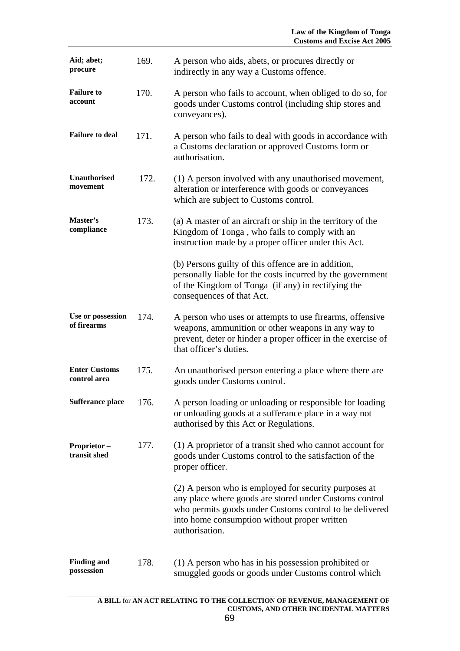| Aid; abet;<br>procure                | 169. | A person who aids, abets, or procures directly or<br>indirectly in any way a Customs offence.                                                                                                                                                |
|--------------------------------------|------|----------------------------------------------------------------------------------------------------------------------------------------------------------------------------------------------------------------------------------------------|
| <b>Failure to</b><br>account         | 170. | A person who fails to account, when obliged to do so, for<br>goods under Customs control (including ship stores and<br>conveyances).                                                                                                         |
| <b>Failure to deal</b>               | 171. | A person who fails to deal with goods in accordance with<br>a Customs declaration or approved Customs form or<br>authorisation.                                                                                                              |
| <b>Unauthorised</b><br>movement      | 172. | (1) A person involved with any unauthorised movement,<br>alteration or interference with goods or conveyances<br>which are subject to Customs control.                                                                                       |
| Master's<br>compliance               | 173. | (a) A master of an aircraft or ship in the territory of the<br>Kingdom of Tonga, who fails to comply with an<br>instruction made by a proper officer under this Act.                                                                         |
|                                      |      | (b) Persons guilty of this offence are in addition,<br>personally liable for the costs incurred by the government<br>of the Kingdom of Tonga (if any) in rectifying the<br>consequences of that Act.                                         |
| Use or possession<br>of firearms     | 174. | A person who uses or attempts to use firearms, offensive<br>weapons, ammunition or other weapons in any way to<br>prevent, deter or hinder a proper officer in the exercise of<br>that officer's duties.                                     |
| <b>Enter Customs</b><br>control area | 175. | An unauthorised person entering a place where there are<br>goods under Customs control.                                                                                                                                                      |
| <b>Sufferance place</b>              | 176. | A person loading or unloading or responsible for loading<br>or unloading goods at a sufferance place in a way not<br>authorised by this Act or Regulations.                                                                                  |
| Proprietor-<br>transit shed          | 177. | (1) A proprietor of a transit shed who cannot account for<br>goods under Customs control to the satisfaction of the<br>proper officer.                                                                                                       |
|                                      |      | (2) A person who is employed for security purposes at<br>any place where goods are stored under Customs control<br>who permits goods under Customs control to be delivered<br>into home consumption without proper written<br>authorisation. |
| <b>Finding and</b><br>possession     | 178. | (1) A person who has in his possession prohibited or<br>smuggled goods or goods under Customs control which                                                                                                                                  |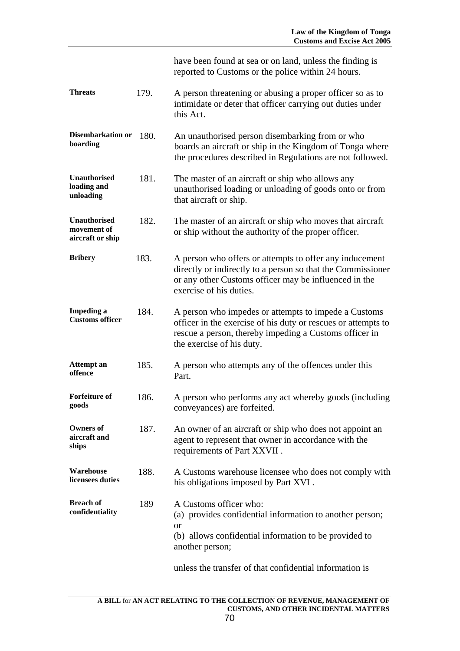|      | have been found at sea or on land, unless the finding is<br>reported to Customs or the police within 24 hours.                                                                                                                         |
|------|----------------------------------------------------------------------------------------------------------------------------------------------------------------------------------------------------------------------------------------|
| 179. | A person threatening or abusing a proper officer so as to<br>intimidate or deter that officer carrying out duties under<br>this Act.                                                                                                   |
| 180. | An unauthorised person disembarking from or who<br>boards an aircraft or ship in the Kingdom of Tonga where<br>the procedures described in Regulations are not followed.                                                               |
| 181. | The master of an aircraft or ship who allows any<br>unauthorised loading or unloading of goods onto or from<br>that aircraft or ship.                                                                                                  |
| 182. | The master of an aircraft or ship who moves that aircraft<br>or ship without the authority of the proper officer.                                                                                                                      |
| 183. | A person who offers or attempts to offer any inducement<br>directly or indirectly to a person so that the Commissioner<br>or any other Customs officer may be influenced in the<br>exercise of his duties.                             |
| 184. | A person who impedes or attempts to impede a Customs<br>officer in the exercise of his duty or rescues or attempts to<br>rescue a person, thereby impeding a Customs officer in<br>the exercise of his duty.                           |
| 185. | A person who attempts any of the offences under this<br>Part.                                                                                                                                                                          |
| 186. | A person who performs any act whereby goods (including<br>conveyances) are forfeited.                                                                                                                                                  |
| 187. | An owner of an aircraft or ship who does not appoint an<br>agent to represent that owner in accordance with the<br>requirements of Part XXVII.                                                                                         |
| 188. | A Customs warehouse licensee who does not comply with<br>his obligations imposed by Part XVI.                                                                                                                                          |
| 189  | A Customs officer who:<br>(a) provides confidential information to another person;<br><b>or</b><br>(b) allows confidential information to be provided to<br>another person;<br>unless the transfer of that confidential information is |
|      |                                                                                                                                                                                                                                        |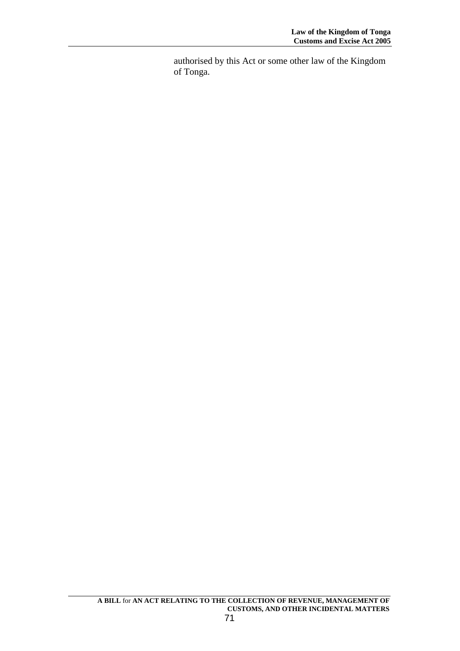authorised by this Act or some other law of the Kingdom of Tonga.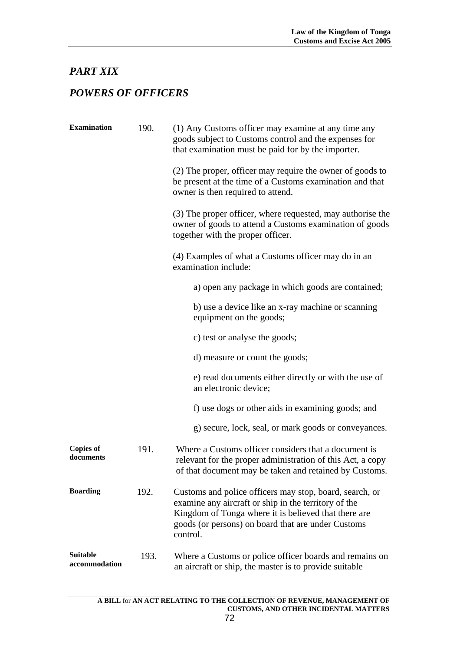#### *PART XIX*

## *POWERS OF OFFICERS*

| <b>Examination</b>               | 190. | (1) Any Customs officer may examine at any time any<br>goods subject to Customs control and the expenses for<br>that examination must be paid for by the importer.                                                                        |
|----------------------------------|------|-------------------------------------------------------------------------------------------------------------------------------------------------------------------------------------------------------------------------------------------|
|                                  |      | (2) The proper, officer may require the owner of goods to<br>be present at the time of a Customs examination and that<br>owner is then required to attend.                                                                                |
|                                  |      | (3) The proper officer, where requested, may authorise the<br>owner of goods to attend a Customs examination of goods<br>together with the proper officer.                                                                                |
|                                  |      | (4) Examples of what a Customs officer may do in an<br>examination include:                                                                                                                                                               |
|                                  |      | a) open any package in which goods are contained;                                                                                                                                                                                         |
|                                  |      | b) use a device like an x-ray machine or scanning<br>equipment on the goods;                                                                                                                                                              |
|                                  |      | c) test or analyse the goods;                                                                                                                                                                                                             |
|                                  |      | d) measure or count the goods;                                                                                                                                                                                                            |
|                                  |      | e) read documents either directly or with the use of<br>an electronic device;                                                                                                                                                             |
|                                  |      | f) use dogs or other aids in examining goods; and                                                                                                                                                                                         |
|                                  |      | g) secure, lock, seal, or mark goods or conveyances.                                                                                                                                                                                      |
| <b>Copies of</b><br>documents    | 191. | Where a Customs officer considers that a document is<br>relevant for the proper administration of this Act, a copy<br>of that document may be taken and retained by Customs.                                                              |
| <b>Boarding</b>                  | 192. | Customs and police officers may stop, board, search, or<br>examine any aircraft or ship in the territory of the<br>Kingdom of Tonga where it is believed that there are<br>goods (or persons) on board that are under Customs<br>control. |
| <b>Suitable</b><br>accommodation | 193. | Where a Customs or police officer boards and remains on<br>an aircraft or ship, the master is to provide suitable                                                                                                                         |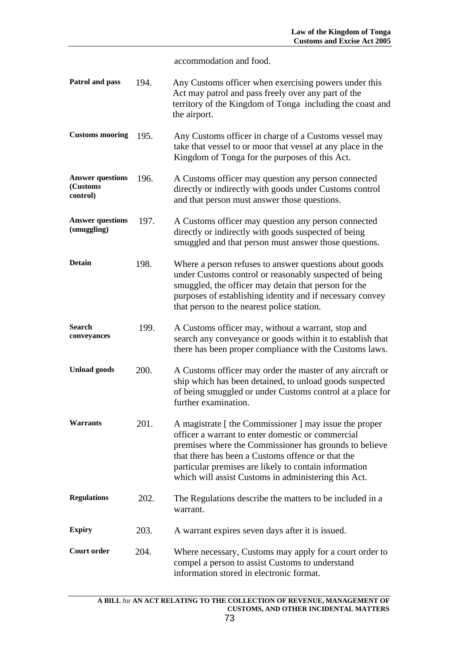|                                                 |      | accommodation and food.                                                                                                                                                                                                                                                                                                                   |
|-------------------------------------------------|------|-------------------------------------------------------------------------------------------------------------------------------------------------------------------------------------------------------------------------------------------------------------------------------------------------------------------------------------------|
| Patrol and pass                                 | 194. | Any Customs officer when exercising powers under this<br>Act may patrol and pass freely over any part of the<br>territory of the Kingdom of Tonga including the coast and<br>the airport.                                                                                                                                                 |
| <b>Customs mooring</b>                          | 195. | Any Customs officer in charge of a Customs vessel may<br>take that vessel to or moor that vessel at any place in the<br>Kingdom of Tonga for the purposes of this Act.                                                                                                                                                                    |
| <b>Answer questions</b><br>(Customs<br>control) | 196. | A Customs officer may question any person connected<br>directly or indirectly with goods under Customs control<br>and that person must answer those questions.                                                                                                                                                                            |
| <b>Answer questions</b><br>(smuggling)          | 197. | A Customs officer may question any person connected<br>directly or indirectly with goods suspected of being<br>smuggled and that person must answer those questions.                                                                                                                                                                      |
| <b>Detain</b>                                   | 198. | Where a person refuses to answer questions about goods<br>under Customs control or reasonably suspected of being<br>smuggled, the officer may detain that person for the<br>purposes of establishing identity and if necessary convey<br>that person to the nearest police station.                                                       |
| <b>Search</b><br>conveyances                    | 199. | A Customs officer may, without a warrant, stop and<br>search any conveyance or goods within it to establish that<br>there has been proper compliance with the Customs laws.                                                                                                                                                               |
| <b>Unload goods</b>                             | 200. | A Customs officer may order the master of any aircraft or<br>ship which has been detained, to unload goods suspected<br>of being smuggled or under Customs control at a place for<br>further examination.                                                                                                                                 |
| <b>Warrants</b>                                 | 201. | A magistrate [the Commissioner] may issue the proper<br>officer a warrant to enter domestic or commercial<br>premises where the Commissioner has grounds to believe<br>that there has been a Customs offence or that the<br>particular premises are likely to contain information<br>which will assist Customs in administering this Act. |
| <b>Regulations</b>                              | 202. | The Regulations describe the matters to be included in a<br>warrant.                                                                                                                                                                                                                                                                      |
| <b>Expiry</b>                                   | 203. | A warrant expires seven days after it is issued.                                                                                                                                                                                                                                                                                          |
| <b>Court order</b>                              | 204. | Where necessary, Customs may apply for a court order to<br>compel a person to assist Customs to understand<br>information stored in electronic format.                                                                                                                                                                                    |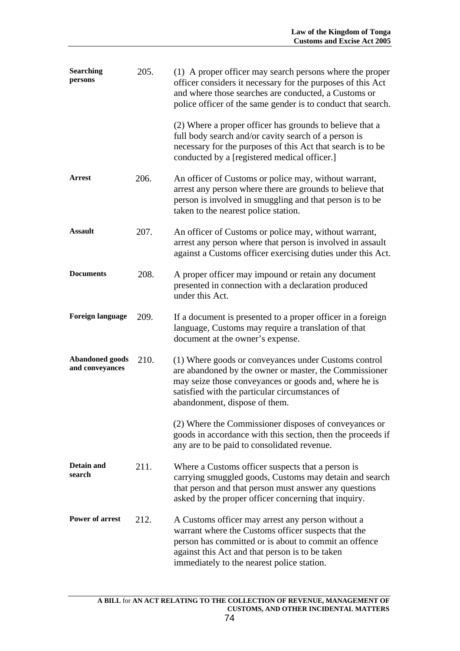| <b>Searching</b><br>persons               | 205. | (1) A proper officer may search persons where the proper<br>officer considers it necessary for the purposes of this Act<br>and where those searches are conducted, a Customs or<br>police officer of the same gender is to conduct that search.                    |
|-------------------------------------------|------|--------------------------------------------------------------------------------------------------------------------------------------------------------------------------------------------------------------------------------------------------------------------|
|                                           |      | (2) Where a proper officer has grounds to believe that a<br>full body search and/or cavity search of a person is<br>necessary for the purposes of this Act that search is to be<br>conducted by a [registered medical officer.]                                    |
| <b>Arrest</b>                             | 206. | An officer of Customs or police may, without warrant,<br>arrest any person where there are grounds to believe that<br>person is involved in smuggling and that person is to be<br>taken to the nearest police station.                                             |
| <b>Assault</b>                            | 207. | An officer of Customs or police may, without warrant,<br>arrest any person where that person is involved in assault<br>against a Customs officer exercising duties under this Act.                                                                                 |
| <b>Documents</b>                          | 208. | A proper officer may impound or retain any document<br>presented in connection with a declaration produced<br>under this Act.                                                                                                                                      |
| <b>Foreign language</b>                   | 209. | If a document is presented to a proper officer in a foreign<br>language, Customs may require a translation of that<br>document at the owner's expense.                                                                                                             |
| <b>Abandoned goods</b><br>and conveyances | 210. | (1) Where goods or conveyances under Customs control<br>are abandoned by the owner or master, the Commissioner<br>may seize those conveyances or goods and, where he is<br>satisfied with the particular circumstances of<br>abandonment, dispose of them.         |
|                                           |      | (2) Where the Commissioner disposes of conveyances or<br>goods in accordance with this section, then the proceeds if<br>any are to be paid to consolidated revenue.                                                                                                |
| Detain and<br>search                      | 211. | Where a Customs officer suspects that a person is<br>carrying smuggled goods, Customs may detain and search<br>that person and that person must answer any questions<br>asked by the proper officer concerning that inquiry.                                       |
| <b>Power of arrest</b>                    | 212. | A Customs officer may arrest any person without a<br>warrant where the Customs officer suspects that the<br>person has committed or is about to commit an offence<br>against this Act and that person is to be taken<br>immediately to the nearest police station. |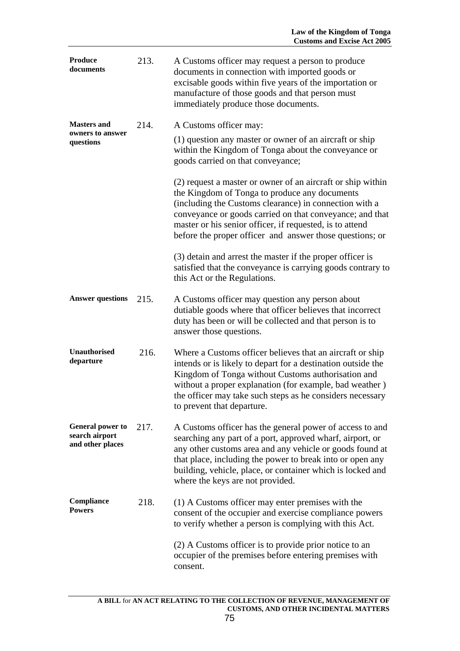| <b>Produce</b><br>documents                                   | 213. | A Customs officer may request a person to produce<br>documents in connection with imported goods or<br>excisable goods within five years of the importation or<br>manufacture of those goods and that person must<br>immediately produce those documents.                                                                                                  |
|---------------------------------------------------------------|------|------------------------------------------------------------------------------------------------------------------------------------------------------------------------------------------------------------------------------------------------------------------------------------------------------------------------------------------------------------|
| <b>Masters and</b>                                            | 214. | A Customs officer may:                                                                                                                                                                                                                                                                                                                                     |
| owners to answer<br>questions                                 |      | (1) question any master or owner of an aircraft or ship<br>within the Kingdom of Tonga about the conveyance or<br>goods carried on that conveyance;                                                                                                                                                                                                        |
|                                                               |      | (2) request a master or owner of an aircraft or ship within<br>the Kingdom of Tonga to produce any documents<br>(including the Customs clearance) in connection with a<br>conveyance or goods carried on that conveyance; and that<br>master or his senior officer, if requested, is to attend<br>before the proper officer and answer those questions; or |
|                                                               |      | (3) detain and arrest the master if the proper officer is<br>satisfied that the conveyance is carrying goods contrary to<br>this Act or the Regulations.                                                                                                                                                                                                   |
| <b>Answer questions</b>                                       | 215. | A Customs officer may question any person about<br>dutiable goods where that officer believes that incorrect<br>duty has been or will be collected and that person is to<br>answer those questions.                                                                                                                                                        |
| Unauthorised<br>departure                                     | 216. | Where a Customs officer believes that an aircraft or ship<br>intends or is likely to depart for a destination outside the<br>Kingdom of Tonga without Customs authorisation and<br>without a proper explanation (for example, bad weather)<br>the officer may take such steps as he considers necessary<br>to prevent that departure.                      |
| <b>General power to</b><br>search airport<br>and other places | 217. | A Customs officer has the general power of access to and<br>searching any part of a port, approved wharf, airport, or<br>any other customs area and any vehicle or goods found at<br>that place, including the power to break into or open any<br>building, vehicle, place, or container which is locked and<br>where the keys are not provided.           |
| <b>Compliance</b><br><b>Powers</b>                            | 218. | (1) A Customs officer may enter premises with the<br>consent of the occupier and exercise compliance powers<br>to verify whether a person is complying with this Act.                                                                                                                                                                                      |
|                                                               |      | (2) A Customs officer is to provide prior notice to an<br>occupier of the premises before entering premises with<br>consent.                                                                                                                                                                                                                               |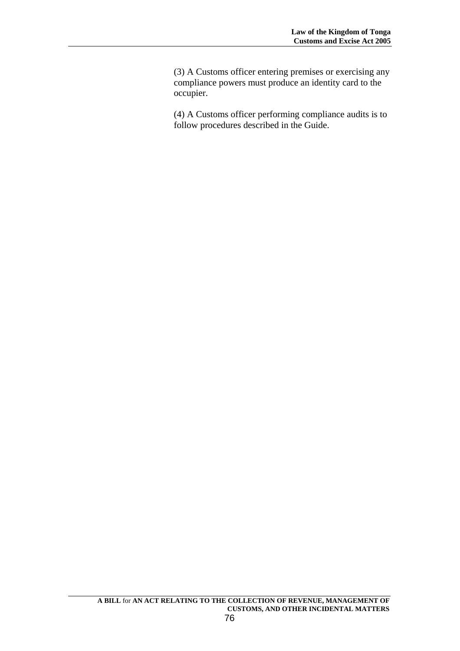(3) A Customs officer entering premises or exercising any compliance powers must produce an identity card to the occupier.

(4) A Customs officer performing compliance audits is to follow procedures described in the Guide.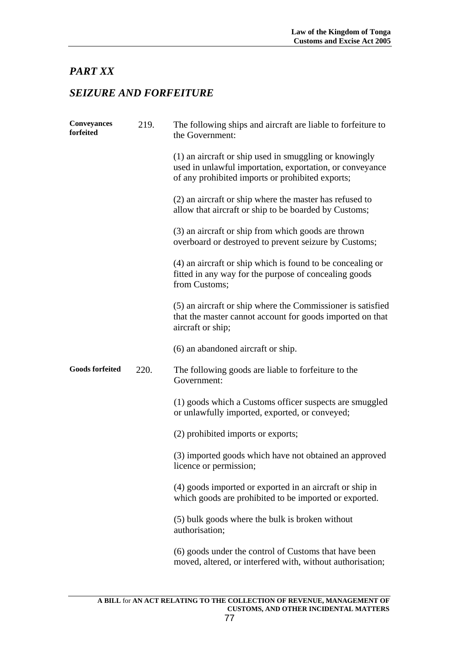### *PART XX*

# *SEIZURE AND FORFEITURE*

| <b>Conveyances</b><br>forfeited | 219. | The following ships and aircraft are liable to forfeiture to<br>the Government:                                                                                        |
|---------------------------------|------|------------------------------------------------------------------------------------------------------------------------------------------------------------------------|
|                                 |      | (1) an aircraft or ship used in smuggling or knowingly<br>used in unlawful importation, exportation, or conveyance<br>of any prohibited imports or prohibited exports; |
|                                 |      | (2) an aircraft or ship where the master has refused to<br>allow that aircraft or ship to be boarded by Customs;                                                       |
|                                 |      | (3) an aircraft or ship from which goods are thrown<br>overboard or destroyed to prevent seizure by Customs;                                                           |
|                                 |      | (4) an aircraft or ship which is found to be concealing or<br>fitted in any way for the purpose of concealing goods<br>from Customs;                                   |
|                                 |      | (5) an aircraft or ship where the Commissioner is satisfied<br>that the master cannot account for goods imported on that<br>aircraft or ship;                          |
|                                 |      | (6) an abandoned aircraft or ship.                                                                                                                                     |
| <b>Goods forfeited</b>          | 220. | The following goods are liable to forfeiture to the<br>Government:                                                                                                     |
|                                 |      | (1) goods which a Customs officer suspects are smuggled<br>or unlawfully imported, exported, or conveyed;                                                              |
|                                 |      | (2) prohibited imports or exports;                                                                                                                                     |
|                                 |      | (3) imported goods which have not obtained an approved<br>licence or permission;                                                                                       |
|                                 |      | (4) goods imported or exported in an aircraft or ship in<br>which goods are prohibited to be imported or exported.                                                     |
|                                 |      | (5) bulk goods where the bulk is broken without<br>authorisation;                                                                                                      |
|                                 |      | (6) goods under the control of Customs that have been<br>moved, altered, or interfered with, without authorisation;                                                    |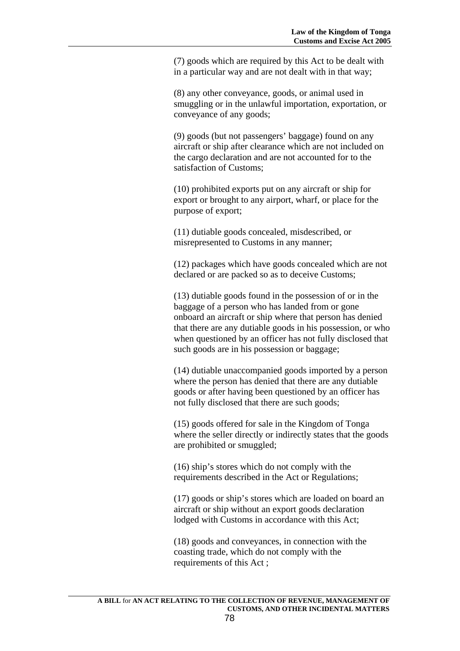(7) goods which are required by this Act to be dealt with in a particular way and are not dealt with in that way;

(8) any other conveyance, goods, or animal used in smuggling or in the unlawful importation, exportation, or conveyance of any goods;

(9) goods (but not passengers' baggage) found on any aircraft or ship after clearance which are not included on the cargo declaration and are not accounted for to the satisfaction of Customs;

(10) prohibited exports put on any aircraft or ship for export or brought to any airport, wharf, or place for the purpose of export;

(11) dutiable goods concealed, misdescribed, or misrepresented to Customs in any manner;

(12) packages which have goods concealed which are not declared or are packed so as to deceive Customs;

(13) dutiable goods found in the possession of or in the baggage of a person who has landed from or gone onboard an aircraft or ship where that person has denied that there are any dutiable goods in his possession, or who when questioned by an officer has not fully disclosed that such goods are in his possession or baggage;

(14) dutiable unaccompanied goods imported by a person where the person has denied that there are any dutiable goods or after having been questioned by an officer has not fully disclosed that there are such goods;

(15) goods offered for sale in the Kingdom of Tonga where the seller directly or indirectly states that the goods are prohibited or smuggled;

(16) ship's stores which do not comply with the requirements described in the Act or Regulations;

(17) goods or ship's stores which are loaded on board an aircraft or ship without an export goods declaration lodged with Customs in accordance with this Act;

(18) goods and conveyances, in connection with the coasting trade, which do not comply with the requirements of this Act ;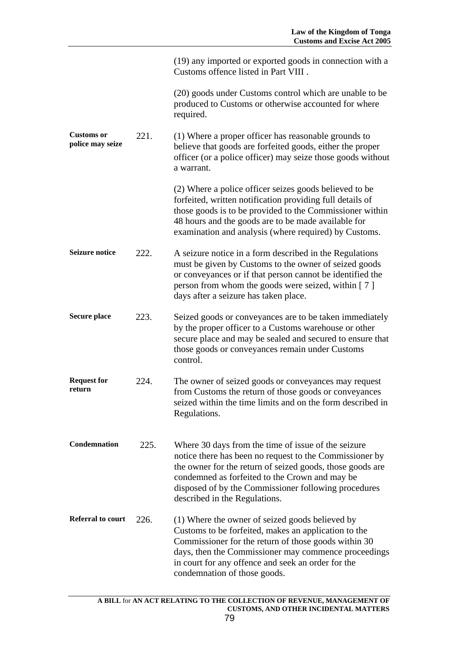|                                       |      | (19) any imported or exported goods in connection with a<br>Customs offence listed in Part VIII.                                                                                                                                                                                                                       |
|---------------------------------------|------|------------------------------------------------------------------------------------------------------------------------------------------------------------------------------------------------------------------------------------------------------------------------------------------------------------------------|
|                                       |      | (20) goods under Customs control which are unable to be<br>produced to Customs or otherwise accounted for where<br>required.                                                                                                                                                                                           |
| <b>Customs or</b><br>police may seize | 221. | (1) Where a proper officer has reasonable grounds to<br>believe that goods are forfeited goods, either the proper<br>officer (or a police officer) may seize those goods without<br>a warrant.                                                                                                                         |
|                                       |      | (2) Where a police officer seizes goods believed to be<br>forfeited, written notification providing full details of<br>those goods is to be provided to the Commissioner within<br>48 hours and the goods are to be made available for<br>examination and analysis (where required) by Customs.                        |
| <b>Seizure notice</b>                 | 222. | A seizure notice in a form described in the Regulations<br>must be given by Customs to the owner of seized goods<br>or conveyances or if that person cannot be identified the<br>person from whom the goods were seized, within [7]<br>days after a seizure has taken place.                                           |
| <b>Secure place</b>                   | 223. | Seized goods or conveyances are to be taken immediately<br>by the proper officer to a Customs warehouse or other<br>secure place and may be sealed and secured to ensure that<br>those goods or conveyances remain under Customs<br>control.                                                                           |
| <b>Request for</b><br>return          | 224. | The owner of seized goods or conveyances may request<br>from Customs the return of those goods or conveyances<br>seized within the time limits and on the form described in<br>Regulations.                                                                                                                            |
| Condemnation                          | 225. | Where 30 days from the time of issue of the seizure<br>notice there has been no request to the Commissioner by<br>the owner for the return of seized goods, those goods are<br>condemned as forfeited to the Crown and may be<br>disposed of by the Commissioner following procedures<br>described in the Regulations. |
| <b>Referral to court</b>              | 226. | (1) Where the owner of seized goods believed by<br>Customs to be forfeited, makes an application to the<br>Commissioner for the return of those goods within 30<br>days, then the Commissioner may commence proceedings<br>in court for any offence and seek an order for the                                          |

condemnation of those goods.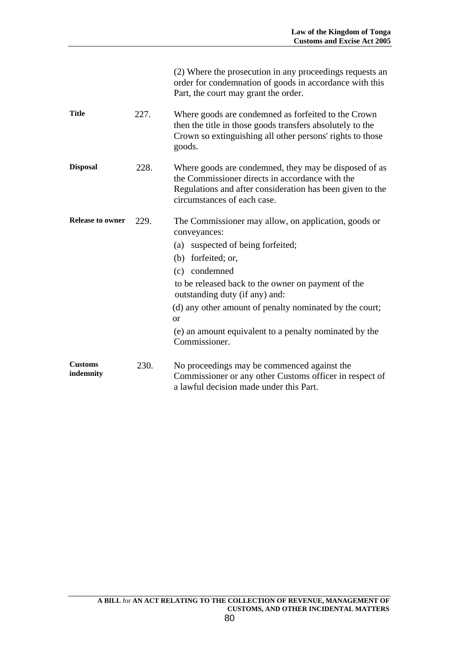|                             |      | (2) Where the prosecution in any proceedings requests an<br>order for condemnation of goods in accordance with this<br>Part, the court may grant the order.                                                                                                                                                                                                                                 |
|-----------------------------|------|---------------------------------------------------------------------------------------------------------------------------------------------------------------------------------------------------------------------------------------------------------------------------------------------------------------------------------------------------------------------------------------------|
| <b>Title</b>                | 227. | Where goods are condemned as forfeited to the Crown<br>then the title in those goods transfers absolutely to the<br>Crown so extinguishing all other persons' rights to those<br>goods.                                                                                                                                                                                                     |
| <b>Disposal</b>             | 228. | Where goods are condemned, they may be disposed of as<br>the Commissioner directs in accordance with the<br>Regulations and after consideration has been given to the<br>circumstances of each case.                                                                                                                                                                                        |
| <b>Release to owner</b>     | 229. | The Commissioner may allow, on application, goods or<br>conveyances:<br>(a) suspected of being forfeited;<br>(b) forfeited; or,<br>(c) condemned<br>to be released back to the owner on payment of the<br>outstanding duty (if any) and:<br>(d) any other amount of penalty nominated by the court;<br><b>or</b><br>(e) an amount equivalent to a penalty nominated by the<br>Commissioner. |
| <b>Customs</b><br>indemnity | 230. | No proceedings may be commenced against the<br>Commissioner or any other Customs officer in respect of<br>a lawful decision made under this Part.                                                                                                                                                                                                                                           |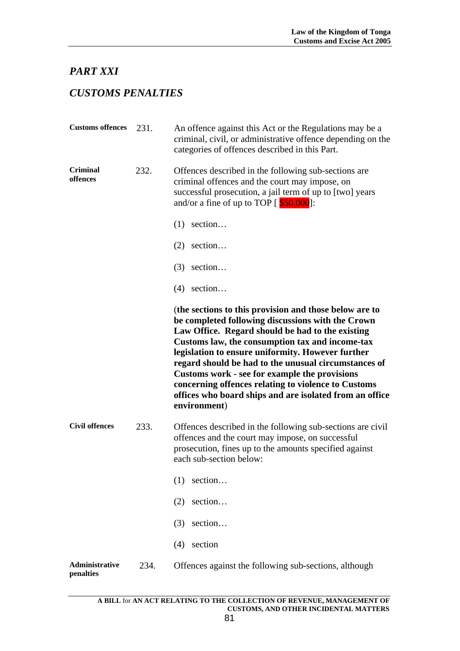### *PART XXI*

## *CUSTOMS PENALTIES*

| <b>Customs offences</b>            | 231. | An offence against this Act or the Regulations may be a<br>criminal, civil, or administrative offence depending on the<br>categories of offences described in this Part.                                                                                                                                                                                                                                                                                                                                           |
|------------------------------------|------|--------------------------------------------------------------------------------------------------------------------------------------------------------------------------------------------------------------------------------------------------------------------------------------------------------------------------------------------------------------------------------------------------------------------------------------------------------------------------------------------------------------------|
| <b>Criminal</b><br>offences        | 232. | Offences described in the following sub-sections are<br>criminal offences and the court may impose, on<br>successful prosecution, a jail term of up to [two] years<br>and/or a fine of up to TOP $\left[ \frac{$50,000}{\ } \right]$ :                                                                                                                                                                                                                                                                             |
|                                    |      | $(1)$ section                                                                                                                                                                                                                                                                                                                                                                                                                                                                                                      |
|                                    |      | (2)<br>section                                                                                                                                                                                                                                                                                                                                                                                                                                                                                                     |
|                                    |      | $(3)$ section                                                                                                                                                                                                                                                                                                                                                                                                                                                                                                      |
|                                    |      | $(4)$ section                                                                                                                                                                                                                                                                                                                                                                                                                                                                                                      |
|                                    |      | (the sections to this provision and those below are to<br>be completed following discussions with the Crown<br>Law Office. Regard should be had to the existing<br>Customs law, the consumption tax and income-tax<br>legislation to ensure uniformity. However further<br>regard should be had to the unusual circumstances of<br>Customs work - see for example the provisions<br>concerning offences relating to violence to Customs<br>offices who board ships and are isolated from an office<br>environment) |
| <b>Civil offences</b>              | 233. | Offences described in the following sub-sections are civil<br>offences and the court may impose, on successful<br>prosecution, fines up to the amounts specified against<br>each sub-section below:                                                                                                                                                                                                                                                                                                                |
|                                    |      | (1)<br>section                                                                                                                                                                                                                                                                                                                                                                                                                                                                                                     |
|                                    |      | section<br>(2)                                                                                                                                                                                                                                                                                                                                                                                                                                                                                                     |
|                                    |      | section<br>(3)                                                                                                                                                                                                                                                                                                                                                                                                                                                                                                     |
|                                    |      | section<br>(4)                                                                                                                                                                                                                                                                                                                                                                                                                                                                                                     |
| <b>Administrative</b><br>penalties | 234. | Offences against the following sub-sections, although                                                                                                                                                                                                                                                                                                                                                                                                                                                              |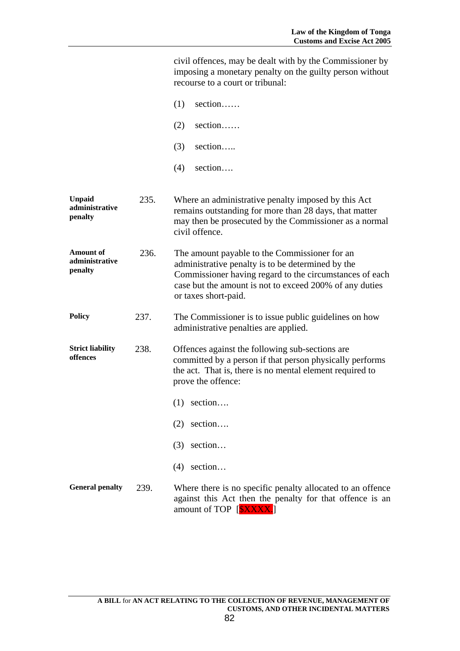|                                               |      | civil offences, may be dealt with by the Commissioner by<br>imposing a monetary penalty on the guilty person without<br>recourse to a court or tribunal:                                                                                         |
|-----------------------------------------------|------|--------------------------------------------------------------------------------------------------------------------------------------------------------------------------------------------------------------------------------------------------|
|                                               |      | (1)<br>section                                                                                                                                                                                                                                   |
|                                               |      | (2)<br>section                                                                                                                                                                                                                                   |
|                                               |      | (3)<br>section                                                                                                                                                                                                                                   |
|                                               |      | (4)<br>section                                                                                                                                                                                                                                   |
| <b>Unpaid</b><br>administrative<br>penalty    | 235. | Where an administrative penalty imposed by this Act<br>remains outstanding for more than 28 days, that matter<br>may then be prosecuted by the Commissioner as a normal<br>civil offence.                                                        |
| <b>Amount of</b><br>administrative<br>penalty | 236. | The amount payable to the Commissioner for an<br>administrative penalty is to be determined by the<br>Commissioner having regard to the circumstances of each<br>case but the amount is not to exceed 200% of any duties<br>or taxes short-paid. |
| <b>Policy</b>                                 | 237. | The Commissioner is to issue public guidelines on how<br>administrative penalties are applied.                                                                                                                                                   |
| <b>Strict liability</b><br>offences           | 238. | Offences against the following sub-sections are<br>committed by a person if that person physically performs<br>the act. That is, there is no mental element required to<br>prove the offence:                                                    |
|                                               |      | $(1)$ section                                                                                                                                                                                                                                    |
|                                               |      | section<br>(2)                                                                                                                                                                                                                                   |
|                                               |      | $(3)$ section                                                                                                                                                                                                                                    |
|                                               |      | $(4)$ section                                                                                                                                                                                                                                    |
| <b>General penalty</b>                        | 239. | Where there is no specific penalty allocated to an offence<br>against this Act then the penalty for that offence is an<br>amount of TOP [SXXXX.]                                                                                                 |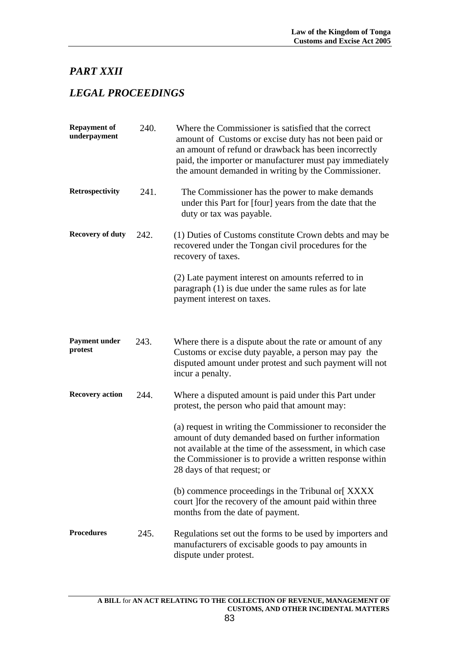### *PART XXII*

# *LEGAL PROCEEDINGS*

| <b>Repayment of</b><br>underpayment | 240. | Where the Commissioner is satisfied that the correct<br>amount of Customs or excise duty has not been paid or<br>an amount of refund or drawback has been incorrectly<br>paid, the importer or manufacturer must pay immediately<br>the amount demanded in writing by the Commissioner. |
|-------------------------------------|------|-----------------------------------------------------------------------------------------------------------------------------------------------------------------------------------------------------------------------------------------------------------------------------------------|
| Retrospectivity                     | 241. | The Commissioner has the power to make demands<br>under this Part for [four] years from the date that the<br>duty or tax was payable.                                                                                                                                                   |
| <b>Recovery of duty</b>             | 242. | (1) Duties of Customs constitute Crown debts and may be<br>recovered under the Tongan civil procedures for the<br>recovery of taxes.                                                                                                                                                    |
|                                     |      | (2) Late payment interest on amounts referred to in<br>paragraph (1) is due under the same rules as for late<br>payment interest on taxes.                                                                                                                                              |
| <b>Payment under</b><br>protest     | 243. | Where there is a dispute about the rate or amount of any<br>Customs or excise duty payable, a person may pay the<br>disputed amount under protest and such payment will not<br>incur a penalty.                                                                                         |
| <b>Recovery action</b>              | 244. | Where a disputed amount is paid under this Part under<br>protest, the person who paid that amount may:                                                                                                                                                                                  |
|                                     |      | (a) request in writing the Commissioner to reconsider the<br>amount of duty demanded based on further information<br>not available at the time of the assessment, in which case<br>the Commissioner is to provide a written response within<br>28 days of that request; or              |
|                                     |      | (b) commence proceedings in the Tribunal or[XXXX]<br>court ] for the recovery of the amount paid within three<br>months from the date of payment.                                                                                                                                       |
| <b>Procedures</b>                   | 245. | Regulations set out the forms to be used by importers and<br>manufacturers of excisable goods to pay amounts in<br>dispute under protest.                                                                                                                                               |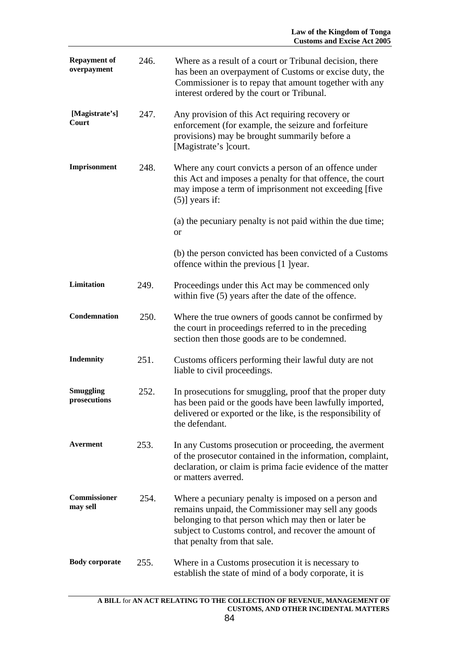| <b>Repayment of</b><br>overpayment | 246. | Where as a result of a court or Tribunal decision, there<br>has been an overpayment of Customs or excise duty, the<br>Commissioner is to repay that amount together with any<br>interest ordered by the court or Tribunal.                                  |
|------------------------------------|------|-------------------------------------------------------------------------------------------------------------------------------------------------------------------------------------------------------------------------------------------------------------|
| [Magistrate's]<br>Court            | 247. | Any provision of this Act requiring recovery or<br>enforcement (for example, the seizure and forfeiture<br>provisions) may be brought summarily before a<br>[Magistrate's ]court.                                                                           |
| Imprisonment                       | 248. | Where any court convicts a person of an offence under<br>this Act and imposes a penalty for that offence, the court<br>may impose a term of imprisonment not exceeding [five]<br>$(5)$ ] years if:                                                          |
|                                    |      | (a) the pecuniary penalty is not paid within the due time;<br><b>or</b>                                                                                                                                                                                     |
|                                    |      | (b) the person convicted has been convicted of a Customs<br>offence within the previous [1] year.                                                                                                                                                           |
| Limitation                         | 249. | Proceedings under this Act may be commenced only<br>within five (5) years after the date of the offence.                                                                                                                                                    |
| Condemnation                       | 250. | Where the true owners of goods cannot be confirmed by<br>the court in proceedings referred to in the preceding<br>section then those goods are to be condemned.                                                                                             |
| <b>Indemnity</b>                   | 251. | Customs officers performing their lawful duty are not<br>liable to civil proceedings.                                                                                                                                                                       |
| <b>Smuggling</b><br>prosecutions   | 252. | In prosecutions for smuggling, proof that the proper duty<br>has been paid or the goods have been lawfully imported,<br>delivered or exported or the like, is the responsibility of<br>the defendant.                                                       |
| Averment                           | 253. | In any Customs prosecution or proceeding, the averment<br>of the prosecutor contained in the information, complaint,<br>declaration, or claim is prima facie evidence of the matter<br>or matters averred.                                                  |
| <b>Commissioner</b><br>may sell    | 254. | Where a pecuniary penalty is imposed on a person and<br>remains unpaid, the Commissioner may sell any goods<br>belonging to that person which may then or later be<br>subject to Customs control, and recover the amount of<br>that penalty from that sale. |
| <b>Body corporate</b>              | 255. | Where in a Customs prosecution it is necessary to<br>establish the state of mind of a body corporate, it is                                                                                                                                                 |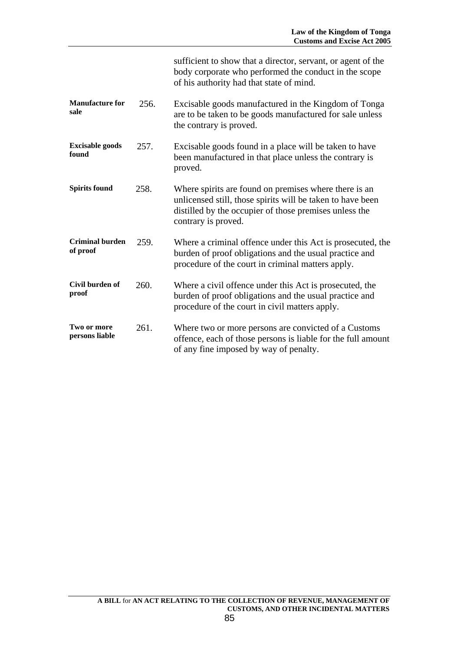|                                    |      | sufficient to show that a director, servant, or agent of the<br>body corporate who performed the conduct in the scope<br>of his authority had that state of mind.                                    |
|------------------------------------|------|------------------------------------------------------------------------------------------------------------------------------------------------------------------------------------------------------|
| <b>Manufacture for</b><br>sale     | 256. | Excisable goods manufactured in the Kingdom of Tonga<br>are to be taken to be goods manufactured for sale unless<br>the contrary is proved.                                                          |
| <b>Excisable goods</b><br>found    | 257. | Excisable goods found in a place will be taken to have<br>been manufactured in that place unless the contrary is<br>proved.                                                                          |
| <b>Spirits found</b>               | 258. | Where spirits are found on premises where there is an<br>unlicensed still, those spirits will be taken to have been<br>distilled by the occupier of those premises unless the<br>contrary is proved. |
| <b>Criminal burden</b><br>of proof | 259. | Where a criminal offence under this Act is prosecuted, the<br>burden of proof obligations and the usual practice and<br>procedure of the court in criminal matters apply.                            |
| Civil burden of<br>proof           | 260. | Where a civil offence under this Act is prosecuted, the<br>burden of proof obligations and the usual practice and<br>procedure of the court in civil matters apply.                                  |
| Two or more<br>persons liable      | 261. | Where two or more persons are convicted of a Customs<br>offence, each of those persons is liable for the full amount<br>of any fine imposed by way of penalty.                                       |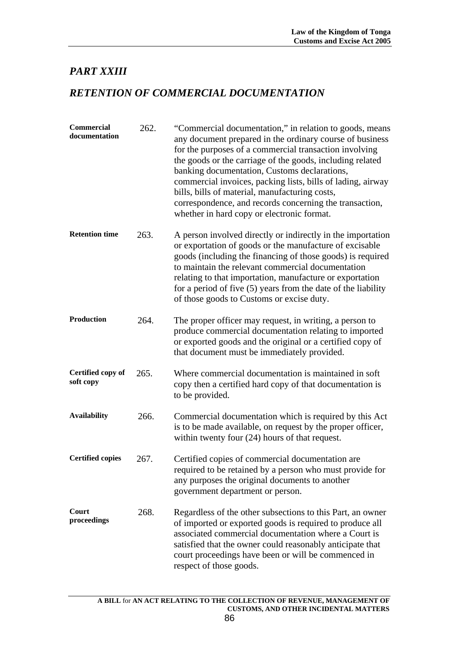### *PART XXIII*

## *RETENTION OF COMMERCIAL DOCUMENTATION*

| <b>Commercial</b><br>documentation | 262. | "Commercial documentation," in relation to goods, means<br>any document prepared in the ordinary course of business<br>for the purposes of a commercial transaction involving<br>the goods or the carriage of the goods, including related<br>banking documentation, Customs declarations,<br>commercial invoices, packing lists, bills of lading, airway<br>bills, bills of material, manufacturing costs,<br>correspondence, and records concerning the transaction,<br>whether in hard copy or electronic format. |
|------------------------------------|------|----------------------------------------------------------------------------------------------------------------------------------------------------------------------------------------------------------------------------------------------------------------------------------------------------------------------------------------------------------------------------------------------------------------------------------------------------------------------------------------------------------------------|
| <b>Retention time</b>              | 263. | A person involved directly or indirectly in the importation<br>or exportation of goods or the manufacture of excisable<br>goods (including the financing of those goods) is required<br>to maintain the relevant commercial documentation<br>relating to that importation, manufacture or exportation<br>for a period of five (5) years from the date of the liability<br>of those goods to Customs or excise duty.                                                                                                  |
| <b>Production</b>                  | 264. | The proper officer may request, in writing, a person to<br>produce commercial documentation relating to imported<br>or exported goods and the original or a certified copy of<br>that document must be immediately provided.                                                                                                                                                                                                                                                                                         |
| Certified copy of<br>soft copy     | 265. | Where commercial documentation is maintained in soft<br>copy then a certified hard copy of that documentation is<br>to be provided.                                                                                                                                                                                                                                                                                                                                                                                  |
| <b>Availability</b>                | 266. | Commercial documentation which is required by this Act<br>is to be made available, on request by the proper officer,<br>within twenty four $(24)$ hours of that request.                                                                                                                                                                                                                                                                                                                                             |
| <b>Certified copies</b>            | 267. | Certified copies of commercial documentation are<br>required to be retained by a person who must provide for<br>any purposes the original documents to another<br>government department or person.                                                                                                                                                                                                                                                                                                                   |
| Court<br>proceedings               | 268. | Regardless of the other subsections to this Part, an owner<br>of imported or exported goods is required to produce all<br>associated commercial documentation where a Court is<br>satisfied that the owner could reasonably anticipate that<br>court proceedings have been or will be commenced in<br>respect of those goods.                                                                                                                                                                                        |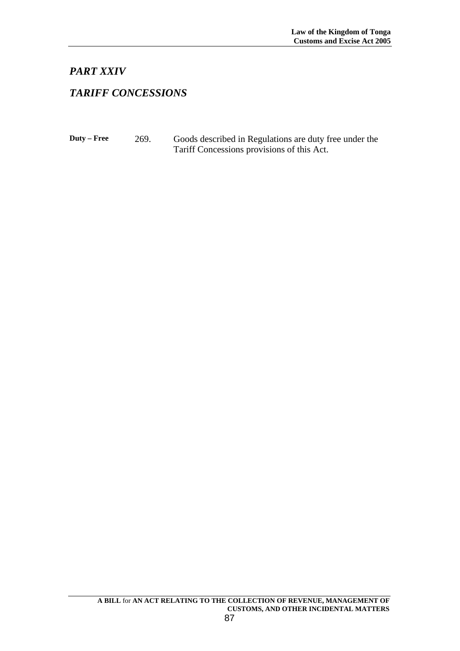#### *PART XXIV*

## *TARIFF CONCESSIONS*

**Duty – Free** 269. Goods described in Regulations are duty free under the Tariff Concessions provisions of this Act.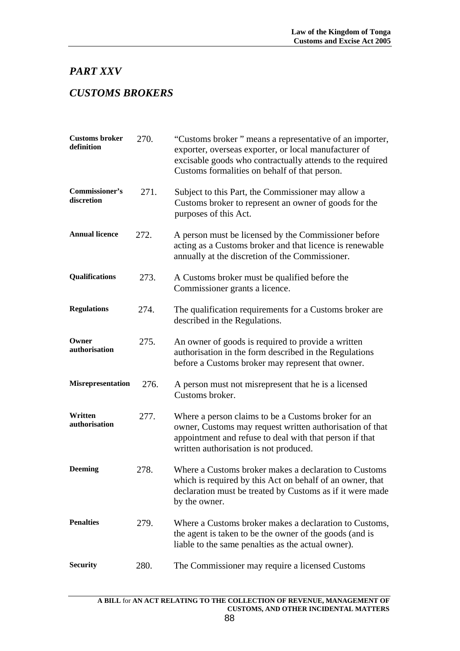### *PART XXV*

## *CUSTOMS BROKERS*

| <b>Customs broker</b><br>definition | 270. | "Customs broker" means a representative of an importer,<br>exporter, overseas exporter, or local manufacturer of<br>excisable goods who contractually attends to the required<br>Customs formalities on behalf of that person. |
|-------------------------------------|------|--------------------------------------------------------------------------------------------------------------------------------------------------------------------------------------------------------------------------------|
| Commissioner's<br>discretion        | 271. | Subject to this Part, the Commissioner may allow a<br>Customs broker to represent an owner of goods for the<br>purposes of this Act.                                                                                           |
| <b>Annual licence</b>               | 272. | A person must be licensed by the Commissioner before<br>acting as a Customs broker and that licence is renewable<br>annually at the discretion of the Commissioner.                                                            |
| Qualifications                      | 273. | A Customs broker must be qualified before the<br>Commissioner grants a licence.                                                                                                                                                |
| <b>Regulations</b>                  | 274. | The qualification requirements for a Customs broker are<br>described in the Regulations.                                                                                                                                       |
| Owner<br>authorisation              | 275. | An owner of goods is required to provide a written<br>authorisation in the form described in the Regulations<br>before a Customs broker may represent that owner.                                                              |
| <b>Misrepresentation</b>            | 276. | A person must not misrepresent that he is a licensed<br>Customs broker.                                                                                                                                                        |
| Written<br>authorisation            | 277. | Where a person claims to be a Customs broker for an<br>owner, Customs may request written authorisation of that<br>appointment and refuse to deal with that person if that<br>written authorisation is not produced.           |
| <b>Deeming</b>                      | 278. | Where a Customs broker makes a declaration to Customs<br>which is required by this Act on behalf of an owner, that<br>declaration must be treated by Customs as if it were made<br>by the owner.                               |
| <b>Penalties</b>                    | 279. | Where a Customs broker makes a declaration to Customs,<br>the agent is taken to be the owner of the goods (and is<br>liable to the same penalties as the actual owner).                                                        |
| <b>Security</b>                     | 280. | The Commissioner may require a licensed Customs                                                                                                                                                                                |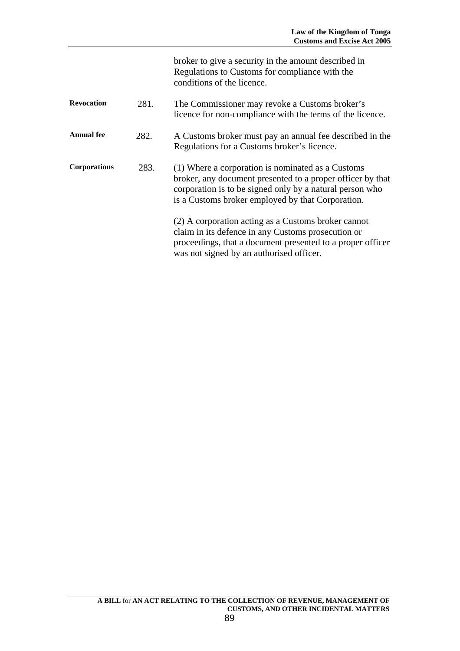|                     |      | broker to give a security in the amount described in<br>Regulations to Customs for compliance with the<br>conditions of the licence.                                                                                             |
|---------------------|------|----------------------------------------------------------------------------------------------------------------------------------------------------------------------------------------------------------------------------------|
| <b>Revocation</b>   | 281. | The Commissioner may revoke a Customs broker's<br>licence for non-compliance with the terms of the licence.                                                                                                                      |
| <b>Annual fee</b>   | 282. | A Customs broker must pay an annual fee described in the<br>Regulations for a Customs broker's licence.                                                                                                                          |
| <b>Corporations</b> | 283. | (1) Where a corporation is nominated as a Customs<br>broker, any document presented to a proper officer by that<br>corporation is to be signed only by a natural person who<br>is a Customs broker employed by that Corporation. |
|                     |      | (2) A corporation acting as a Customs broker cannot<br>claim in its defence in any Customs prosecution or<br>proceedings, that a document presented to a proper officer<br>was not signed by an authorised officer.              |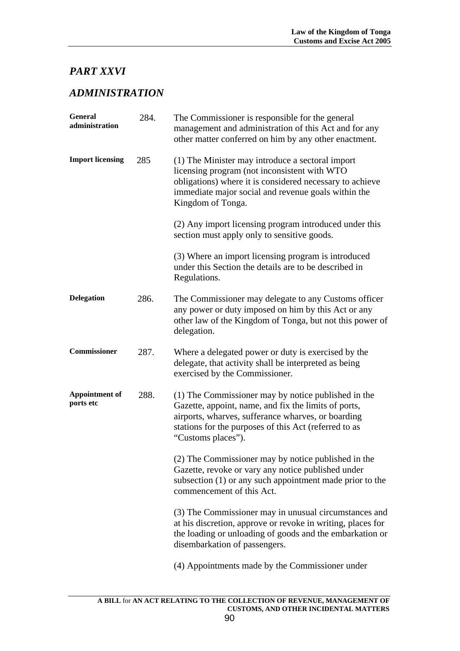### *PART XXVI*

## *ADMINISTRATION*

| <b>General</b><br>administration   | 284. | The Commissioner is responsible for the general<br>management and administration of this Act and for any<br>other matter conferred on him by any other enactment.                                                                                |
|------------------------------------|------|--------------------------------------------------------------------------------------------------------------------------------------------------------------------------------------------------------------------------------------------------|
| <b>Import licensing</b>            | 285  | (1) The Minister may introduce a sectoral import<br>licensing program (not inconsistent with WTO<br>obligations) where it is considered necessary to achieve<br>immediate major social and revenue goals within the<br>Kingdom of Tonga.         |
|                                    |      | (2) Any import licensing program introduced under this<br>section must apply only to sensitive goods.                                                                                                                                            |
|                                    |      | (3) Where an import licensing program is introduced<br>under this Section the details are to be described in<br>Regulations.                                                                                                                     |
| <b>Delegation</b>                  | 286. | The Commissioner may delegate to any Customs officer<br>any power or duty imposed on him by this Act or any<br>other law of the Kingdom of Tonga, but not this power of<br>delegation.                                                           |
| Commissioner                       | 287. | Where a delegated power or duty is exercised by the<br>delegate, that activity shall be interpreted as being<br>exercised by the Commissioner.                                                                                                   |
| <b>Appointment of</b><br>ports etc | 288. | (1) The Commissioner may by notice published in the<br>Gazette, appoint, name, and fix the limits of ports,<br>airports, wharves, sufferance wharves, or boarding<br>stations for the purposes of this Act (referred to as<br>"Customs places"). |
|                                    |      | (2) The Commissioner may by notice published in the<br>Gazette, revoke or vary any notice published under<br>subsection (1) or any such appointment made prior to the<br>commencement of this Act.                                               |
|                                    |      | (3) The Commissioner may in unusual circumstances and<br>at his discretion, approve or revoke in writing, places for<br>the loading or unloading of goods and the embarkation or<br>disembarkation of passengers.                                |
|                                    |      | (4) Appointments made by the Commissioner under                                                                                                                                                                                                  |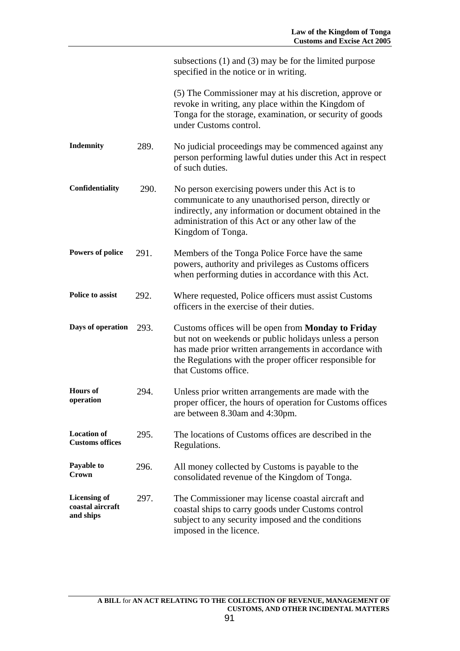|                                                      |      | subsections $(1)$ and $(3)$ may be for the limited purpose<br>specified in the notice or in writing.                                                                                                                                                             |
|------------------------------------------------------|------|------------------------------------------------------------------------------------------------------------------------------------------------------------------------------------------------------------------------------------------------------------------|
|                                                      |      | (5) The Commissioner may at his discretion, approve or<br>revoke in writing, any place within the Kingdom of<br>Tonga for the storage, examination, or security of goods<br>under Customs control.                                                               |
| <b>Indemnity</b>                                     | 289. | No judicial proceedings may be commenced against any<br>person performing lawful duties under this Act in respect<br>of such duties.                                                                                                                             |
| Confidentiality                                      | 290. | No person exercising powers under this Act is to<br>communicate to any unauthorised person, directly or<br>indirectly, any information or document obtained in the<br>administration of this Act or any other law of the<br>Kingdom of Tonga.                    |
| <b>Powers of police</b>                              | 291. | Members of the Tonga Police Force have the same<br>powers, authority and privileges as Customs officers<br>when performing duties in accordance with this Act.                                                                                                   |
| Police to assist                                     | 292. | Where requested, Police officers must assist Customs<br>officers in the exercise of their duties.                                                                                                                                                                |
| Days of operation                                    | 293. | Customs offices will be open from <b>Monday to Friday</b><br>but not on weekends or public holidays unless a person<br>has made prior written arrangements in accordance with<br>the Regulations with the proper officer responsible for<br>that Customs office. |
| <b>Hours</b> of<br>operation                         | 294. | Unless prior written arrangements are made with the<br>proper officer, the hours of operation for Customs offices<br>are between 8.30am and 4:30pm.                                                                                                              |
| <b>Location of</b><br><b>Customs offices</b>         | 295. | The locations of Customs offices are described in the<br>Regulations.                                                                                                                                                                                            |
| Payable to<br>Crown                                  | 296. | All money collected by Customs is payable to the<br>consolidated revenue of the Kingdom of Tonga.                                                                                                                                                                |
| <b>Licensing of</b><br>coastal aircraft<br>and ships | 297. | The Commissioner may license coastal aircraft and<br>coastal ships to carry goods under Customs control<br>subject to any security imposed and the conditions<br>imposed in the licence.                                                                         |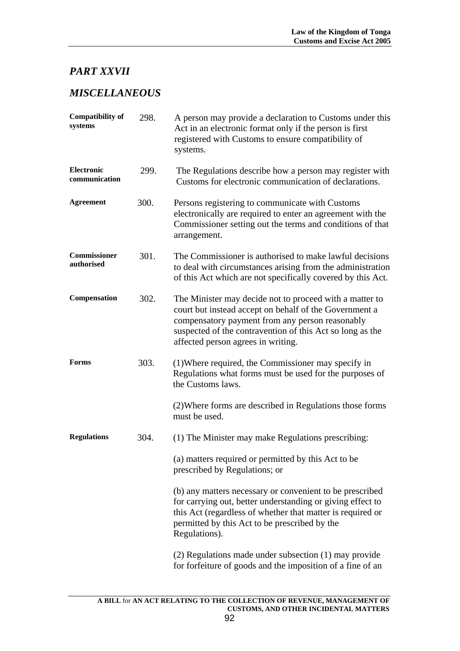# *PART XXVII*

# *MISCELLANEOUS*

| <b>Compatibility of</b><br>systems | 298. | A person may provide a declaration to Customs under this<br>Act in an electronic format only if the person is first<br>registered with Customs to ensure compatibility of<br>systems.                                                                                   |
|------------------------------------|------|-------------------------------------------------------------------------------------------------------------------------------------------------------------------------------------------------------------------------------------------------------------------------|
| Electronic<br>communication        | 299. | The Regulations describe how a person may register with<br>Customs for electronic communication of declarations.                                                                                                                                                        |
| <b>Agreement</b>                   | 300. | Persons registering to communicate with Customs<br>electronically are required to enter an agreement with the<br>Commissioner setting out the terms and conditions of that<br>arrangement.                                                                              |
| Commissioner<br>authorised         | 301. | The Commissioner is authorised to make lawful decisions<br>to deal with circumstances arising from the administration<br>of this Act which are not specifically covered by this Act.                                                                                    |
| Compensation                       | 302. | The Minister may decide not to proceed with a matter to<br>court but instead accept on behalf of the Government a<br>compensatory payment from any person reasonably<br>suspected of the contravention of this Act so long as the<br>affected person agrees in writing. |
| <b>Forms</b>                       | 303. | (1) Where required, the Commissioner may specify in<br>Regulations what forms must be used for the purposes of<br>the Customs laws.                                                                                                                                     |
|                                    |      | (2) Where forms are described in Regulations those forms<br>must be used.                                                                                                                                                                                               |
| <b>Regulations</b>                 | 304. | (1) The Minister may make Regulations prescribing:                                                                                                                                                                                                                      |
|                                    |      | (a) matters required or permitted by this Act to be<br>prescribed by Regulations; or                                                                                                                                                                                    |
|                                    |      | (b) any matters necessary or convenient to be prescribed<br>for carrying out, better understanding or giving effect to<br>this Act (regardless of whether that matter is required or<br>permitted by this Act to be prescribed by the<br>Regulations).                  |
|                                    |      | (2) Regulations made under subsection (1) may provide<br>for forfeiture of goods and the imposition of a fine of an                                                                                                                                                     |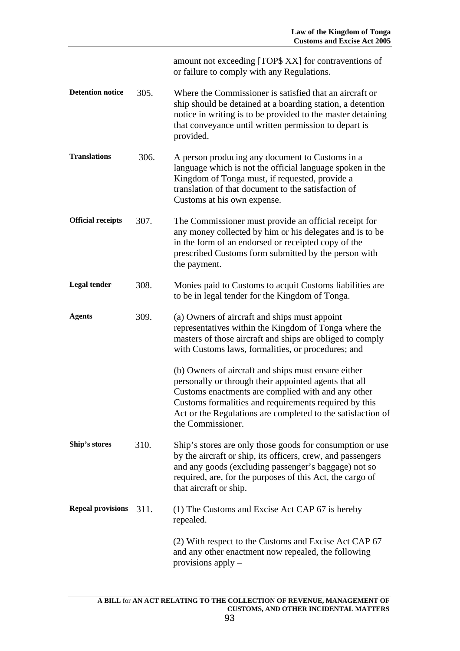|                          |      | amount not exceeding [TOP\$ XX] for contraventions of<br>or failure to comply with any Regulations.                                                                                                                                                                                                             |
|--------------------------|------|-----------------------------------------------------------------------------------------------------------------------------------------------------------------------------------------------------------------------------------------------------------------------------------------------------------------|
| <b>Detention notice</b>  | 305. | Where the Commissioner is satisfied that an aircraft or<br>ship should be detained at a boarding station, a detention<br>notice in writing is to be provided to the master detaining<br>that conveyance until written permission to depart is<br>provided.                                                      |
| <b>Translations</b>      | 306. | A person producing any document to Customs in a<br>language which is not the official language spoken in the<br>Kingdom of Tonga must, if requested, provide a<br>translation of that document to the satisfaction of<br>Customs at his own expense.                                                            |
| <b>Official receipts</b> | 307. | The Commissioner must provide an official receipt for<br>any money collected by him or his delegates and is to be<br>in the form of an endorsed or receipted copy of the<br>prescribed Customs form submitted by the person with<br>the payment.                                                                |
| <b>Legal tender</b>      | 308. | Monies paid to Customs to acquit Customs liabilities are<br>to be in legal tender for the Kingdom of Tonga.                                                                                                                                                                                                     |
| <b>Agents</b>            | 309. | (a) Owners of aircraft and ships must appoint<br>representatives within the Kingdom of Tonga where the<br>masters of those aircraft and ships are obliged to comply<br>with Customs laws, formalities, or procedures; and                                                                                       |
|                          |      | (b) Owners of aircraft and ships must ensure either<br>personally or through their appointed agents that all<br>Customs enactments are complied with and any other<br>Customs formalities and requirements required by this<br>Act or the Regulations are completed to the satisfaction of<br>the Commissioner. |
| Ship's stores            | 310. | Ship's stores are only those goods for consumption or use<br>by the aircraft or ship, its officers, crew, and passengers<br>and any goods (excluding passenger's baggage) not so<br>required, are, for the purposes of this Act, the cargo of<br>that aircraft or ship.                                         |
| <b>Repeal provisions</b> | 311. | (1) The Customs and Excise Act CAP 67 is hereby<br>repealed.                                                                                                                                                                                                                                                    |
|                          |      | (2) With respect to the Customs and Excise Act CAP 67<br>and any other enactment now repealed, the following<br>provisions apply $-$                                                                                                                                                                            |